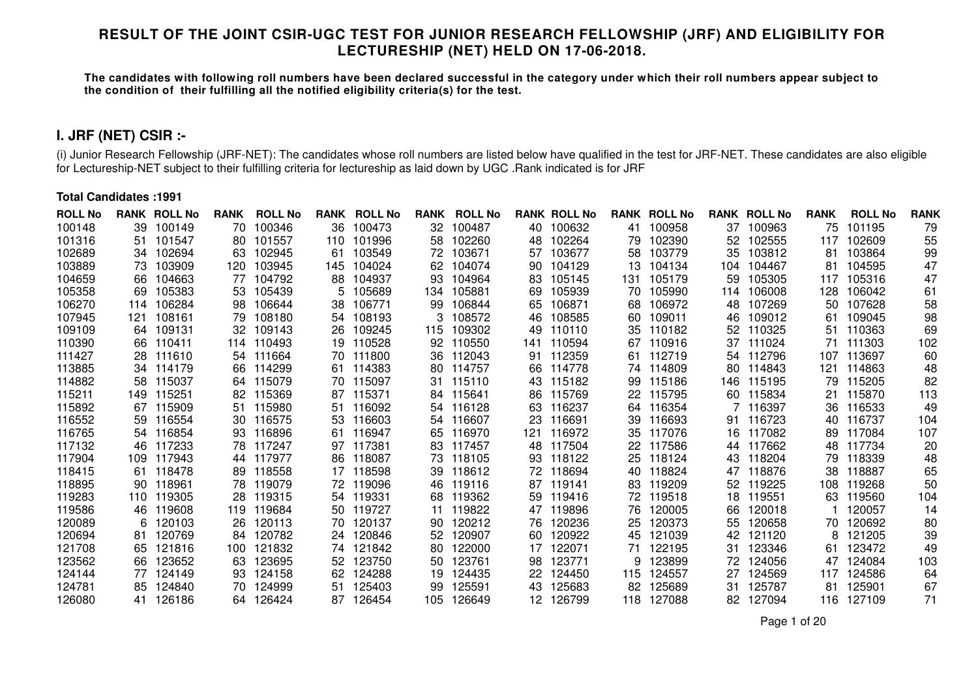### **RESULT OF THE JOINT CSIR-UGC TEST FOR JUNIOR RESEARCH FELLOWSHIP (JRF) AND ELIGIBILITY FORLECTURESHIP (NET) HELD ON 17-06-2018.**

**The candidates with following roll numbers have been declared successful in the category under which their roll numbers appear subject tothe condition of their fulfilling all the notified eligibility criteria(s) for the test.**

# **I. JRF (NET) CSIR :-**

(i) Junior Research Fellowship (JRF-NET): The candidates whose roll numbers are listed below have qualified in the test for JRF-NET. These candidates are also eligible for Lectureship-NET subject to their fulfilling criteria for lectureship as laid down by UGC .Rank indicated is for JRF

#### **Total Candidates :1991**

| <b>ROLL No</b> |      | <b>RANK ROLL No</b> | <b>RANK</b> | <b>ROLL No</b> | RANK | <b>ROLL No</b> | <b>RANK</b> | <b>ROLL No</b> |                 | <b>RANK ROLL No</b> |     | <b>RANK ROLL No</b> |      | <b>RANK ROLL No</b> | <b>RANK</b> | <b>ROLL No</b> | <b>RANK</b> |
|----------------|------|---------------------|-------------|----------------|------|----------------|-------------|----------------|-----------------|---------------------|-----|---------------------|------|---------------------|-------------|----------------|-------------|
| 100148         | 39.  | 100149              | 70          | 100346         | 36   | 100473         | 32.         | 100487         | 40              | 100632              | 41  | 100958              | 37   | 100963              | 75          | 101195         | 79          |
| 101316         | 51   | 101547              | 80          | 101557         | 110  | 101996         | 58          | 102260         | 48              | 102264              | 79  | 102390              | 52   | 102555              | 117         | 102609         | 55          |
| 102689         | 34   | 102694              | 63          | 102945         | 61   | 103549         | 72          | 103671         | 57              | 103677              | 58  | 103779              | 35   | 103812              | 81          | 103864         | 99          |
| 103889         | 73.  | 103909              | 120         | 103945         | 145  | 104024         | 62          | 104074         | 90              | 104129              | 13  | 104134              | 104  | 104467              | 81          | 104595         | 47          |
| 104659         | 66.  | 104663              | 77          | 104792         | 88   | 104937         | 93          | 104964         | 83              | 105145              | 131 | 105179              | 59   | 105305              | 117         | 105316         | 47          |
| 105358         | 69   | 105383              | 53          | 105439         | 5.   | 105689         | 134.        | 105881         | 69              | 105939              | 70. | 105990              |      | 114 106008          | 128         | 106042         | 61          |
| 106270         | 114  | 106284              | 98          | 106644         | 38   | 106771         | 99          | 106844         | 65              | 106871              | 68  | 106972              | 48   | 107269              | 50          | 107628         | 58          |
| 107945         | 121  | 108161              | 79          | 108180         | 54   | 108193         |             | 108572         | 46              | 108585              | 60  | 109011              | 46   | 109012              | 61          | 109045         | 98          |
| 109109         | 64   | 109131              | 32          | 109143         | 26   | 109245         | 115         | 109302         | 49              | 110110              | 35  | 110182              | 52   | 110325              | 51          | 110363         | 69          |
| 110390         | 66.  | 110411              | 114         | 110493         | 19   | 110528         | 92          | 110550         | 141             | 110594              | 67  | 110916              | 37   | 111024              | 71          | 111303         | 102         |
| 111427         | 28.  | 111610              | 54          | 111664         | 70   | 111800         | 36          | 112043         | 91              | 112359              | 61  | 112719              |      | 54 112796           | 107         | 113697         | 60          |
| 113885         | 34   | 114179              | 66          | 114299         | -61  | 114383         | 80.         | 114757         | 66              | 114778              | 74  | 114809              | 80.  | 114843              | 121         | 114863         | 48          |
| 114882         | 58   | 115037              | 64          | 115079         | 70   | 115097         | 31          | 115110         | 43              | 115182              | 99  | 115186              | 146. | 115195              | 79          | 115205         | 82          |
| 115211         | 149. | 115251              | 82          | 115369         | 87   | 115371         | 84          | 115641         | 86              | 115769              | 22  | 115795              | 60.  | 115834              | 21          | 115870         | 113         |
| 115892         | 67   | 115909              | 51          | 115980         | 51   | 116092         | 54          | 116128         | 63              | 116237              | 64  | 116354              |      | 116397              | 36          | 116533         | 49          |
| 116552         | 59.  | 116554              | 30          | 116575         | 53   | 116603         | 54          | 116607         | 23              | 116691              | 39  | 116693              | 91   | 116723              | 40          | 116737         | 104         |
| 116765         | 54   | 116854              | 93          | 116896         | -61  | 116947         | 65          | 116970         | 121             | 116972              | 35  | 117076              | 16   | 117082              | 89          | 117084         | 107         |
| 117132         | 46.  | 117233              | 78          | 117247         | 97   | 117381         | 83.         | 117457         | 48              | 117504              | 22  | 117586              | 44   | 117662              | 48          | 117734         | 20          |
| 117904         | 109. | 117943              | 44          | 117977         | 86   | 118087         | 73.         | 118105         | 93              | 118122              | 25  | 118124              | 43   | 118204              | 79          | 118339         | 48          |
| 118415         | 61   | 118478              | 89          | 118558         | 17   | 118598         | 39          | 118612         | 72              | 118694              | 40  | 118824              | 47   | 118876              | 38          | 118887         | 65          |
| 118895         | 90   | 118961              | 78          | 119079         |      | 72 119096      | 46          | 119116         | 87              | 119141              | 83  | 119209              | 52   | 119225              | 108         | 119268         | 50          |
| 119283         | 110  | 119305              | 28          | 119315         | 54   | 119331         | 68          | 119362         | 59              | 119416              | 72  | 119518              | 18   | 119551              | 63          | 119560         | 104         |
| 119586         | 46   | 119608              | 119         | 119684         | 50   | 119727         | 11          | 119822         | 47              | 119896              | 76  | 120005              | 66   | 120018              |             | 120057         | 14          |
| 120089         | 6    | 120103              | 26          | 120113         | 70   | 120137         | 90          | 120212         | 76              | 120236              | 25  | 120373              | 55   | 120658              | 70.         | 120692         | 80          |
| 120694         | -81  | 120769              | 84.         | 120782         | 24   | 120846         | 52          | 120907         | 60              | 120922              | 45  | 121039              | 42   | 121120              |             | 121205         | 39          |
| 121708         | 65   | 121816              | 100         | 121832         | 74   | 121842         | 80          | 122000         | 17              | 122071              | 71  | 122195              | 31   | 123346              | 61          | 123472         | 49          |
| 123562         | 66.  | 123652              | 63          | 123695         | 52   | 123750         | 50          | 123761         | 98              | 123771              | 9   | 123899              | 72   | 124056              | 47          | 124084         | 103         |
| 124144         | 77   | 124149              | 93          | 124158         | 62   | 124288         | 19          | 124435         | 22              | 124450              | 115 | 124557              | 27   | 124569              | 117         | 124586         | 64          |
| 124781         | 85   | 124840              | 70          | 124999         | 51   | 125403         | 99          | 125591         | 43              | 125683              | 82  | 125689              | 31   | 125787              | 81          | 125901         | 67          |
| 126080         | 41   | 126186              | 64.         | 126424         | 87   | 126454         | 105         | 126649         | 12 <sup>1</sup> | 126799              | 118 | 127088              | 82   | 127094              | 116         | 127109         | 71          |

Page 1 of 20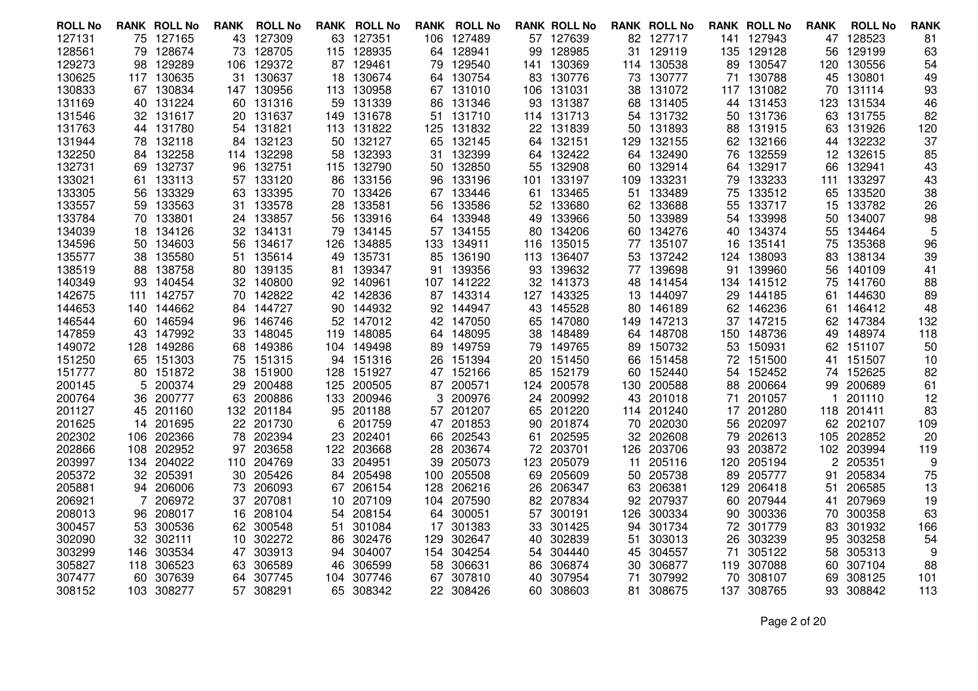| <b>ROLL No</b>   |     | <b>RANK ROLL No</b>    | RANK     | <b>ROLL No</b>   |           | <b>RANK ROLL No</b> |     | <b>RANK ROLL No</b> |           | <b>RANK ROLL No</b> |          | <b>RANK ROLL No</b> |          | <b>RANK ROLL No</b> | <b>RANK</b> | <b>ROLL No</b>   | <b>RANK</b> |
|------------------|-----|------------------------|----------|------------------|-----------|---------------------|-----|---------------------|-----------|---------------------|----------|---------------------|----------|---------------------|-------------|------------------|-------------|
| 127131           |     | 75 127165              | 43       | 127309           |           | 63 127351           |     | 106 127489          |           | 57 127639           |          | 82 127717           |          | 141 127943          |             | 47 128523        | 81          |
| 128561           | 79. | 128674                 | 73       | 128705           | 115       | 128935              | 64  | 128941              | 99        | 128985              | 31       | 129119              | 135      | 129128              | 56          | 129199           | 63          |
| 129273           | 98  | 129289                 | 106      | 129372           | 87        | 129461              | 79  | 129540              |           | 141 130369          |          | 114 130538          | 89       | 130547              | 120         | 130556           | 54          |
| 130625           |     | 117 130635             |          | 31 130637        | 18        | 130674              |     | 64 130754           |           | 83 130776           |          | 73 130777           |          | 71 130788           |             | 45 130801        | 49          |
| 130833           | 67  | 130834                 | 147      | 130956           | 113       | 130958              |     | 67 131010           | 106       | 131031              | 38       | 131072              | 117      | 131082              | 70          | 131114           | 93          |
| 131169           | 40. | 131224                 | 60.      | 131316           | 59        | 131339              | 86  | 131346              |           | 93 131387           | 68       | 131405              |          | 44 131453           | 123         | 131534           | 46          |
| 131546           |     | 32 131617              | 20       | 131637           |           | 149 131678          |     | 51 131710           |           | 114 131713          |          | 54 131732           | 50       | 131736              |             | 63 131755        | 82          |
| 131763           | 44  | 131780                 | 54       | 131821           | 113       | 131822              | 125 | 131832              | 22        | 131839              | 50       | 131893              | 88       | 131915              | 63          | 131926           | 120         |
| 131944           | 78. | 132118                 | 84       | 132123           | 50        | 132127              | 65  | 132145              |           | 64 132151           | 129      | 132155              | 62       | 132166              |             | 44 132232        | 37          |
| 132250           |     | 84 132258              |          | 114 132298       | 58        | 132393              | 31. | 132399              |           | 64 132422           |          | 64 132490           | 76.      | 132559              |             | 12 132615        | 85          |
| 132731           | 69. | 132737                 | 96       | 132751           | 115       | 132790              | 50. | 132850              | 55        | 132908              | 60       | 132914              | 64       | 132917              | 66          | 132941           | 43          |
| 133021           | 61. | 133113                 |          | 57 133120        | 86        | 133156              | 96. | 133196              |           | 101 133197          | 109      | 133231              | 79       | 133233              | 111         | 133297           | 43          |
| 133305           | 56. | 133329                 | 63       | 133395           |           | 70 133426           |     | 67 133446           |           | 61 133465           |          | 51 133489           | 75       | 133512              | 65          | 133520           | 38          |
| 133557           | 59  | 133563                 | 31       | 133578           | 28        | 133581              | 56  | 133586              | 52        | 133680              | 62       | 133688              | 55       | 133717              | 15          | 133782           | 26          |
| 133784           |     | 70 133801              |          | 24 133857        | 56        | 133916              |     | 64 133948           |           | 49 133966           |          | 50 133989           | 54       | 133998              |             | 50 134007        | 98          |
| 134039           | 18. | 134126                 | 32       | 134131           | 79        | 134145              |     | 57 134155           |           | 80 134206           |          | 60 134276           | 40       | 134374              | 55          | 134464           | 5           |
| 134596           | 50  | 134603                 | 56       | 134617           | 126       | 134885              | 133 | 134911              | 116       | 135015              | 77       | 135107              | 16       | 135141              | 75          | 135368           | 96          |
| 135577           | 38  | 135580                 |          | 51 135614        | 49        | 135731              |     | 85 136190           |           | 113 136407          |          | 53 137242           |          | 124 138093          | 83          | 138134           | 39          |
| 138519           | 88  | 138758                 | 80       | 139135           | 81        | 139347              | 91  | 139356              | 93        | 139632              |          | 77 139698           | 91       | 139960              | 56          | 140109           | 41          |
| 140349           | 93  | 140454                 | 32       | 140800           | 92        | 140961              |     | 107 141222          | 32        | 141373              | 48       | 141454              | 134      | 141512              | 75          | 141760           | 88          |
| 142675           |     | 111 142757             |          | 70 142822        |           | 42 142836           |     | 87 143314           |           | 127 143325          |          | 13 144097           |          | 29 144185           | 61          | 144630           | 89          |
| 144653           |     | 140 144662             | 84.      | 144727           | 90        | 144932              |     | 92 144947           |           | 43 145528           | 80       | 146189              | 62.      | 146236              | 61          | 146412           | 48          |
| 146544           |     | 60 146594              | 96       | 146746           | 52        | 147012              |     | 42 147050           | 65        | 147080              | 149      | 147213              | 37       | 147215              | 62          | 147384           | 132         |
| 147859           |     | 43 147992              | 33       | 148045           | 119       | 148085              |     | 64 148095           |           | 38 148489           |          | 64 148708           |          | 150 148736          | 49          | 148974           | 118         |
| 149072           | 128 | 149286                 | 68       | 149386           | 104       | 149498              | 89. | 149759              | 79        | 149765              | 89       | 150732              | 53.      | 150931              | 62          | 151107           | 50          |
| 151250<br>151777 |     | 65 151303<br>80 151872 | 75<br>38 | 151315<br>151900 | 94<br>128 | 151316<br>151927    | 26  | 151394<br>47 152166 | 20<br>85  | 151450<br>152179    | 66<br>60 | 151458<br>152440    | 72<br>54 | 151500<br>152452    | 41<br>74.   | 151507<br>152625 | 10<br>82    |
| 200145           | 5   | 200374                 | 29       | 200488           | 125       | 200505              |     | 87 200571           |           | 200578              | 130      | 200588              | 88       | 200664              | 99          | 200689           |             |
| 200764           | 36  | 200777                 | 63       | 200886           | 133       | 200946              | 3   | 200976              | 124<br>24 | 200992              | 43       | 201018              | 71       | 201057              |             | 201110           | 61<br>12    |
| 201127           |     | 45 201160              | 132      | 201184           | 95        | 201188              | 57  | 201207              | 65        | 201220              | 114      | 201240              | 17       | 201280              | 118         | 201411           | 83          |
| 201625           |     | 14 201695              | 22       | 201730           | 6         | 201759              |     | 47 201853           | 90        | 201874              | 70       | 202030              | 56       | 202097              | 62          | 202107           | 109         |
| 202302           | 106 | 202366                 | 78       | 202394           | 23        | 202401              | 66. | 202543              | 61        | 202595              | 32       | 202608              | 79       | 202613              | 105         | 202852           | 20          |
| 202866           |     | 108 202952             | 97       | 203658           | 122       | 203668              | 28. | 203674              | 72        | 203701              |          | 126 203706          | 93       | 203872              | 102         | 203994           | 119         |
| 203997           | 134 | 204022                 | 110      | 204769           | 33        | 204951              | 39  | 205073              | 123       | 205079              | 11       | 205116              | 120      | 205194              | 2           | 205351           | 9           |
| 205372           |     | 32 205391              | 30       | 205426           | 84        | 205498              | 100 | 205508              | 69        | 205609              | 50       | 205738              | 89       | 205777              | 91          | 205834           | 75          |
| 205881           |     | 94 206006              | 73       | 206093           | 67        | 206154              | 128 | 206216              | 26        | 206347              | 63       | 206381              | 129      | 206418              | 51          | 206585           | 13          |
| 206921           |     | 206972                 | 37       | 207081           | 10        | 207109              | 104 | 207590              | 82        | 207834              | 92       | 207937              | 60       | 207944              | 41          | 207969           | 19          |
| 208013           | 96  | 208017                 | 16       | 208104           | 54        | 208154              |     | 64 300051           | 57        | 300191              | 126      | 300334              | 90       | 300336              | 70          | 300358           | 63          |
| 300457           |     | 53 300536              | 62       | 300548           | 51        | 301084              |     | 17 301383           | 33        | 301425              | 94       | 301734              | 72.      | 301779              | 83          | 301932           | 166         |
| 302090           | 32. | 302111                 | 10       | 302272           | 86        | 302476              | 129 | 302647              | 40        | 302839              | 51       | 303013              | 26       | 303239              | 95          | 303258           | 54          |
| 303299           | 146 | 303534                 | 47       | 303913           | 94        | 304007              |     | 154 304254          | 54        | 304440              | 45       | 304557              | 71       | 305122              | 58          | 305313           | 9           |
| 305827           |     | 118 306523             | 63       | 306589           | 46        | 306599              | 58  | 306631              | 86        | 306874              | 30       | 306877              | 119      | 307088              | 60          | 307104           | 88          |
| 307477           | 60  | 307639                 | 64       | 307745           | 104       | 307746              | 67  | 307810              | 40        | 307954              | 71       | 307992              | 70       | 308107              | 69          | 308125           | 101         |
| 308152           |     | 103 308277             |          | 57 308291        | 65        | 308342              |     | 22 308426           |           | 60 308603           | 81.      | 308675              | 137      | 308765              | 93.         | 308842           | 113         |
|                  |     |                        |          |                  |           |                     |     |                     |           |                     |          |                     |          |                     |             |                  |             |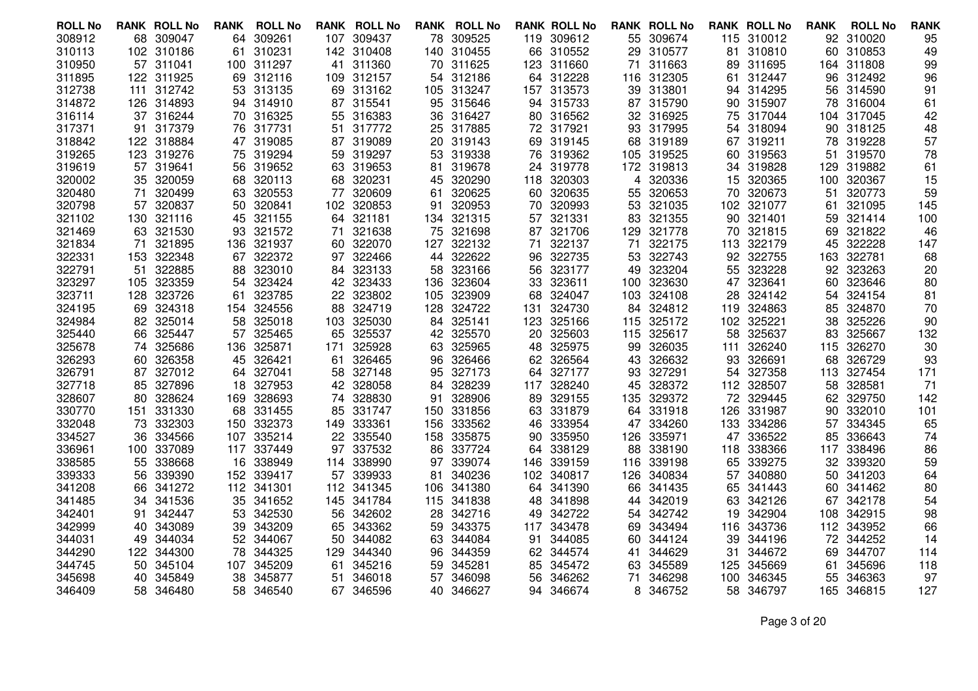| <b>ROLL No</b>   |           | <b>RANK ROLL No</b> | <b>RANK</b> | <b>ROLL No</b>   |           | <b>RANK ROLL No</b> |      | <b>RANK ROLL No</b>  |     | <b>RANK ROLL No</b> |          | <b>RANK ROLL No</b> |            | <b>RANK ROLL No</b> | <b>RANK</b> | <b>ROLL No</b>   | <b>RANK</b> |
|------------------|-----------|---------------------|-------------|------------------|-----------|---------------------|------|----------------------|-----|---------------------|----------|---------------------|------------|---------------------|-------------|------------------|-------------|
| 308912           |           | 68 309047           | 64          | 309261           | 107       | 309437              |      | 78 309525            |     | 119 309612          |          | 55 309674           |            | 115 310012          |             | 92 310020        | 95          |
| 310113           |           | 102 310186          | -61         | 310231           | 142       | 310408              |      | 140 310455           | 66  | 310552              | 29       | 310577              | 81         | 310810              | 60          | 310853           | 49          |
| 310950           |           | 57 311041           |             | 100 311297       | 41        | 311360              |      | 70 311625            |     | 123 311660          | 71       | 311663              | 89.        | 311695              |             | 164 311808       | 99          |
| 311895           |           | 122 311925          | 69          | 312116           |           | 109 312157          |      | 54 312186            |     | 64 312228           |          | 116 312305          | 61.        | 312447              | 96          | 312492           | 96          |
| 312738           |           | 111 312742          | 53          | 313135           | 69        | 313162              |      | 105 313247           |     | 157 313573          | 39       | 313801              | 94         | 314295              | 56          | 314590           | 91          |
| 314872           |           | 126 314893          |             | 94 314910        | 87        | 315541              |      | 95 315646            |     | 94 315733           |          | 87 315790           | 90         | 315907              | 78          | 316004           | 61          |
| 316114           |           | 37 316244           | 70          | 316325           | 55        | 316383              |      | 36 316427            |     | 80 316562           |          | 32 316925           |            | 75 317044           |             | 104 317045       | 42          |
| 317371           | 91        | 317379              | 76          | 317731           | 51        | 317772              | 25   | 317885               |     | 72 317921           | 93       | 317995              | 54         | 318094              | 90          | 318125           | 48          |
| 318842           |           | 122 318884          | 47          | 319085           | 87        | 319089              |      | 20 319143            |     | 69 319145           | 68       | 319189              | 67         | 319211              | 78          | 319228           | 57          |
| 319265           |           | 123 319276          | 75          | 319294           | 59        | 319297              |      | 53 319338            | 76  | 319362              |          | 105 319525          | 60         | 319563              | 51          | 319570           | 78          |
| 319619           | 57        | 319641              | 56          | 319652           | 63        | 319653              | 81   | 319678               | 24  | 319778              | 172      | 319813              | 34         | 319828              | 129         | 319882           | 61          |
| 320002           |           | 35 320059           | 68          | 320113           | 68        | 320231              |      | 45 320290            |     | 118 320303          | 4        | 320336              |            | 15 320365           | 100         | 320367           | 15          |
| 320480           | 71        | 320499              | 63          | 320553           | 77        | 320609              | 61   | 320625               | 60  | 320635              | 55       | 320653              | 70         | 320673              | 51          | 320773           | 59          |
| 320798           | 57        | 320837              | 50          | 320841           | 102       | 320853              | 91   | 320953               | 70  | 320993              | 53       | 321035              | 102        | 321077              | 61          | 321095           | 145         |
| 321102           |           | 130 321116          |             | 45 321155        | 64        | 321181              |      | 134 321315           |     | 57 321331           | 83       | 321355              |            | 90 321401           | 59          | 321414           | 100         |
| 321469           | 63        | 321530              | 93          | 321572           | 71        | 321638              | 75   | 321698               |     | 87 321706           | 129      | 321778              | 70         | 321815              | 69          | 321822           | 46          |
| 321834           | 71        | 321895              | 136         | 321937           | 60        | 322070              | 127  | 322132               | 71  | 322137              | 71       | 322175              | 113        | 322179              | 45          | 322228           | 147         |
| 322331           | 153       | 322348              | 67          | 322372           | 97        | 322466              |      | 44 322622            |     | 96 322735           | 53       | 322743              |            | 92 322755           | 163         | 322781           | 68          |
| 322791           | 51        | 322885              | 88          | 323010           | 84        | 323133              | 58   | 323166               | 56  | 323177              | 49       | 323204              | 55         | 323228              | 92          | 323263           | 20          |
| 323297           | 105       | 323359              | 54          | 323424           | 42        | 323433              | 136. | 323604               | 33  | 323611              | 100      | 323630              | 47         | 323641              | 60          | 323646           | 80          |
| 323711           |           | 128 323726          | -61         | 323785           | 22        | 323802              |      | 105 323909           |     | 68 324047           |          | 103 324108          | 28.        | 324142              | 54.         | 324154           | 81          |
| 324195           |           | 69 324318           | 154         | 324556           | 88        | 324719              | 128. | 324722               | 131 | 324730              | 84       | 324812              | 119        | 324863              | 85          | 324870           | 70          |
| 324984           | 82        | 325014              | 58          | 325018           | 103       | 325030              |      | 84 325141            | 123 | 325166              | 115      | 325172              | 102        | 325221              | 38          | 325226           | 90          |
| 325440           |           | 66 325447           | 57          | 325465           | 65        | 325537              | 42   | 325570               | 20  | 325603              |          | 115 325617          | 58         | 325637              | 83          | 325667           | 132         |
| 325678           | 74        | 325686              | 136         | 325871           | 171       | 325928              | 63   | 325965               | 48  | 325975              | 99       | 326035              | 111        | 326240              | 115         | 326270           | 30          |
| 326293           | 60        | 326358              | 45          | 326421           | 61        | 326465              | 96   | 326466               |     | 62 326564           | 43       | 326632              | 93         | 326691              | 68          | 326729           | 93          |
| 326791           |           | 87 327012           | 64          | 327041           | 58        | 327148              |      | 95 327173            | 64  | 327177              | 93       | 327291              |            | 54 327358           |             | 113 327454       | 171         |
| 327718           | 85        | 327896              | 18          | 327953           | 42        | 328058              | 84   | 328239               |     | 117 328240          | 45       | 328372              |            | 112 328507          | 58          | 328581           | 71          |
| 328607<br>330770 | 80        | 328624<br>331330    | 169         | 328693<br>331455 | 74        | 328830<br>331747    | 91   | 328906<br>150 331856 | 89  | 329155<br>331879    | 135      | 329372<br>331918    |            | 72 329445<br>331987 | 62          | 329750<br>332010 | 142<br>101  |
| 332048           | 151<br>73 | 332303              | 68<br>150   | 332373           | 85<br>149 | 333361              | 156  | 333562               | 63  | 46 333954           | 64<br>47 | 334260              | 126<br>133 | 334286              | 90<br>57    | 334345           | 65          |
| 334527           | 36        | 334566              | 107         | 335214           | 22        | 335540              | 158  | 335875               | 90  | 335950              | 126      | 335971              | 47         | 336522              | 85          | 336643           | 74          |
| 336961           |           | 100 337089          | 117         | 337449           | 97        | 337532              |      | 86 337724            | 64  | 338129              | 88       | 338190              |            | 118 338366          | 117         | 338496           | 86          |
| 338585           | 55        | 338668              | 16          | 338949           | 114       | 338990              | 97   | 339074               | 146 | 339159              | 116      | 339198              | 65         | 339275              | 32          | 339320           | 59          |
| 339333           | 56        | 339390              | 152         | 339417           | 57        | 339933              | 81   | 340236               | 102 | 340817              | 126      | 340834              | 57         | 340880              | 50          | 341203           | 64          |
| 341208           | 66        | 341272              | 112         | 341301           | 112       | 341345              |      | 106 341380           | 64  | 341390              | 66       | 341435              |            | 65 341443           | 60          | 341462           | 80          |
| 341485           | 34        | 341536              | 35          | 341652           | 145       | 341784              |      | 115 341838           | 48  | 341898              | 44       | 342019              | 63         | 342126              | 67          | 342178           | 54          |
| 342401           | 91.       | 342447              | 53          | 342530           | 56        | 342602              | 28   | 342716               | 49  | 342722              | 54       | 342742              | 19         | 342904              | 108         | 342915           | 98          |
| 342999           | 40.       | 343089              | 39          | 343209           | 65        | 343362              |      | 59 343375            | 117 | 343478              | 69       | 343494              |            | 116 343736          |             | 112 343952       | 66          |
| 344031           | 49        | 344034              | 52          | 344067           | 50        | 344082              |      | 63 344084            | 91  | 344085              | 60       | 344124              | 39         | 344196              | 72          | 344252           | 14          |
| 344290           | 122       | 344300              | 78          | 344325           | 129       | 344340              |      | 96 344359            |     | 62 344574           | 41       | 344629              | 31         | 344672              | 69          | 344707           | 114         |
| 344745           |           | 50 345104           | 107         | 345209           | 61        | 345216              |      | 59 345281            | 85  | 345472              | 63       | 345589              | 125.       | 345669              | 61          | 345696           | 118         |
| 345698           | 40        | 345849              | 38          | 345877           | 51        | 346018              | 57   | 346098               | 56  | 346262              | 71       | 346298              | 100        | 346345              | 55          | 346363           | 97          |
| 346409           |           | 58 346480           |             | 58 346540        |           | 67 346596           |      | 40 346627            |     | 94 346674           | 8        | 346752              | 58         | 346797              |             | 165 346815       | 127         |
|                  |           |                     |             |                  |           |                     |      |                      |     |                     |          |                     |            |                     |             |                  |             |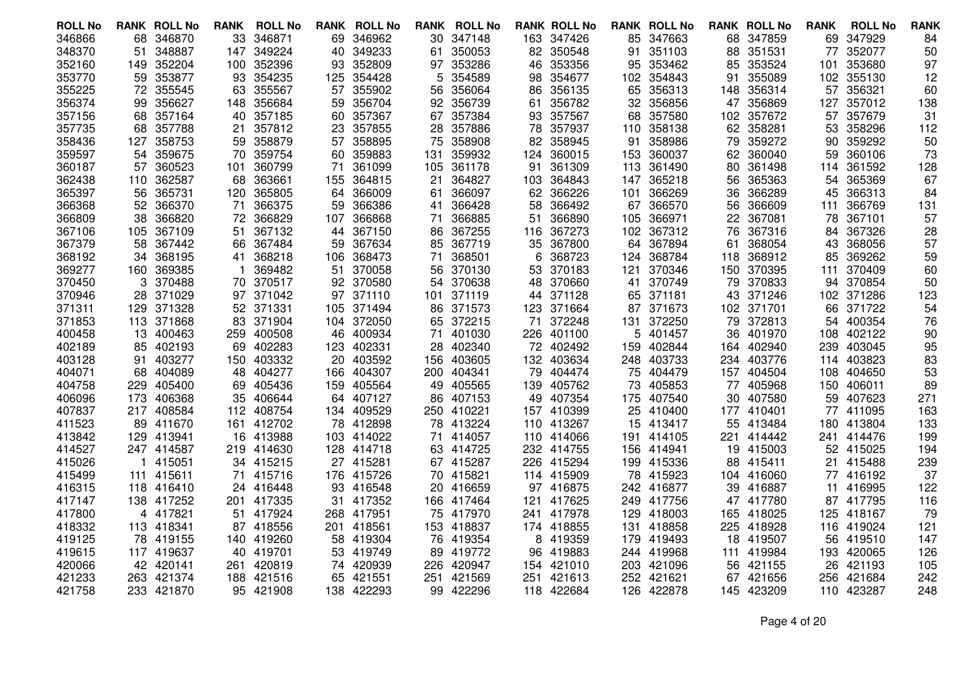| <b>ROLL No</b>   |      | <b>RANK ROLL No</b>      | <b>RANK</b> | <b>ROLL No</b>       | RANK      | <b>ROLL No</b>   |      | <b>RANK ROLL No</b> |     | <b>RANK ROLL No</b> |     | <b>RANK ROLL No</b> |     | <b>RANK ROLL No</b>  | <b>RANK</b> | <b>ROLL No</b>   | <b>RANK</b> |
|------------------|------|--------------------------|-------------|----------------------|-----------|------------------|------|---------------------|-----|---------------------|-----|---------------------|-----|----------------------|-------------|------------------|-------------|
| 346866           | 68   | 346870                   | 33          | 346871               | 69        | 346962           |      | 30 347148           |     | 163 347426          |     | 85 347663           |     | 68 347859            | 69          | 347929           | 84          |
| 348370           | 51   | 348887                   | 147         | 349224               | 40        | 349233           | 61   | 350053              |     | 82 350548           | 91  | 351103              | 88  | 351531               | 77          | 352077           | 50          |
| 352160           | 149. | 352204                   | 100         | 352396               | 93        | 352809           |      | 97 353286           | 46  | 353356              | 95  | 353462              | 85  | 353524               | 101         | 353680           | 97          |
| 353770           | 59.  | 353877                   | 93          | 354235               | 125       | 354428           | 5    | 354589              | 98  | 354677              |     | 102 354843          | 91  | 355089               |             | 102 355130       | 12          |
| 355225           | 72   | 355545                   | 63          | 355567               | 57        | 355902           | 56   | 356064              | 86  | 356135              | 65  | 356313              | 148 | 356314               | 57          | 356321           | 60          |
| 356374           | 99   | 356627                   | 148         | 356684               | 59        | 356704           |      | 92 356739           | 61  | 356782              |     | 32 356856           | 47  | 356869               | 127         | 357012           | 138         |
| 357156           |      | 68 357164                | 40          | 357185               | 60        | 357367           |      | 67 357384           | 93. | 357567              |     | 68 357580           | 102 | 357672               | 57          | 357679           | 31          |
| 357735           | 68   | 357788                   | 21          | 357812               | 23        | 357855           | 28   | 357886              | 78  | 357937              | 110 | 358138              | 62  | 358281               | 53          | 358296           | 112         |
| 358436           | 127  | 358753                   | 59          | 358879               | 57        | 358895           | 75   | 358908              |     | 82 358945           | 91  | 358986              | 79  | 359272               | 90          | 359292           | 50          |
| 359597           |      | 54 359675                | 70          | 359754               | 60        | 359883           | 131  | 359932              | 124 | 360015              |     | 153 360037          | 62. | 360040               | 59          | 360106           | 73          |
| 360187           | 57   | 360523                   | 101         | 360799               | 71        | 361099           | 105. | 361178              | 91  | 361309              | 113 | 361490              | 80  | 361498               | 114         | 361592           | 128         |
| 362438           |      | 110 362587               | 68          | 363661               | 155       | 364815           | 21   | 364827              |     | 103 364843          | 147 | 365218              | 56  | 365363               | 54          | 365369           | 67          |
| 365397           | 56   | 365731                   | 120         | 365805               | 64        | 366009           | 61   | 366097              | 62  | 366226              | 101 | 366269              | 36  | 366289               | 45          | 366313           | 84          |
| 366368           | 52   | 366370                   | 71          | 366375               | 59        | 366386           | 41   | 366428              | 58  | 366492              | 67  | 366570              | 56  | 366609               | 111         | 366769           | 131         |
| 366809           |      | 38 366820                |             | 72 366829            | 107       | 366868           | 71   | 366885              | 51  | 366890              | 105 | 366971              | 22  | 367081               |             | 78 367101        | 57          |
| 367106           |      | 105 367109               | 51          | 367132               | 44        | 367150           | 86   | 367255              | 116 | 367273              |     | 102 367312          | 76  | 367316               | 84          | 367326           | 28          |
| 367379           | 58   | 367442                   | 66          | 367484               | 59        | 367634           | 85   | 367719              | 35  | 367800              | 64  | 367894              | 61  | 368054               | 43          | 368056           | 57          |
| 368192           |      | 34 368195                | 41          | 368218               | 106       | 368473           | 71   | 368501              | 6   | 368723              | 124 | 368784              |     | 118 368912           | 85          | 369262           | 59          |
| 369277           |      | 160 369385               |             | 369482               | 51        | 370058           | 56   | 370130              | 53  | 370183              | 121 | 370346              | 150 | 370395               | 111         | 370409           | 60          |
| 370450           | 3    | 370488                   | 70          | 370517               | 92        | 370580           | 54   | 370638              | 48  | 370660              | 41  | 370749              | 79  | 370833               | 94          | 370854           | 50          |
| 370946           |      | 28 371029                |             | 97 371042            |           | 97 371110        |      | 101 371119          |     | 44 371128           |     | 65 371181           |     | 43 371246            |             | 102 371286       | 123         |
| 371311           |      | 129 371328               | 52          | 371331               |           | 105 371494       | 86.  | 371573              | 123 | 371664              | 87  | 371673              |     | 102 371701           | 66          | 371722           | 54          |
| 371853           |      | 113 371868               | 83          | 371904               | 104       | 372050           | 65   | 372215              | 71  | 372248              | 131 | 372250              | 79  | 372813               | 54          | 400354           | 76          |
| 400458           |      | 13 400463                | 259         | 400508               | 46        | 400934           | 71   | 401030              | 226 | 401100              | 5   | 401457              | 36  | 401970               | 108         | 402122           | 90          |
| 402189           | 85   | 402193                   | 69          | 402283               | 123       | 402331           | 28   | 402340              | 72  | 402492              | 159 | 402844              | 164 | 402940               | 239         | 403045           | 95          |
| 403128           | 91   | 403277                   | 150         | 403332               | 20        | 403592           | 156  | 403605              |     | 132 403634          |     | 248 403733          |     | 234 403776           | 114         | 403823           | 83          |
| 404071           |      | 68 404089                |             | 48 404277            |           | 166 404307       |      | 200 404341          | 79  | 404474              |     | 75 404479           |     | 157 404504           | 108         | 404650           | 53          |
| 404758<br>406096 | 229  | 405400                   | 69          | 405436               | 159       | 405564<br>407127 | 49   | 405565<br>407153    | 139 | 405762<br>407354    | 73  | 405853              | 77  | 405968               | 150<br>59   | 406011<br>407623 | 89<br>271   |
| 407837           |      | 173 406368<br>217 408584 | 35          | 406644<br>112 408754 | 64        | 134 409529       | 86   | 250 410221          | 49  | 410399              | 175 | 407540<br>410400    | 30  | 407580<br>177 410401 |             | 411095           | 163         |
| 411523           |      | 89 411670                |             | 412702               |           | 412898           |      | 78 413224           | 157 | 110 413267          | 25  | 413417              | 55  | 413484               | 77          | 413804           | 133         |
| 413842           |      | 129 413941               | 161<br>16   | 413988               | 78<br>103 | 414022           | 71   | 414057              |     | 110 414066          | 15  | 191 414105          | 221 | 414442               | 180         | 241 414476       | 199         |
| 414527           |      | 247 414587               |             | 219 414630           |           | 128 414718       |      | 63 414725           |     | 232 414755          |     | 156 414941          |     | 19 415003            |             | 52 415025        | 194         |
| 415026           |      | 1 415051                 | 34          | 415215               | 27        | 415281           |      | 67 415287           | 226 | 415294              | 199 | 415336              |     | 88 415411            | 21          | 415488           | 239         |
| 415499           |      | 111 415611               | 71          | 415716               | 176       | 415726           | 70   | 415821              |     | 114 415909          |     | 78 415923           |     | 104 416060           |             | 77 416192        | 37          |
| 416315           |      | 118 416410               | 24          | 416448               | 93        | 416548           |      | 20 416659           |     | 97 416875           |     | 242 416877          |     | 39 416887            | 11          | 416995           | 122         |
| 417147           |      | 138 417252               | 201         | 417335               | 31        | 417352           |      | 166 417464          | 121 | 417625              | 249 | 417756              |     | 47 417780            |             | 87 417795        | 116         |
| 417800           |      | 4 417821                 | 51          | 417924               | 268       | 417951           |      | 75 417970           | 241 | 417978              | 129 | 418003              |     | 165 418025           | 125         | 418167           | 79          |
| 418332           |      | 113 418341               |             | 87 418556            |           | 201 418561       |      | 153 418837          |     | 174 418855          |     | 131 418858          |     | 225 418928           |             | 116 419024       | 121         |
| 419125           |      | 78 419155                |             | 140 419260           | 58        | 419304           | 76   | 419354              | 8   | 419359              | 179 | 419493              |     | 18 419507            | 56          | 419510           | 147         |
| 419615           |      | 117 419637               |             | 40 419701            | 53        | 419749           | 89   | 419772              | 96  | 419883              |     | 244 419968          | 111 | 419984               |             | 193 420065       | 126         |
| 420066           |      | 42 420141                | 261.        | 420819               |           | 74 420939        | 226. | 420947              | 154 | 421010              |     | 203 421096          | 56  | 421155               | 26          | 421193           | 105         |
| 421233           |      | 263 421374               | 188         | 421516               | 65        | 421551           | 251  | 421569              | 251 | 421613              | 252 | 421621              | 67  | 421656               | 256         | 421684           | 242         |
| 421758           |      | 233 421870               |             | 95 421908            |           | 138 422293       |      | 99 422296           |     | 118 422684          |     | 126 422878          |     | 145 423209           |             | 110 423287       | 248         |
|                  |      |                          |             |                      |           |                  |      |                     |     |                     |     |                     |     |                      |             |                  |             |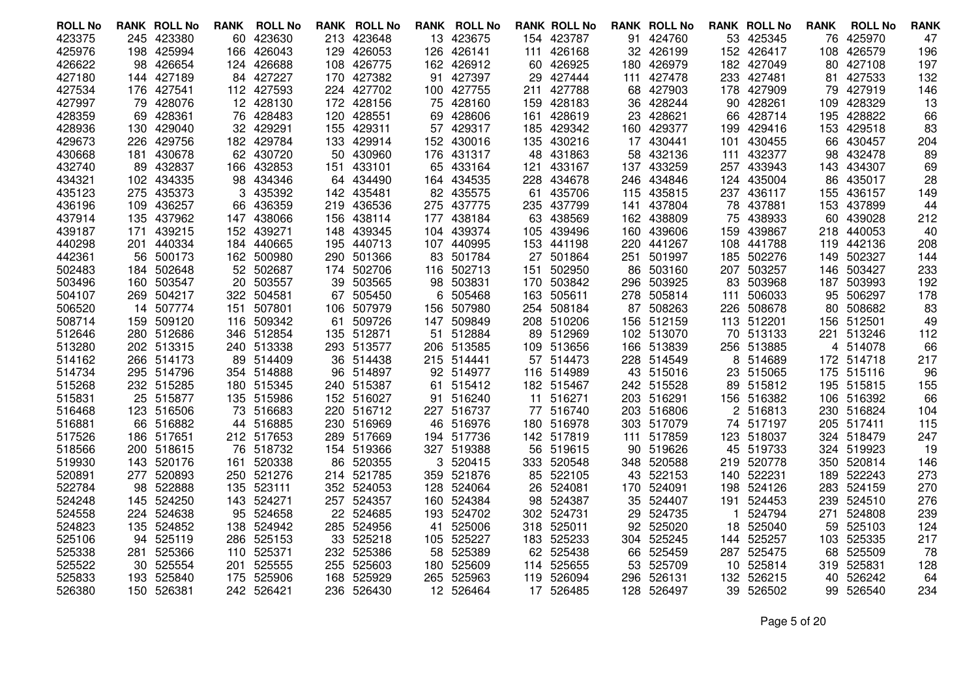| <b>ROLL No</b>   |     | <b>RANK ROLL No</b>     | <b>RANK</b> | <b>ROLL No</b>           |            | <b>RANK ROLL No</b>      |      | <b>RANK ROLL No</b> |     | <b>RANK ROLL No</b>  |     | <b>RANK ROLL No</b>      |     | <b>RANK ROLL No</b>  | <b>RANK</b> | <b>ROLL No</b>   | <b>RANK</b> |
|------------------|-----|-------------------------|-------------|--------------------------|------------|--------------------------|------|---------------------|-----|----------------------|-----|--------------------------|-----|----------------------|-------------|------------------|-------------|
| 423375           |     | 245 423380              | 60          | 423630                   |            | 213 423648               |      | 13 423675           |     | 154 423787           |     | 91 424760                |     | 53 425345            | 76          | 425970           | 47          |
| 425976           |     | 198 425994              | 166         | 426043                   | 129        | 426053                   |      | 126 426141          | 111 | 426168               |     | 32 426199                | 152 | 426417               | 108         | 426579           | 196         |
| 426622           |     | 98 426654               |             | 124 426688               | 108        | 426775                   |      | 162 426912          |     | 60 426925            | 180 | 426979                   |     | 182 427049           |             | 80 427108        | 197         |
| 427180           |     | 144 427189              |             | 84 427227                |            | 170 427382               |      | 91 427397           | 29  | 427444               |     | 111 427478               |     | 233 427481           | 81          | 427533           | 132         |
| 427534           |     | 176 427541              |             | 112 427593               |            | 224 427702               |      | 100 427755          | 211 | 427788               | 68  | 427903                   | 178 | 427909               | 79          | 427919           | 146         |
| 427997           |     | 79 428076               |             | 12 428130                |            | 172 428156               |      | 75 428160           | 159 | 428183               | 36  | 428244                   | 90. | 428261               | 109         | 428329           | 13          |
| 428359           |     | 69 428361               | 76          | 428483                   | 120        | 428551                   |      | 69 428606           | 161 | 428619               |     | 23 428621                |     | 66 428714            | 195         | 428822           | 66          |
| 428936           | 130 | 429040                  | 32.         | 429291                   | 155        | 429311                   | 57   | 429317              | 185 | 429342               | 160 | 429377                   | 199 | 429416               | 153         | 429518           | 83          |
| 429673           |     | 226 429756              |             | 182 429784               | 133        | 429914                   |      | 152 430016          | 135 | 430216               | 17  | 430441                   | 101 | 430455               | 66.         | 430457           | 204         |
| 430668           |     | 181 430678              |             | 62 430720                | 50         | 430960                   |      | 176 431317          | 48  | 431863               |     | 58 432136                |     | 111 432377           | 98          | 432478           | 89          |
| 432740           |     | 89 432837               | 166         | 432853                   | 151        | 433101                   |      | 65 433164           | 121 | 433167               | 137 | 433259                   | 257 | 433943               |             | 143 434307       | 69          |
| 434321           |     | 102 434335              |             | 98 434346                |            | 64 434490                |      | 164 434535          |     | 228 434678           |     | 246 434846               |     | 124 435004           |             | 86 435017        | 28          |
| 435123           |     | 275 435373              | 3           | 435392                   |            | 142 435481               |      | 82 435575           | 61  | 435706               |     | 115 435815               |     | 237 436117           | 155         | 436157           | 149         |
| 436196           |     | 109 436257              | 66          | 436359                   | 219        | 436536                   | 275  | 437775              | 235 | 437799               | 141 | 437804                   | 78  | 437881               | 153         | 437899           | 44          |
| 437914           |     | 135 437962              |             | 147 438066               | 156        | 438114                   |      | 177 438184          |     | 63 438569            |     | 162 438809               |     | 75 438933            |             | 60 439028        | 212         |
| 439187           | 171 | 439215                  |             | 152 439271               | 148        | 439345                   |      | 104 439374          | 105 | 439496               |     | 160 439606               | 159 | 439867               |             | 218 440053       | 40          |
| 440298           |     | 201 440334              | 184         | 440665                   | 195        | 440713                   |      | 107 440995          | 153 | 441198               | 220 | 441267                   | 108 | 441788               | 119         | 442136           | 208         |
| 442361           |     | 56 500173               |             | 162 500980               | 290        | 501366                   |      | 83 501784           |     | 27 501864            |     | 251 501997               |     | 185 502276           |             | 149 502327       | 144         |
| 502483           |     | 184 502648              |             | 52 502687                | 174        | 502706                   |      | 116 502713          | 151 | 502950               | 86  | 503160                   | 207 | 503257               | 146         | 503427           | 233         |
| 503496           |     | 160 503547              | 20          | 503557                   | 39         | 503565                   |      | 98 503831           | 170 | 503842               | 296 | 503925                   | 83  | 503968               |             | 187 503993       | 192         |
| 504107           |     | 269 504217              |             | 322 504581               | 67         | 505450                   |      | 6 505468            |     | 163 505611           |     | 278 505814               | 111 | 506033               | 95          | 506297           | 178         |
| 506520           |     | 14 507774               | 151         | 507801                   | 106        | 507979                   | 156. | 507980              | 254 | 508184               | 87  | 508263                   | 226 | 508678               | 80          | 508682           | 83          |
| 508714           |     | 159 509120              | 116         | 509342                   | 61         | 509726                   | 147. | 509849              | 208 | 510206               | 156 | 512159                   |     | 113 512201           | 156         | 512501           | 49          |
| 512646           |     | 280 512686              |             | 346 512854               |            | 135 512871               | 51   | 512884              | 89  | 512969               |     | 102 513070               |     | 70 513133            |             | 221 513246       | 112         |
| 513280           |     | 202 513315              |             | 240 513338               |            | 293 513577               |      | 206 513585          |     | 109 513656           | 166 | 513839                   | 256 | 513885               |             | 4 514078         | 66          |
| 514162           |     | 266 514173              | 89          | 514409                   | 36         | 514438                   |      | 215 514441          |     | 57 514473            | 228 | 514549                   | 8   | 514689               |             | 172 514718       | 217         |
| 514734           |     | 295 514796              |             | 354 514888               | 96         | 514897                   |      | 92 514977           |     | 116 514989           |     | 43 515016                |     | 23 515065            |             | 175 515116       | 96          |
| 515268           |     | 232 515285<br>25 515877 |             | 180 515345<br>135 515986 |            | 240 515387<br>152 516027 | 61   | 515412<br>516240    |     | 182 515467<br>516271 |     | 242 515528<br>203 516291 | 89  | 515812               | 195         | 515815<br>516392 | 155         |
| 515831<br>516468 |     | 123 516506              |             | 516683                   |            | 220 516712               | 91   | 227 516737          | 11  | 77 516740            |     | 203 516806               |     | 156 516382<br>516813 | 106         | 516824           | 66          |
| 516881           |     | 66 516882               | 73.         | 44 516885                |            | 516969                   |      | 46 516976           |     | 180 516978           |     | 303 517079               | 2   | 74 517197            | 230<br>205  | 517411           | 104<br>115  |
| 517526           |     | 186 517651              |             | 212 517653               | 230<br>289 | 517669                   |      | 194 517736          |     | 142 517819           | 111 | 517859                   | 123 | 518037               |             | 324 518479       | 247         |
| 518566           |     | 200 518615              |             | 76 518732                |            | 154 519366               |      | 327 519388          | 56  | 519615               | 90  | 519626                   |     | 45 519733            | 324         | 519923           | 19          |
| 519930           |     | 143 520176              | 161         | 520338                   | 86         | 520355                   |      | 3 520415            |     | 333 520548           |     | 348 520588               |     | 219 520778           |             | 350 520814       | 146         |
| 520891           | 277 | 520893                  |             | 250 521276               | 214        | 521785                   |      | 359 521876          |     | 85 522105            |     | 43 522153                | 140 | 522231               | 189         | 522243           | 273         |
| 522784           |     | 98 522888               | 135         | 523111                   |            | 352 524053               |      | 128 524064          | 26  | 524081               |     | 170 524091               |     | 198 524126           | 283         | 524159           | 270         |
| 524248           |     | 145 524250              | 143         | 524271                   | 257        | 524357                   | 160. | 524384              | 98  | 524387               | 35  | 524407                   | 191 | 524453               | 239         | 524510           | 276         |
| 524558           |     | 224 524638              | 95          | 524658                   | 22         | 524685                   | 193  | 524702              |     | 302 524731           | 29  | 524735                   | 1   | 524794               | 271         | 524808           | 239         |
| 524823           |     | 135 524852              | 138         | 524942                   | 285        | 524956                   | 41   | 525006              |     | 318 525011           | 92. | 525020                   |     | 18 525040            |             | 59 525103        | 124         |
| 525106           |     | 94 525119               |             | 286 525153               | 33         | 525218                   |      | 105 525227          |     | 183 525233           | 304 | 525245                   |     | 144 525257           |             | 103 525335       | 217         |
| 525338           | 281 | 525366                  | 110         | 525371                   | 232        | 525386                   | 58   | 525389              |     | 62 525438            | 66  | 525459                   |     | 287 525475           | 68          | 525509           | 78          |
| 525522           |     | 30 525554               | 201         | 525555                   | 255        | 525603                   | 180. | 525609              | 114 | 525655               | 53  | 525709                   |     | 10 525814            | 319         | 525831           | 128         |
| 525833           | 193 | 525840                  | 175         | 525906                   | 168        | 525929                   |      | 265 525963          | 119 | 526094               | 296 | 526131                   | 132 | 526215               | 40          | 526242           | 64          |
| 526380           |     | 150 526381              |             | 242 526421               |            | 236 526430               |      | 12 526464           |     | 17 526485            |     | 128 526497               |     | 39 526502            |             | 99 526540        | 234         |
|                  |     |                         |             |                          |            |                          |      |                     |     |                      |     |                          |     |                      |             |                  |             |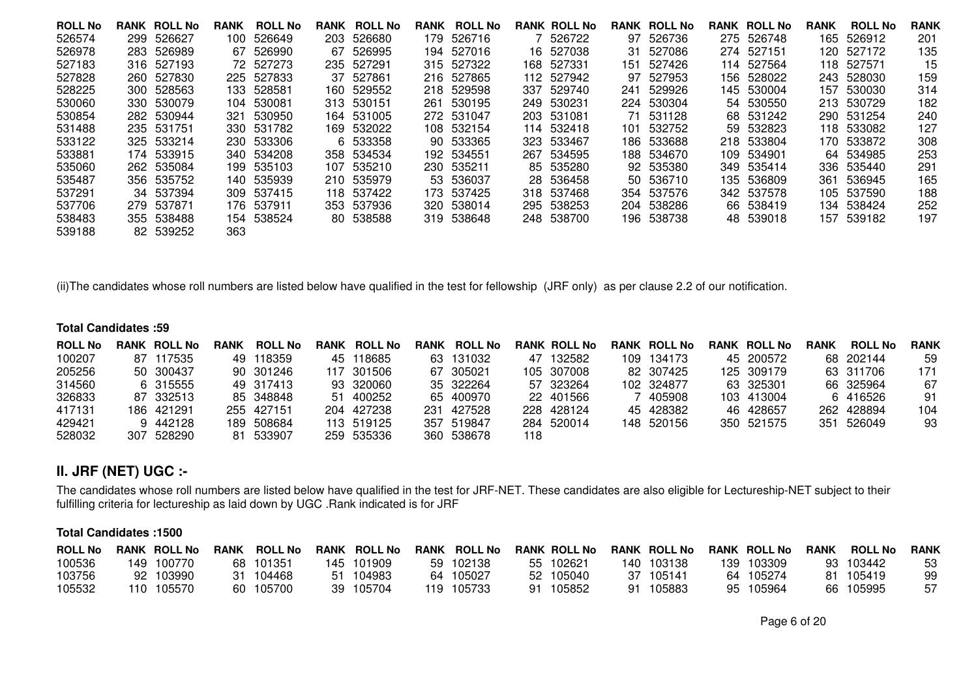| <b>ROLL No</b> | <b>RANK ROLL No</b> | <b>RANK</b> | <b>ROLL No</b> | <b>RANK ROLL No</b> | <b>RANK</b> | <b>ROLL No</b> |      | <b>RANK ROLL No</b> |      | <b>RANK ROLL No</b> | <b>RANK ROLL No</b> | <b>RANK</b> | <b>ROLL No</b> | <b>RANK</b> |
|----------------|---------------------|-------------|----------------|---------------------|-------------|----------------|------|---------------------|------|---------------------|---------------------|-------------|----------------|-------------|
| 526574         | 299 526627          |             | 100 526649     | 203 526680          |             | 179 526716     |      | 7 526722            |      | 97 526736           | 275 526748          |             | 165 526912     | 201         |
| 526978         | 283 526989          |             | 67 526990      | 67 526995           |             | 194 527016     |      | 16 527038           |      | 31 527086           | 274 527151          |             | 120 527172     | 135         |
| 527183         | 316 527193          |             | 72 527273      | 235 527291          |             | 315 527322     |      | 168 527331          | 151  | 527426              | 114 527564          | 118         | 527571         | 15          |
| 527828         | 260 527830          |             | 225 527833     | 37 527861           |             | 216 527865     |      | 112 527942          |      | 97 527953           | 156 528022          |             | 243 528030     | 159         |
| 528225         | 300 528563          |             | 133 528581     | 160 529552          |             | 218 529598     |      | 337 529740          |      | 241 529926          | 145 530004          |             | 157 530030     | 314         |
| 530060         | 330 530079          |             | 104 530081     | 313 530151          |             | 261 530195     |      | 249 530231          |      | 224 530304          | 54 530550           |             | 213 530729     | 182         |
| 530854         | 282 530944          | 321.        | 530950         | 164 531005          |             | 272 531047     |      | 203 531081          |      | 71 531128           | 68 531242           |             | 290 531254     | 240         |
| 531488         | 235 531751          |             | 330 531782     | 169 532022          |             | 108 532154     |      | 114 532418          | 101  | 532752              | 59 532823           |             | 118 533082     | 127         |
| 533122         | 325 533214          |             | 230 533306     | 6 533358            |             | 90 533365      |      | 323 533467          | 186. | 533688              | 218 533804          |             | 170 533872     | 308         |
| 533881         | 174 533915          |             | 340 534208     | 358 534534          |             | 192 534551     | 267. | 534595              |      | 188 534670          | 109 534901          |             | 64 534985      | 253         |
| 535060         | 262 535084          |             | 199 535103     | 107 535210          |             | 230 535211     |      | 85 535280           |      | 92 535380           | 349 535414          |             | 336 535440     | 291         |
| 535487         | 356 535752          |             | 140 535939     | 210 535979          |             | 53 536037      |      | 28 536458           |      | 50 536710           | 135 536809          | 361         | 536945         | 165         |
| 537291         | 34 537394           |             | 309 537415     | 118 537422          |             | 173 537425     |      | 318 537468          |      | 354 537576          | 342 537578          |             | 105 537590     | 188         |
| 537706         | 279 537871          |             | 176 537911     | 353 537936          |             | 320 538014     |      | 295 538253          |      | 204 538286          | 66 538419           |             | 134 538424     | 252         |
| 538483         | 355 538488          |             | 154 538524     | 80 538588           |             | 319 538648     |      | 248 538700          |      | 196 538738          | 48 539018           | 157.        | 539182         | 197         |
| 539188         | 82 539252           | 363         |                |                     |             |                |      |                     |      |                     |                     |             |                |             |
|                |                     |             |                |                     |             |                |      |                     |      |                     |                     |             |                |             |

(ii)The candidates whose roll numbers are listed below have qualified in the test for fellowship (JRF only) as per clause 2.2 of our notification.

#### **Total Candidates :59**

| <b>ROLL No</b> | <b>RANK ROLL No</b> | <b>RANK</b> | <b>ROLL No</b> | RANK | <b>ROLL No</b> | RANK | <b>ROLL No</b> |     | <b>RANK ROLL No</b> | <b>RANK ROLL No</b> | <b>RANK ROLL No</b> | RANK | <b>ROLL No</b> | <b>RANK</b> |
|----------------|---------------------|-------------|----------------|------|----------------|------|----------------|-----|---------------------|---------------------|---------------------|------|----------------|-------------|
| 100207         | 87 117535           |             | 49 118359      |      | 45 118685      |      | 63 131032      |     | 47 132582           | 109 134173          | 45 200572           |      | 68 202144      | 59          |
| 205256         | 50 300437           |             | 90 301246      |      | 117 301506     |      | 67 305021      |     | 105 307008          | 82 307425           | 125 309179          |      | 63 311706      | 171         |
| 314560         | 6 315555            |             | 49 317413      |      | 93 320060      |      | 35 322264      |     | 57 323264           | 102 324877          | 63 325301           |      | 66 325964      | 67          |
| 326833         | 87 332513           |             | 85 348848      |      | 51 400252      |      | 65 400970      |     | 22 401566           | 405908              | 103 413004          |      | 6 416526       | 91          |
| 417131         | 186 421291          |             | 255 427151     |      | 204 427238     |      | 231 427528     |     | 228 428124          | 45 428382           | 46 428657           |      | 262 428894     | 104         |
| 429421         | 9 442128            |             | 189 508684     |      | 113 519125     |      | 357 519847     |     | 284 520014          | 148 520156          | 350 521575          |      | 351 526049     | 93          |
| 528032         | 307 528290          |             | 81 533907      |      | 259 535336     |      | 360 538678     | 118 |                     |                     |                     |      |                |             |

# **II. JRF (NET) UGC :-**

The candidates whose roll numbers are listed below have qualified in the test for JRF-NET. These candidates are also eligible for Lectureship-NET subject to their fulfilling criteria for lectureship as laid down by UGC .Rank indicated is for JRF

#### **Total Candidates :1500**

| <b>ROLL No</b> |    | <b>RANK ROLL No</b> | <b>RANK</b> | <b>ROLL No</b> | <b>RANK ROLL No</b> | RANK | <b>ROLL No</b> |    | <b>RANK ROLL No</b> | <b>RANK ROLL No</b> |     | <b>RANK ROLL No</b> | <b>RANK</b> | <b>ROLL No</b> | <b>RANK</b> |
|----------------|----|---------------------|-------------|----------------|---------------------|------|----------------|----|---------------------|---------------------|-----|---------------------|-------------|----------------|-------------|
| 100536         |    | 149 100770          |             | 68 101351      | 145 101909          |      | 59 102138      | 55 | 102621              | 140 103138          | 139 | 103309              |             | 93 103442      | 53          |
| 103756         | 92 | 103990              | 31          | 104468         | 51 104983           |      | 64 105027      |    | 52 105040           | 37 105141           |     | 64 105274           | 81.         | 105419         | 99          |
| 105532         |    | 110 105570          |             | 60 105700      | 39 105704           |      | 119 105733     | 91 | 105852              | 91 105883           |     | 95 105964           |             | 66 105995      | 57          |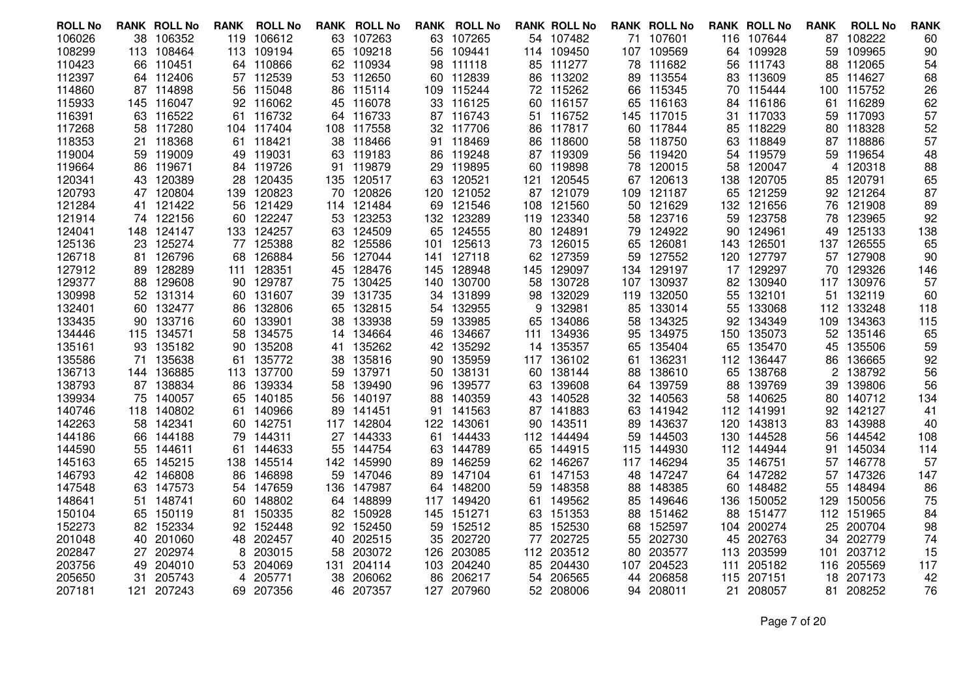| <b>ROLL No</b>   |     | <b>RANK ROLL No</b> | RANK      | <b>ROLL No</b>   |           | <b>RANK ROLL No</b> |      | <b>RANK ROLL No</b> |          | <b>RANK ROLL No</b> |            | <b>RANK ROLL No</b> |     | <b>RANK ROLL No</b>  | <b>RANK</b> | <b>ROLL No</b>   | <b>RANK</b> |
|------------------|-----|---------------------|-----------|------------------|-----------|---------------------|------|---------------------|----------|---------------------|------------|---------------------|-----|----------------------|-------------|------------------|-------------|
| 106026           |     | 38 106352           | 119       | 106612           |           | 63 107263           |      | 63 107265           |          | 54 107482           |            | 71 107601           |     | 116 107644           |             | 87 108222        | 60          |
| 108299           |     | 113 108464          | 113       | 109194           | 65        | 109218              | 56   | 109441              |          | 114 109450          |            | 107 109569          | 64  | 109928               | 59          | 109965           | 90          |
| 110423           | 66  | 110451              |           | 64 110866        | 62        | 110934              | 98   | 111118              | 85       | 111277              | 78         | 111682              | 56  | 111743               | 88          | 112065           | 54          |
| 112397           |     | 64 112406           |           | 57 112539        |           | 53 112650           |      | 60 112839           | 86       | 113202              |            | 89 113554           | 83. | 113609               | 85          | 114627           | 68          |
| 114860           |     | 87 114898           | 56        | 115048           | 86        | 115114              | 109. | 115244              |          | 72 115262           |            | 66 115345           | 70  | 115444               |             | 100 115752       | 26          |
| 115933           |     | 145 116047          | 92        | 116062           | 45        | 116078              |      | 33 116125           |          | 60 116157           | 65         | 116163              | 84  | 116186               | 61          | 116289           | 62          |
| 116391           |     | 63 116522           | 61.       | 116732           | 64.       | 116733              |      | 87 116743           |          | 51 116752           |            | 145 117015          |     | 31 117033            |             | 59 117093        | 57          |
| 117268           | 58  | 117280              | 104       | 117404           | 108       | 117558              | 32   | 117706              | 86       | 117817              | 60         | 117844              | 85  | 118229               | 80          | 118328           | 52          |
| 118353           |     | 21 118368           | 61.       | 118421           | 38        | 118466              |      | 91 118469           | 86       | 118600              | 58         | 118750              | 63  | 118849               |             | 87 118886        | 57          |
| 119004           |     | 59 119009           | 49        | 119031           |           | 63 119183           |      | 86 119248           |          | 87 119309           | 56         | 119420              | 54  | 119579               | 59.         | 119654           | 48          |
| 119664           | 86  | 119671              | 84.       | 119726           | 91        | 119879              | 29   | 119895              | 60       | 119898              | 78         | 120015              | 58  | 120047               | 4           | 120318           | 88          |
| 120341           |     | 43 120389           | 28        | 120435           | 135       | 120517              |      | 63 120521           |          | 121 120545          |            | 67 120613           | 138 | 120705               | 85          | 120791           | 65          |
| 120793           |     | 47 120804           | 139       | 120823           | 70        | 120826              |      | 120 121052          |          | 87 121079           |            | 109 121187          | 65  | 121259               |             | 92 121264        | 87          |
| 121284           | 41  | 121422              | 56        | 121429           | 114       | 121484              | 69   | 121546              | 108      | 121560              | 50         | 121629              | 132 | 121656               | 76          | 121908           | 89          |
| 121914           |     | 74 122156           | 60        | 122247           | 53        | 123253              |      | 132 123289          |          | 119 123340          |            | 58 123716           | 59  | 123758               |             | 78 123965        | 92          |
| 124041           |     | 148 124147          | 133       | 124257           | 63        | 124509              |      | 65 124555           |          | 80 124891           | 79         | 124922              | 90  | 124961               | 49          | 125133           | 138         |
| 125136           | 23  | 125274              | 77        | 125388           | 82        | 125586              | 101  | 125613              | 73       | 126015              | 65         | 126081              | 143 | 126501               |             | 137 126555       | 65          |
| 126718           | 81. | 126796              | 68        | 126884           | 56        | 127044              |      | 141 127118          |          | 62 127359           |            | 59 127552           |     | 120 127797           |             | 57 127908        | 90          |
| 127912           | 89. | 128289              | 111       | 128351           | 45        | 128476              |      | 145 128948          | 145      | 129097              |            | 134 129197          | 17  | 129297               | 70          | 129326           | 146         |
| 129377           | 88  | 129608              | 90        | 129787           | 75        | 130425              | 140  | 130700              | 58       | 130728              | 107        | 130937              | 82  | 130940               |             | 117 130976       | 57          |
| 130998           |     | 52 131314           |           | 60 131607        | 39        | 131735              | 34   | 131899              | 98       | 132029              |            | 119 132050          | 55  | 132101               |             | 51 132119        | 60          |
| 132401           |     | 60 132477           | 86        | 132806           | 65        | 132815              |      | 54 132955           | 9        | 132981              | 85         | 133014              | 55  | 133068               | 112         | 133248           | 118         |
| 133435           |     | 90 133716           | 60        | 133901           | 38        | 133938              | 59   | 133985              | 65       | 134086              | 58         | 134325              | 92  | 134349               | 109         | 134363           | 115         |
| 134446           |     | 115 134571          | 58        | 134575           | 14        | 134664              |      | 46 134667           |          | 111 134936          | 95         | 134975              | 150 | 135073               |             | 52 135146        | 65          |
| 135161           | 93  | 135182              | 90        | 135208           | 41        | 135262              |      | 42 135292           | 14       | 135357              | 65         | 135404              | 65  | 135470               | 45          | 135506           | 59          |
| 135586           | 71  | 135638              | 61        | 135772           | 38        | 135816              | 90   | 135959              |          | 117 136102          | 61         | 136231              | 112 | 136447               | 86          | 136665           | 92          |
| 136713           |     | 144 136885          |           | 113 137700       | 59        | 137971              |      | 50 138131           |          | 60 138144           | 88         | 138610              | 65  | 138768               | 2           | 138792           | 56          |
| 138793           |     | 87 138834           | 86        | 139334           | 58        | 139490              | 96   | 139577              | 63       | 139608              | 64.        | 139759              | 88  | 139769               | 39          | 139806           | 56          |
| 139934           |     | 75 140057           | 65        | 140185           | 56        | 140197              | 88   | 140359              | 43       | 140528              | 32         | 140563              | 58  | 140625               | 80          | 140712           | 134         |
| 140746           |     | 118 140802          | 61        | 140966           | 89        | 141451              |      | 91 141563           | 87       | 141883              | 63         | 141942              |     | 112 141991           |             | 92 142127        | 41          |
| 142263           | 58  | 142341              | 60        | 142751           | 117       | 142804              |      | 122 143061          | 90       | 143511              | 89         | 143637              | 120 | 143813               | 83          | 143988           | 40          |
| 144186           | 66  | 144188              | 79        | 144311           | 27        | 144333              |      | 61 144433           | 112      | 144494              | 59         | 144503              | 130 | 144528               | 56          | 144542           | 108         |
| 144590<br>145163 | 65  | 55 144611<br>145215 | 61<br>138 | 144633<br>145514 | 55<br>142 | 144754<br>145990    | 89.  | 63 144789<br>146259 | 65<br>62 | 144915<br>146267    | 115<br>117 | 144930<br>146294    | 35  | 112 144944<br>146751 | 91<br>57    | 145034<br>146778 | 114<br>57   |
| 146793           |     | 42 146808           | 86        | 146898           | 59        | 147046              | 89   | 147104              | 61       | 147153              | 48         | 147247              |     | 64 147282            | 57          | 147326           | 147         |
| 147548           |     | 63 147573           | 54        | 147659           | 136.      | 147987              |      | 64 148200           | 59       | 148358              | 88         | 148385              |     | 60 148482            | 55          | 148494           | 86          |
| 148641           | 51. | 148741              | 60        | 148802           | 64        | 148899              |      | 117 149420          | 61       | 149562              | 85         | 149646              | 136 | 150052               | 129         | 150056           | 75          |
| 150104           |     | 65 150119           | 81        | 150335           | 82        | 150928              |      | 145 151271          | 63       | 151353              | 88         | 151462              | 88  | 151477               |             | 112 151965       | 84          |
| 152273           |     | 82 152334           | 92        | 152448           | 92.       | 152450              |      | 59 152512           | 85       | 152530              |            | 68 152597           |     | 104 200274           | 25          | 200704           | 98          |
| 201048           | 40  | 201060              | 48        | 202457           | 40        | 202515              | 35   | 202720              | 77       | 202725              | 55         | 202730              | 45  | 202763               | 34          | 202779           | 74          |
| 202847           |     | 27 202974           | 8         | 203015           | 58        | 203072              | 126  | 203085              |          | 112 203512          | 80         | 203577              | 113 | 203599               | 101         | 203712           | 15          |
| 203756           | 49  | 204010              | 53        | 204069           | 131       | 204114              |      | 103 204240          | 85       | 204430              | 107        | 204523              | 111 | 205182               | 116         | 205569           | 117         |
| 205650           | 31  | 205743              | 4         | 205771           | 38        | 206062              | 86   | 206217              | 54       | 206565              | 44         | 206858              | 115 | 207151               | 18          | 207173           | 42          |
| 207181           |     | 121 207243          |           | 69 207356        |           | 46 207357           |      | 127 207960          |          | 52 208006           | 94         | 208011              |     | 21 208057            |             | 81 208252        | 76          |
|                  |     |                     |           |                  |           |                     |      |                     |          |                     |            |                     |     |                      |             |                  |             |

Page 7 of 20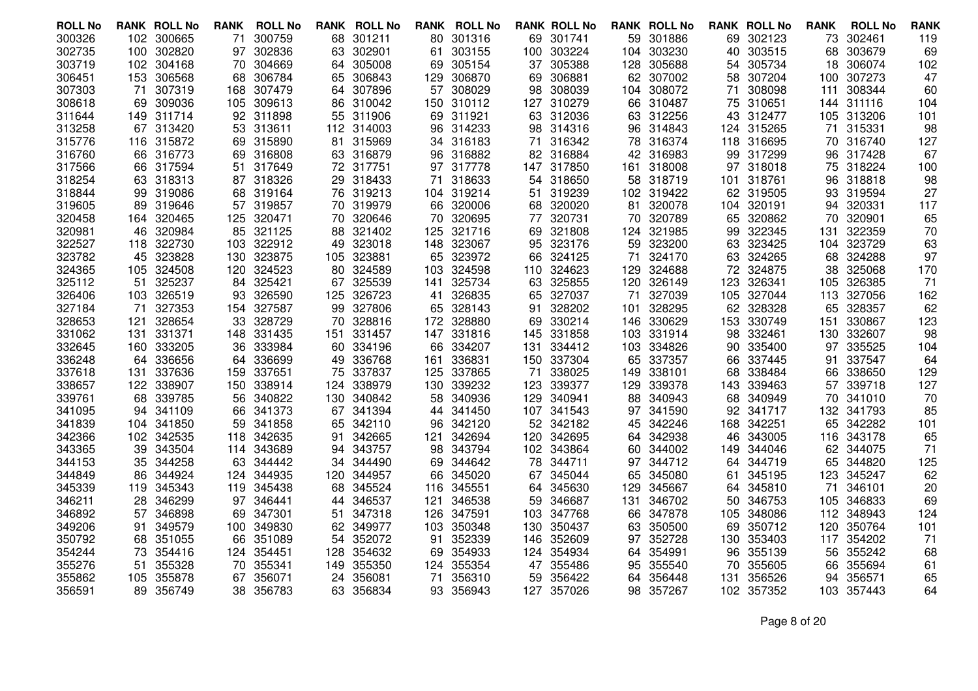| <b>ROLL No</b> |     | <b>RANK ROLL No</b> | <b>RANK</b> | <b>ROLL No</b> | RANK | <b>ROLL No</b> | RANK | <b>ROLL No</b> |                  | <b>RANK ROLL No</b> |     | <b>RANK ROLL No</b> |      | <b>RANK ROLL No</b> | <b>RANK</b> | <b>ROLL No</b> | <b>RANK</b> |
|----------------|-----|---------------------|-------------|----------------|------|----------------|------|----------------|------------------|---------------------|-----|---------------------|------|---------------------|-------------|----------------|-------------|
| 300326         |     | 102 300665          | 71          | 300759         | 68   | 301211         |      | 80 301316      |                  | 69 301741           |     | 59 301886           |      | 69 302123           | 73          | 302461         | 119         |
| 302735         | 100 | 302820              | 97          | 302836         | 63   | 302901         | 61   | 303155         | 100 <sub>1</sub> | 303224              | 104 | 303230              | 40   | 303515              | 68          | 303679         | 69          |
| 303719         |     | 102 304168          | 70          | 304669         | 64   | 305008         |      | 69 305154      |                  | 37 305388           | 128 | 305688              | 54   | 305734              | 18          | 306074         | 102         |
| 306451         |     | 153 306568          | 68          | 306784         | 65   | 306843         |      | 129 306870     | 69               | 306881              |     | 62 307002           | 58.  | 307204              | 100         | 307273         | 47          |
| 307303         | 71  | 307319              | 168         | 307479         | 64   | 307896         | 57   | 308029         | 98               | 308039              | 104 | 308072              | 71   | 308098              | 111         | 308344         | 60          |
| 308618         | 69  | 309036              | 105         | 309613         | 86   | 310042         |      | 150 310112     |                  | 127 310279          | 66  | 310487              | 75   | 310651              |             | 144 311116     | 104         |
| 311644         |     | 149 311714          |             | 92 311898      | 55   | 311906         |      | 69 311921      |                  | 63 312036           |     | 63 312256           |      | 43 312477           | 105         | 313206         | 101         |
| 313258         | 67  | 313420              | 53          | 313611         | 112  | 314003         | 96   | 314233         | 98               | 314316              | 96  | 314843              | 124  | 315265              | 71          | 315331         | 98          |
| 315776         |     | 116 315872          |             | 69 315890      | 81   | 315969         |      | 34 316183      | 71               | 316342              |     | 78 316374           | 118  | 316695              |             | 70 316740      | 127         |
| 316760         |     | 66 316773           | 69          | 316808         |      | 63 316879      | 96   | 316882         | 82               | 316884              |     | 42 316983           |      | 99 317299           | 96          | 317428         | 67          |
| 317566         | 66  | 317594              | 51          | 317649         | 72   | 317751         | 97   | 317778         | 147              | 317850              | 161 | 318008              | 97   | 318018              | 75          | 318224         | 100         |
| 318254         |     | 63 318313           | 87          | 318326         |      | 29 318433      |      | 71 318633      |                  | 54 318650           |     | 58 318719           | 101  | 318761              |             | 96 318818      | 98          |
| 318844         | 99  | 319086              | 68          | 319164         |      | 76 319213      |      | 104 319214     | 51               | 319239              |     | 102 319422          |      | 62 319505           | 93          | 319594         | 27          |
| 319605         | 89  | 319646              | 57          | 319857         | 70   | 319979         | 66   | 320006         | 68               | 320020              | 81  | 320078              | 104  | 320191              | 94          | 320331         | 117         |
| 320458         |     | 164 320465          |             | 125 320471     | 70   | 320646         |      | 70 320695      |                  | 77 320731           | 70  | 320789              |      | 65 320862           | 70          | 320901         | 65          |
| 320981         | 46  | 320984              | 85          | 321125         | 88   | 321402         | 125  | 321716         | 69               | 321808              | 124 | 321985              | 99   | 322345              | 131         | 322359         | 70          |
| 322527         | 118 | 322730              | 103         | 322912         | 49   | 323018         | 148  | 323067         | 95               | 323176              | 59  | 323200              | 63   | 323425              | 104         | 323729         | 63          |
| 323782         |     | 45 323828           |             | 130 323875     | 105  | 323881         |      | 65 323972      |                  | 66 324125           | 71  | 324170              |      | 63 324265           | 68          | 324288         | 97          |
| 324365         | 105 | 324508              | 120         | 324523         | 80   | 324589         | 103  | 324598         | 110              | 324623              | 129 | 324688              | 72   | 324875              | 38          | 325068         | 170         |
| 325112         | 51  | 325237              | 84          | 325421         | 67   | 325539         | 141  | 325734         | 63               | 325855              | 120 | 326149              | 123  | 326341              | 105         | 326385         | 71          |
| 326406         |     | 103 326519          | 93          | 326590         | 125  | 326723         | 41   | 326835         |                  | 65 327037           | 71  | 327039              | 105  | 327044              |             | 113 327056     | 162         |
| 327184         | 71  | 327353              | 154         | 327587         | 99   | 327806         | 65   | 328143         | 91               | 328202              | 101 | 328295              | 62   | 328328              | 65          | 328357         | 62          |
| 328653         | 121 | 328654              | 33          | 328729         | 70   | 328816         | 172  | 328880         | 69               | 330214              | 146 | 330629              | 153  | 330749              | 151         | 330867         | 123         |
| 331062         |     | 131 331371          | 148         | 331435         | 151  | 331457         |      | 147 331816     | 145              | 331858              | 103 | 331914              | 98   | 332461              | 130         | 332607         | 98          |
| 332645         | 160 | 333205              | 36          | 333984         | 60   | 334196         | 66   | 334207         | 131              | 334412              | 103 | 334826              | 90   | 335400              | 97          | 335525         | 104         |
| 336248         |     | 64 336656           | 64          | 336699         | 49   | 336768         | 161  | 336831         |                  | 150 337304          | 65  | 337357              | 66   | 337445              | 91          | 337547         | 64          |
| 337618         | 131 | 337636              | 159         | 337651         | 75   | 337837         | 125. | 337865         | 71               | 338025              | 149 | 338101              | 68   | 338484              | 66          | 338650         | 129         |
| 338657         |     | 122 338907          | 150         | 338914         | 124  | 338979         |      | 130 339232     | 123              | 339377              | 129 | 339378              | 143  | 339463              | 57          | 339718         | 127         |
| 339761         | 68  | 339785              | 56          | 340822         | 130  | 340842         |      | 58 340936      | 129              | 340941              | 88  | 340943              | 68   | 340949              | 70          | 341010         | 70          |
| 341095         |     | 94 341109           | 66          | 341373         | 67   | 341394         |      | 44 341450      | 107              | 341543              | 97  | 341590              | 92.  | 341717              | 132         | 341793         | 85          |
| 341839         | 104 | 341850              | 59.         | 341858         | 65   | 342110         | 96   | 342120         | 52               | 342182              | 45  | 342246              | 168  | 342251              | 65          | 342282         | 101         |
| 342366         | 102 | 342535              | 118         | 342635         | 91   | 342665         | 121  | 342694         | 120              | 342695              | 64  | 342938              | 46   | 343005              | 116         | 343178         | 65          |
| 343365         | 39. | 343504              | 114         | 343689         | 94   | 343757         |      | 98 343794      |                  | 102 343864          | 60  | 344002              | 149. | 344046              |             | 62 344075      | 71          |
| 344153         | 35  | 344258              | 63          | 344442         | 34   | 344490         | 69   | 344642         | 78               | 344711              | 97  | 344712              | 64   | 344719              | 65          | 344820         | 125         |
| 344849         | 86  | 344924              | 124         | 344935         | 120  | 344957         | 66   | 345020         | 67               | 345044              | 65  | 345080              | 61   | 345195              | 123         | 345247         | 62          |
| 345339         | 119 | 345343              | 119         | 345438         | 68   | 345524         | 116  | 345551         | 64               | 345630              | 129 | 345667              | 64   | 345810              | 71          | 346101         | 20          |
| 346211         | 28  | 346299              | 97          | 346441         | 44   | 346537         | 121  | 346538         | 59               | 346687              | 131 | 346702              | 50   | 346753              | 105         | 346833         | 69          |
| 346892         | 57  | 346898              | 69          | 347301         | 51   | 347318         | 126. | 347591         | 103              | 347768              | 66  | 347878              | 105  | 348086              |             | 112 348943     | 124         |
| 349206         | 91. | 349579              | 100         | 349830         | 62.  | 349977         |      | 103 350348     | 130              | 350437              | 63  | 350500              | 69   | 350712              | 120         | 350764         | 101         |
| 350792         | 68  | 351055              | 66          | 351089         | 54   | 352072         | 91   | 352339         | 146              | 352609              | 97  | 352728              | 130  | 353403              | 117         | 354202         | 71          |
| 354244         | 73  | 354416              | 124         | 354451         | 128  | 354632         | 69   | 354933         |                  | 124 354934          | 64  | 354991              | 96   | 355139              | 56          | 355242         | 68          |
| 355276         | 51  | 355328              | 70          | 355341         | 149  | 355350         | 124  | 355354         | 47               | 355486              | 95  | 355540              | 70   | 355605              | 66          | 355694         | 61          |
| 355862         | 105 | 355878              | 67          | 356071         | 24   | 356081         | 71   | 356310         | 59               | 356422              | 64  | 356448              | 131  | 356526              | 94          | 356571         | 65          |
| 356591         |     | 89 356749           |             | 38 356783      | 63.  | 356834         |      | 93 356943      |                  | 127 357026          | 98  | 357267              |      | 102 357352          |             | 103 357443     | 64          |

Page 8 of 20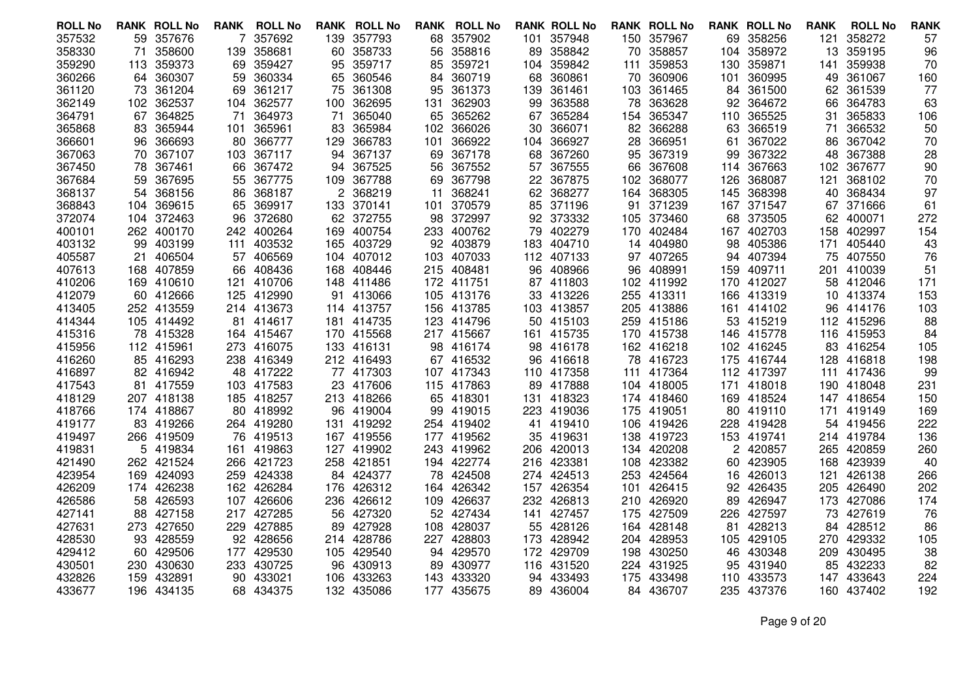| <b>ROLL No</b> |      | <b>RANK ROLL No</b> | RANK | <b>ROLL No</b> | RANK | <b>ROLL No</b> |     | <b>RANK ROLL No</b> |     | <b>RANK ROLL No</b> |     | <b>RANK ROLL No</b> |      | <b>RANK ROLL No</b> | <b>RANK</b> | <b>ROLL No</b> | <b>RANK</b> |
|----------------|------|---------------------|------|----------------|------|----------------|-----|---------------------|-----|---------------------|-----|---------------------|------|---------------------|-------------|----------------|-------------|
| 357532         |      | 59 357676           | 7    | 357692         | 139  | 357793         |     | 68 357902           |     | 101 357948          |     | 150 357967          |      | 69 358256           | 121         | 358272         | 57          |
| 358330         | 71   | 358600              | 139  | 358681         | 60   | 358733         | 56  | 358816              | 89  | 358842              | 70  | 358857              | 104  | 358972              | 13          | 359195         | 96          |
| 359290         | 113. | 359373              | 69   | 359427         | 95   | 359717         |     | 85 359721           |     | 104 359842          | 111 | 359853              | 130  | 359871              | 141         | 359938         | 70          |
| 360266         |      | 64 360307           | 59   | 360334         | 65   | 360546         | 84. | 360719              | 68  | 360861              | 70  | 360906              | 101  | 360995              | 49          | 361067         | 160         |
| 361120         | 73   | 361204              | 69   | 361217         | 75   | 361308         | 95  | 361373              | 139 | 361461              | 103 | 361465              | 84   | 361500              | 62          | 361539         | 77          |
| 362149         |      | 102 362537          |      | 104 362577     | 100  | 362695         | 131 | 362903              | 99  | 363588              | 78  | 363628              | 92   | 364672              | 66          | 364783         | 63          |
| 364791         |      | 67 364825           | 71   | 364973         | 71   | 365040         |     | 65 365262           | 67  | 365284              |     | 154 365347          | 110  | 365525              | 31          | 365833         | 106         |
| 365868         | 83.  | 365944              | 101  | 365961         | 83   | 365984         | 102 | 366026              | 30  | 366071              | 82  | 366288              | 63   | 366519              | 71          | 366532         | 50          |
| 366601         |      | 96 366693           | 80   | 366777         | 129  | 366783         | 101 | 366922              |     | 104 366927          | 28  | 366951              | 61   | 367022              |             | 86 367042      | 70          |
| 367063         |      | 70 367107           | 103  | 367117         | 94   | 367137         | 69  | 367178              | 68  | 367260              |     | 95 367319           | 99   | 367322              | 48          | 367388         | 28          |
| 367450         | 78   | 367461              | 66   | 367472         | 94   | 367525         | 56  | 367552              | 57  | 367555              | 66  | 367608              | 114  | 367663              | 102         | 367677         | 90          |
| 367684         |      | 59 367695           | 55   | 367775         |      | 109 367788     |     | 69 367798           |     | 22 367875           | 102 | 368077              |      | 126 368087          | 121         | 368102         | 70          |
| 368137         | 54   | 368156              | 86   | 368187         | 2    | 368219         | 11  | 368241              | 62  | 368277              | 164 | 368305              | 145  | 368398              | 40          | 368434         | 97          |
| 368843         | 104  | 369615              | 65   | 369917         | 133  | 370141         | 101 | 370579              | 85  | 371196              | 91  | 371239              | 167  | 371547              | 67          | 371666         | 61          |
| 372074         |      | 104 372463          |      | 96 372680      |      | 62 372755      |     | 98 372997           |     | 92 373332           |     | 105 373460          |      | 68 373505           |             | 62 400071      | 272         |
| 400101         |      | 262 400170          | 242  | 400264         | 169  | 400754         | 233 | 400762              | 79  | 402279              | 170 | 402484              |      | 167 402703          | 158         | 402997         | 154         |
| 403132         | 99   | 403199              | 111  | 403532         | 165  | 403729         |     | 92 403879           | 183 | 404710              | 14  | 404980              | 98   | 405386              | 171         | 405440         | 43          |
| 405587         | 21.  | 406504              |      | 57 406569      |      | 104 407012     |     | 103 407033          |     | 112 407133          |     | 97 407265           |      | 94 407394           |             | 75 407550      | 76          |
| 407613         |      | 168 407859          | 66   | 408436         | 168  | 408446         |     | 215 408481          | 96  | 408966              | 96  | 408991              | 159  | 409711              | 201         | 410039         | 51          |
| 410206         |      | 169 410610          | 121  | 410706         | 148  | 411486         |     | 172 411751          |     | 87 411803           |     | 102 411992          | 170  | 412027              |             | 58 412046      | 171         |
| 412079         |      | 60 412666           |      | 125 412990     | 91   | 413066         |     | 105 413176          |     | 33 413226           |     | 255 413311          |      | 166 413319          |             | 10 413374      | 153         |
| 413405         |      | 252 413559          |      | 214 413673     |      | 114 413757     |     | 156 413785          |     | 103 413857          | 205 | 413886              |      | 161 414102          | 96.         | 414176         | 103         |
| 414344         |      | 105 414492          | 81   | 414617         | 181  | 414735         |     | 123 414796          |     | 50 415103           |     | 259 415186          |      | 53 415219           |             | 112 415296     | 88          |
| 415316         |      | 78 415328           |      | 164 415467     |      | 170 415568     |     | 217 415667          |     | 161 415735          |     | 170 415738          |      | 146 415778          |             | 116 415953     | 84          |
| 415956         |      | 112 415961          | 273  | 416075         | 133  | 416131         |     | 98 416174           | 98  | 416178              |     | 162 416218          |      | 102 416245          | 83          | 416254         | 105         |
| 416260         |      | 85 416293           |      | 238 416349     |      | 212 416493     |     | 67 416532           | 96  | 416618              |     | 78 416723           |      | 175 416744          | 128         | 416818         | 198         |
| 416897         |      | 82 416942           |      | 48 417222      |      | 77 417303      |     | 107 417343          |     | 110 417358          |     | 111 417364          |      | 112 417397          |             | 111 417436     | 99          |
| 417543         |      | 81 417559           |      | 103 417583     | 23   | 417606         |     | 115 417863          | 89  | 417888              |     | 104 418005          | 171  | 418018              |             | 190 418048     | 231         |
| 418129         |      | 207 418138          |      | 185 418257     |      | 213 418266     |     | 65 418301           | 131 | 418323              |     | 174 418460          |      | 169 418524          |             | 147 418654     | 150         |
| 418766         |      | 174 418867          | 80   | 418992         | 96   | 419004         |     | 99 419015           | 223 | 419036              | 175 | 419051              |      | 80 419110           | 171         | 419149         | 169         |
| 419177         |      | 83 419266           |      | 264 419280     | 131  | 419292         |     | 254 419402          | 41  | 419410              | 106 | 419426              |      | 228 419428          |             | 54 419456      | 222         |
| 419497         |      | 266 419509          | 76   | 419513         |      | 167 419556     |     | 177 419562          | 35  | 419631              | 138 | 419723              |      | 153 419741          |             | 214 419784     | 136         |
| 419831         |      | 5 419834            | 161  | 419863         |      | 127 419902     |     | 243 419962          | 206 | 420013              |     | 134 420208          |      | 2 420857            |             | 265 420859     | 260         |
| 421490         |      | 262 421524          |      | 266 421723     |      | 258 421851     |     | 194 422774          | 216 | 423381              | 108 | 423382              | 60   | 423905              |             | 168 423939     | 40          |
| 423954         |      | 169 424093          |      | 259 424338     |      | 84 424377      |     | 78 424508           |     | 274 424513          |     | 253 424564          | 16   | 426013              | 121         | 426138         | 266         |
| 426209         |      | 174 426238          |      | 162 426284     | 176  | 426312         |     | 164 426342          |     | 157 426354          |     | 101 426415          | 92   | 426435              |             | 205 426490     | 202         |
| 426586         | 58.  | 426593              | 107  | 426606         | 236  | 426612         |     | 109 426637          | 232 | 426813              | 210 | 426920              | 89   | 426947              |             | 173 427086     | 174         |
| 427141         |      | 88 427158           |      | 217 427285     | 56   | 427320         |     | 52 427434           | 141 | 427457              | 175 | 427509              | 226. | 427597              |             | 73 427619      | 76          |
| 427631         |      | 273 427650          |      | 229 427885     | 89   | 427928         |     | 108 428037          | 55  | 428126              |     | 164 428148          | 81   | 428213              |             | 84 428512      | 86          |
| 428530         | 93   | 428559              | 92   | 428656         | 214  | 428786         | 227 | 428803              | 173 | 428942              |     | 204 428953          | 105  | 429105              |             | 270 429332     | 105         |
| 429412         |      | 60 429506           | 177  | 429530         | 105  | 429540         |     | 94 429570           |     | 172 429709          | 198 | 430250              | 46   | 430348              | 209         | 430495         | 38          |
| 430501         |      | 230 430630          | 233  | 430725         | 96   | 430913         |     | 89 430977           | 116 | 431520              |     | 224 431925          | 95   | 431940              | 85          | 432233         | 82          |
| 432826         | 159. | 432891              | 90   | 433021         | 106  | 433263         | 143 | 433320              | 94  | 433493              | 175 | 433498              | 110  | 433573              |             | 147 433643     | 224         |
| 433677         |      | 196 434135          |      | 68 434375      |      | 132 435086     |     | 177 435675          |     | 89 436004           |     | 84 436707           |      | 235 437376          |             | 160 437402     | 192         |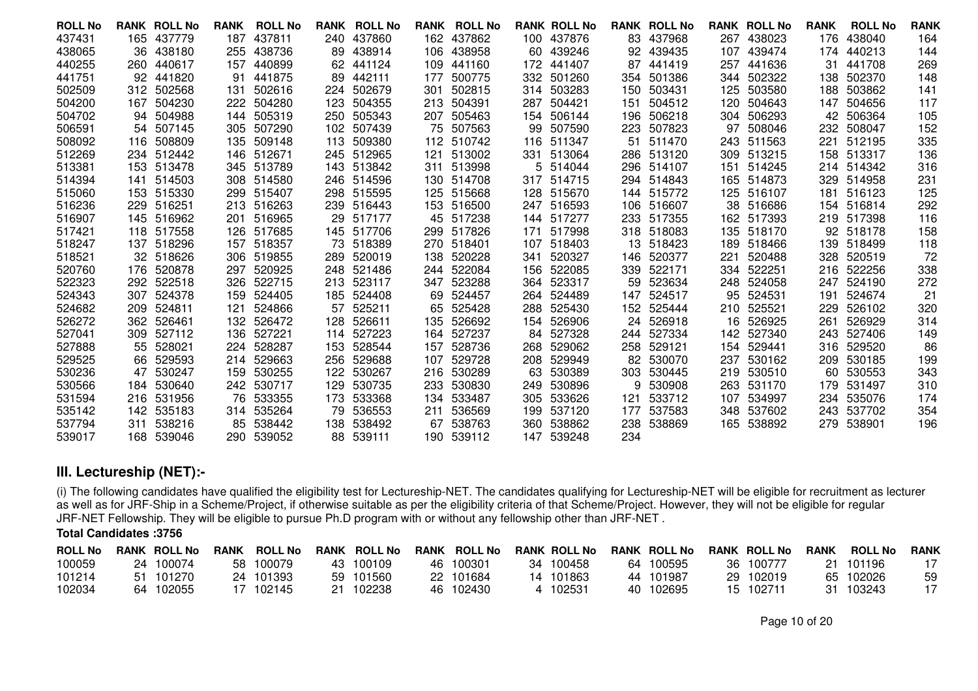| <b>ROLL No</b> |     | <b>RANK ROLL No</b> | <b>RANK</b> | <b>ROLL No</b> | <b>RANK</b> | <b>ROLL No</b> | <b>RANK</b> | <b>ROLL No</b> |     | <b>RANK ROLL No</b> |     | <b>RANK ROLL No</b> |     | <b>RANK ROLL No</b> | <b>RANK</b> | <b>ROLL No</b> | <b>RANK</b> |
|----------------|-----|---------------------|-------------|----------------|-------------|----------------|-------------|----------------|-----|---------------------|-----|---------------------|-----|---------------------|-------------|----------------|-------------|
| 437431         |     | 165 437779          | 187         | 437811         | 240         | 437860         |             | 162 437862     |     | 100 437876          | 83  | 437968              | 267 | 438023              | 176         | 438040         | 164         |
| 438065         |     | 36 438180           | 255         | 438736         | 89          | 438914         |             | 106 438958     |     | 60 439246           |     | 92 439435           | 107 | 439474              |             | 174 440213     | 144         |
| 440255         |     | 260 440617          | 157         | 440899         | 62          | 441124         | 109         | 441160         | 172 | 441407              | 87  | 441419              | 257 | 441636              | 31          | 441708         | 269         |
| 441751         |     | 92 441820           | 91          | 441875         | 89          | 442111         | 177         | 500775         | 332 | 501260              | 354 | 501386              |     | 344 502322          | 138         | 502370         | 148         |
| 502509         |     | 312 502568          | 131         | 502616         | 224         | 502679         | 301         | 502815         | 314 | 503283              | 150 | 503431              | 125 | 503580              | 188         | 503862         | 141         |
| 504200         |     | 167 504230          | 222         | 504280         | 123         | 504355         | 213         | 504391         | 287 | 504421              | 151 | 504512              | 120 | 504643              | 147         | 504656         | 117         |
| 504702         | 94  | 504988              | 144         | 505319         | 250         | 505343         | 207         | 505463         | 154 | 506144              | 196 | 506218              | 304 | 506293              | 42          | 506364         | 105         |
| 506591         |     | 54 507145           | 305         | 507290         | 102         | 507439         |             | 75 507563      | 99  | 507590              | 223 | 507823              | 97  | 508046              | 232         | 508047         | 152         |
| 508092         |     | 116 508809          | 135         | 509148         | 113         | 509380         |             | 112 510742     | 116 | 511347              | 51  | 511470              |     | 243 511563          | 221         | 512195         | 335         |
| 512269         |     | 234 512442          |             | 146 512671     |             | 245 512965     | 121         | 513002         | 331 | 513064              |     | 286 513120          |     | 309 513215          | 158         | 513317         | 136         |
| 513381         |     | 153 513478          | 345         | 513789         |             | 143 513842     |             | 311 513998     |     | 5 514044            |     | 296 514107          | 151 | 514245              |             | 214 514342     | 316         |
| 514394         |     | 141 514503          |             | 308 514580     | 246         | 514596         |             | 130 514708     | 317 | 514715              |     | 294 514843          |     | 165 514873          | 329         | 514958         | 231         |
| 515060         |     | 153 515330          | 299         | 515407         |             | 298 515595     |             | 125 515668     | 128 | 515670              |     | 144 515772          |     | 125 516107          | 181         | 516123         | 125         |
| 516236         |     | 229 516251          | 213         | 516263         |             | 239 516443     |             | 153 516500     | 247 | 516593              | 106 | 516607              |     | 38 516686           |             | 154 516814     | 292         |
| 516907         |     | 145 516962          | 201         | 516965         | 29          | 517177         |             | 45 517238      | 144 | 517277              | 233 | 517355              |     | 162 517393          | 219         | 517398         | 116         |
| 517421         |     | 118 517558          | 126         | 517685         | 145         | 517706         |             | 299 517826     | 171 | 517998              |     | 318 518083          |     | 135 518170          |             | 92 518178      | 158         |
| 518247         |     | 137 518296          | 157         | 518357         |             | 73 518389      |             | 270 518401     | 107 | 518403              | 13  | 518423              | 189 | 518466              | 139         | 518499         | 118         |
| 518521         |     | 32 518626           | 306         | 519855         | 289         | 520019         | 138         | 520228         | 341 | 520327              | 146 | 520377              | 221 | 520488              | 328         | 520519         | 72          |
| 520760         |     | 176 520878          | 297         | 520925         |             | 248 521486     |             | 244 522084     | 156 | 522085              | 339 | 522171              | 334 | 522251              | 216         | 522256         | 338         |
| 522323         |     | 292 522518          | 326         | 522715         | 213         | 523117         |             | 347 523288     | 364 | 523317              | 59  | 523634              |     | 248 524058          | 247         | 524190         | 272         |
| 524343         | 307 | 524378              | 159         | 524405         |             | 185 524408     | 69          | 524457         | 264 | 524489              | 147 | 524517              | 95  | 524531              | 191         | 524674         | 21          |
| 524682         | 209 | 524811              | 121         | 524866         | 57          | 525211         |             | 65 525428      | 288 | 525430              |     | 152 525444          |     | 210 525521          | 229         | 526102         | 320         |
| 526272         |     | 362 526461          | 132         | 526472         | 128         | 526611         |             | 135 526692     | 154 | 526906              | 24  | 526918              |     | 16 526925           | 261         | 526929         | 314         |
| 527041         |     | 309 527112          | 136         | 527221         | 114         | 527223         |             | 164 527237     | 84  | 527328              |     | 244 527334          |     | 142 527340          | 243         | 527406         | 149         |
| 527888         | 55  | 528021              | 224         | 528287         | 153         | 528544         | 157         | 528736         | 268 | 529062              | 258 | 529121              |     | 154 529441          | 316         | 529520         | 86          |
| 529525         |     | 66 529593           | 214         | 529663         | 256         | 529688         | 107         | 529728         | 208 | 529949              |     | 82 530070           | 237 | 530162              | 209         | 530185         | 199         |
| 530236         | 47  | 530247              | 159         | 530255         | 122         | 530267         |             | 216 530289     | 63  | 530389              | 303 | 530445              |     | 219 530510          | 60          | 530553         | 343         |
| 530566         |     | 184 530640          | 242         | 530717         | 129         | 530735         | 233         | 530830         | 249 | 530896              | 9   | 530908              | 263 | 531170              | 179         | 531497         | 310         |
| 531594         |     | 216 531956          | 76          | 533355         | 173         | 533368         | 134         | 533487         | 305 | 533626              | 121 | 533712              | 107 | 534997              | 234         | 535076         | 174         |
| 535142         |     | 142 535183          | 314         | 535264         | 79          | 536553         | 211         | 536569         | 199 | 537120              | 177 | 537583              |     | 348 537602          | 243         | 537702         | 354         |
| 537794         | 311 | 538216              | 85          | 538442         | 138         | 538492         | 67          | 538763         | 360 | 538862              | 238 | 538869              |     | 165 538892          | 279         | 538901         | 196         |
| 539017         |     | 168 539046          |             | 290 539052     | 88          | 539111         |             | 190 539112     | 147 | 539248              | 234 |                     |     |                     |             |                |             |
|                |     |                     |             |                |             |                |             |                |     |                     |     |                     |     |                     |             |                |             |

# **III. Lectureship (NET):-**

(i) The following candidates have qualified the eligibility test for Lectureship-NET. The candidates qualifying for Lectureship-NET will be eligible for recruitment as lecturer as well as for JRF-Ship in a Scheme/Project, if otherwise suitable as per the eligibility criteria of that Scheme/Project. However, they will not be eligible for regular<br>JRF-NET Fellowship. They will be eligible to pursue

### **Total Candidates :3756**

| <b>ROLL No</b> |     | <b>RANK ROLL No</b> | <b>RANK</b> | <b>ROLL No</b> |     | <b>RANK ROLL No</b> | <b>RANK ROLL No</b> |    | <b>RANK ROLL No</b> | <b>RANK ROLL No</b> | <b>RANK ROLL No</b> | <b>RANK</b> | <b>ROLL No</b> | <b>RANK</b> |
|----------------|-----|---------------------|-------------|----------------|-----|---------------------|---------------------|----|---------------------|---------------------|---------------------|-------------|----------------|-------------|
| 100059         |     | 24 100074           | 58.         | 100079         |     | 43 100109           | 46 100301           | 34 | 100458              | 64 100595           | 36 100777           | 21.         | 101196         |             |
| 101214         |     | 101270              |             | 24 101393      |     | 59 101560           | 22 101684           |    | 14 101863           | 44 101987           | 29 102019           |             | 65 102026      | 59          |
| 102034         | 64. | 102055              |             | 102145         | 21. | 102238              | 46 102430           |    | 102531              | 40 102695           | 15 102711           | 31.         | 103243         |             |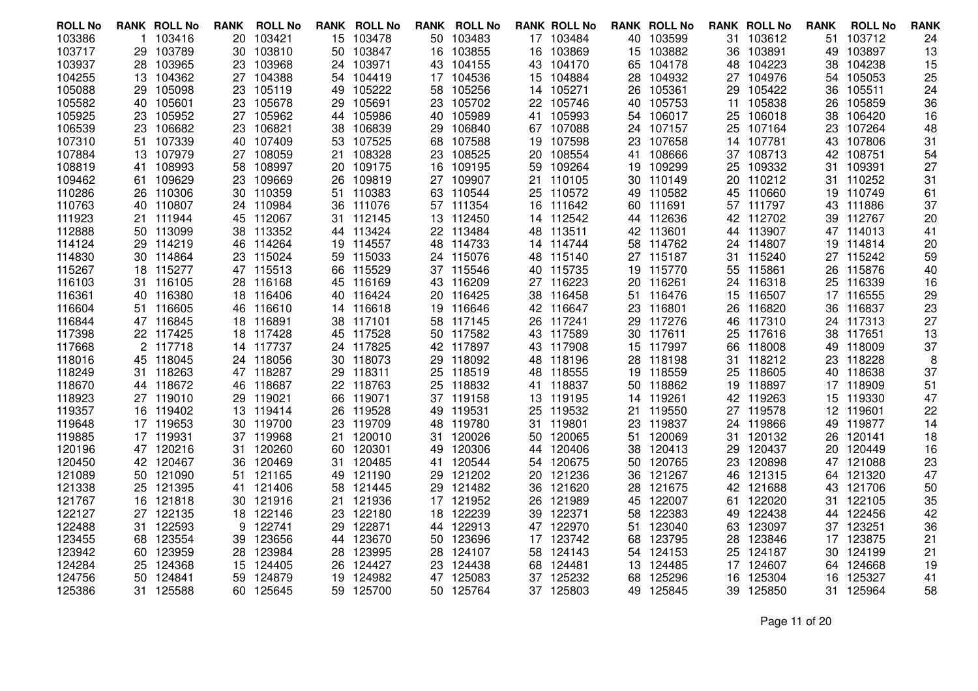| <b>ROLL No</b> |     | <b>RANK ROLL No</b> | RANK | <b>ROLL No</b> |    | <b>RANK ROLL No</b> |     | <b>RANK ROLL No</b> |     | <b>RANK ROLL No</b> |    | <b>RANK ROLL No</b> |     | <b>RANK ROLL No</b> | <b>RANK</b> | <b>ROLL No</b> | <b>RANK</b> |
|----------------|-----|---------------------|------|----------------|----|---------------------|-----|---------------------|-----|---------------------|----|---------------------|-----|---------------------|-------------|----------------|-------------|
| 103386         |     | 1 103416            | 20   | 103421         | 15 | 103478              |     | 50 103483           |     | 17 103484           |    | 40 103599           |     | 31 103612           | 51          | 103712         | 24          |
| 103717         |     | 29 103789           | 30   | 103810         | 50 | 103847              | 16  | 103855              | 16  | 103869              |    | 15 103882           | 36  | 103891              | 49          | 103897         | 13          |
| 103937         |     | 28 103965           | 23   | 103968         | 24 | 103971              |     | 43 104155           |     | 43 104170           | 65 | 104178              | 48  | 104223              | 38          | 104238         | 15          |
| 104255         |     | 13 104362           |      | 27 104388      |    | 54 104419           |     | 17 104536           | 15  | 104884              | 28 | 104932              | 27  | 104976              |             | 54 105053      | 25          |
| 105088         | 29. | 105098              | 23   | 105119         | 49 | 105222              | 58. | 105256              | 14  | 105271              | 26 | 105361              | 29. | 105422              | 36          | 105511         | 24          |
| 105582         |     | 40 105601           | 23   | 105678         | 29 | 105691              |     | 23 105702           |     | 22 105746           | 40 | 105753              | 11  | 105838              | 26          | 105859         | 36          |
| 105925         |     | 23 105952           | 27   | 105962         | 44 | 105986              | 40  | 105989              |     | 41 105993           |    | 54 106017           | 25  | 106018              | 38          | 106420         | 16          |
| 106539         | 23  | 106682              | 23   | 106821         | 38 | 106839              | 29  | 106840              | 67. | 107088              | 24 | 107157              | 25  | 107164              | 23          | 107264         | 48          |
| 107310         |     | 51 107339           |      | 40 107409      | 53 | 107525              | 68  | 107588              |     | 19 107598           | 23 | 107658              |     | 14 107781           |             | 43 107806      | 31          |
| 107884         |     | 13 107979           | 27   | 108059         | 21 | 108328              | 23. | 108525              |     | 20 108554           |    | 41 108666           |     | 37 108713           |             | 42 108751      | 54          |
| 108819         | 41. | 108993              | 58   | 108997         | 20 | 109175              | 16  | 109195              | 59  | 109264              |    | 19 109299           | 25  | 109332              | 31          | 109391         | 27          |
| 109462         |     | 61 109629           | 23   | 109669         | 26 | 109819              |     | 27 109907           |     | 21 110105           |    | 30 110149           |     | 20 110212           |             | 31 110252      | 31          |
| 110286         |     | 26 110306           | 30   | 110359         | 51 | 110383              |     | 63 110544           |     | 25 110572           |    | 49 110582           | 45  | 110660              |             | 19 110749      | 61          |
| 110763         | 40  | 110807              | 24   | 110984         | 36 | 111076              |     | 57 111354           |     | 16 111642           |    | 60 111691           | 57  | 111797              |             | 43 111886      | 37          |
| 111923         |     | 21 111944           |      | 45 112067      |    | 31 112145           |     | 13 112450           |     | 14 112542           |    | 44 112636           |     | 42 112702           |             | 39 112767      | 20          |
| 112888         |     | 50 113099           | 38   | 113352         |    | 44 113424           |     | 22 113484           |     | 48 113511           |    | 42 113601           | 44  | 113907              |             | 47 114013      | 41          |
| 114124         |     | 29 114219           | 46   | 114264         | 19 | 114557              | 48  | 114733              |     | 14 114744           |    | 58 114762           | 24  | 114807              | 19          | 114814         | 20          |
| 114830         |     | 30 114864           |      | 23 115024      |    | 59 115033           |     | 24 115076           |     | 48 115140           |    | 27 115187           | 31. | 115240              |             | 27 115242      | 59          |
| 115267         |     | 18 115277           |      | 47 115513      | 66 | 115529              |     | 37 115546           |     | 40 115735           |    | 19 115770           | 55  | 115861              | 26          | 115876         | 40          |
| 116103         |     | 31 116105           | 28   | 116168         | 45 | 116169              | 43  | 116209              |     | 27 116223           |    | 20 116261           | 24  | 116318              | 25          | 116339         | 16          |
| 116361         |     | 40 116380           |      | 18 116406      |    | 40 116424           |     | 20 116425           |     | 38 116458           |    | 51 116476           |     | 15 116507           |             | 17 116555      | 29          |
| 116604         |     | 51 116605           | 46   | 116610         |    | 14 116618           | 19  | 116646              |     | 42 116647           |    | 23 116801           | 26  | 116820              | 36          | 116837         | 23          |
| 116844         |     | 47 116845           | 18   | 116891         | 38 | 117101              | 58  | 117145              | 26  | 117241              | 29 | 117276              | 46  | 117310              |             | 24 117313      | 27          |
| 117398         |     | 22 117425           |      | 18 117428      |    | 45 117528           |     | 50 117582           |     | 43 117589           |    | 30 117611           |     | 25 117616           |             | 38 117651      | 13          |
| 117668         |     | 2 117718            | 14   | 117737         | 24 | 117825              |     | 42 117897           |     | 43 117908           |    | 15 117997           | 66  | 118008              | 49          | 118009         | 37          |
| 118016         |     | 45 118045           | 24   | 118056         | 30 | 118073              | 29. | 118092              | 48  | 118196              | 28 | 118198              | 31. | 118212              | 23          | 118228         | 8           |
| 118249         |     | 31 118263           |      | 47 118287      |    | 29 118311           |     | 25 118519           |     | 48 118555           |    | 19 118559           | 25. | 118605              |             | 40 118638      | 37          |
| 118670         |     | 44 118672           | 46   | 118687         | 22 | 118763              | 25  | 118832              |     | 41 118837           |    | 50 118862           | 19  | 118897              |             | 17 118909      | 51          |
| 118923         |     | 27 119010           | 29   | 119021         | 66 | 119071              |     | 37 119158           |     | 13 119195           |    | 14 119261           | 42  | 119263              | 15          | 119330         | 47          |
| 119357         |     | 16 119402           |      | 13 119414      | 26 | 119528              |     | 49 119531           | 25  | 119532              |    | 21 119550           | 27  | 119578              |             | 12 119601      | 22          |
| 119648         |     | 17 119653           | 30   | 119700         | 23 | 119709              | 48  | 119780              | 31. | 119801              |    | 23 119837           | 24  | 119866              | 49          | 119877         | 14          |
| 119885         |     | 17 119931           | 37   | 119968         | 21 | 120010              |     | 31 120026           | 50  | 120065              | 51 | 120069              | 31  | 120132              | 26          | 120141         | 18          |
| 120196         |     | 47 120216           |      | 31 120260      |    | 60 120301           |     | 49 120306           |     | 44 120406           |    | 38 120413           | 29. | 120437              |             | 20 120449      | 16          |
| 120450         |     | 42 120467           | 36   | 120469         | 31 | 120485              | 41. | 120544              |     | 54 120675           |    | 50 120765           | 23  | 120898              |             | 47 121088      | 23          |
| 121089         |     | 50 121090           | 51   | 121165         | 49 | 121190              | 29  | 121202              |     | 20 121236           | 36 | 121267              | 46  | 121315              |             | 64 121320      | 47          |
| 121338         |     | 25 121395           | 41   | 121406         | 58 | 121445              |     | 29 121482           | 36  | 121620              | 28 | 121675              | 42  | 121688              |             | 43 121706      | 50          |
| 121767         | 16  | 121818              | 30   | 121916         | 21 | 121936              |     | 17 121952           | 26  | 121989              | 45 | 122007              | 61  | 122020              | 31          | 122105         | 35          |
| 122127         |     | 27 122135           | 18   | 122146         | 23 | 122180              | 18  | 122239              | 39  | 122371              | 58 | 122383              | 49  | 122438              |             | 44 122456      | 42          |
| 122488         |     | 31 122593           | 9    | 122741         | 29 | 122871              |     | 44 122913           |     | 47 122970           |    | 51 123040           | 63  | 123097              |             | 37 123251      | 36          |
| 123455         | 68  | 123554              | 39   | 123656         | 44 | 123670              | 50  | 123696              | 17  | 123742              |    | 68 123795           | 28  | 123846              |             | 17 123875      | 21          |
| 123942         |     | 60 123959           | 28   | 123984         | 28 | 123995              | 28  | 124107              |     | 58 124143           |    | 54 124153           | 25  | 124187              |             | 30 124199      | 21          |
| 124284         |     | 25 124368           | 15   | 124405         | 26 | 124427              |     | 23 124438           | 68  | 124481              |    | 13 124485           |     | 17 124607           |             | 64 124668      | 19          |
| 124756         | 50  | 124841              | 59   | 124879         | 19 | 124982              | 47  | 125083              | 37  | 125232              | 68 | 125296              | 16  | 125304              | 16          | 125327         | 41          |
| 125386         |     | 31 125588           |      | 60 125645      |    | 59 125700           |     | 50 125764           |     | 37 125803           |    | 49 125845           |     | 39 125850           |             | 31 125964      | 58          |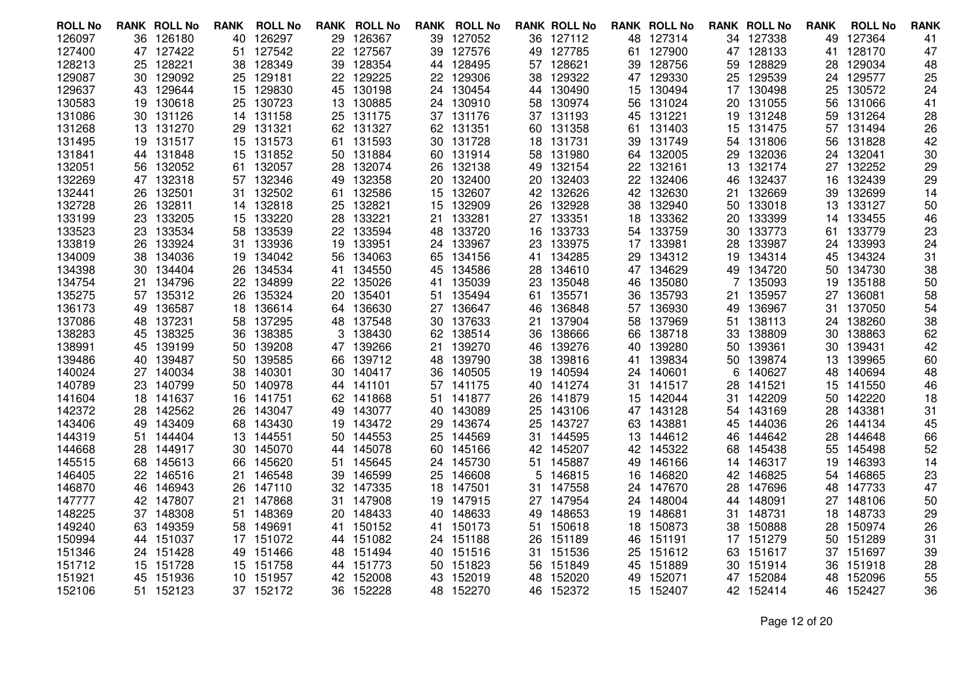| <b>ROLL No</b>   |     | <b>RANK ROLL No</b> | <b>RANK</b> | <b>ROLL No</b>   | RANK     | <b>ROLL No</b>   |     | <b>RANK ROLL No</b>    |           | <b>RANK ROLL No</b> |    | <b>RANK ROLL No</b> |          | <b>RANK ROLL No</b> | <b>RANK</b> | <b>ROLL No</b>   | <b>RANK</b> |
|------------------|-----|---------------------|-------------|------------------|----------|------------------|-----|------------------------|-----------|---------------------|----|---------------------|----------|---------------------|-------------|------------------|-------------|
| 126097           |     | 36 126180           | 40          | 126297           | 29       | 126367           |     | 39 127052              |           | 36 127112           |    | 48 127314           |          | 34 127338           | 49          | 127364           | 41          |
| 127400           |     | 47 127422           | 51          | 127542           | 22       | 127567           | 39  | 127576                 | 49        | 127785              | 61 | 127900              |          | 47 128133           | 41          | 128170           | 47          |
| 128213           |     | 25 128221           | 38          | 128349           | 39       | 128354           |     | 44 128495              | 57        | 128621              | 39 | 128756              | 59       | 128829              | 28          | 129034           | 48          |
| 129087           |     | 30 129092           | 25          | 129181           | 22.      | 129225           |     | 22 129306              | 38.       | 129322              |    | 47 129330           |          | 25 129539           |             | 24 129577        | 25          |
| 129637           | 43  | 129644              | 15          | 129830           | 45       | 130198           | 24  | 130454                 | 44        | 130490              |    | 15 130494           | 17       | 130498              | 25          | 130572           | 24          |
| 130583           |     | 19 130618           | 25          | 130723           | 13       | 130885           |     | 24 130910              | 58        | 130974              | 56 | 131024              | 20       | 131055              | 56          | 131066           | 41          |
| 131086           |     | 30 131126           | 14          | 131158           | 25       | 131175           |     | 37 131176              |           | 37 131193           |    | 45 131221           | 19       | 131248              | 59.         | 131264           | 28          |
| 131268           | 13  | 131270              | 29          | 131321           | 62       | 131327           |     | 62 131351              | 60        | 131358              | 61 | 131403              | 15       | 131475              | 57          | 131494           | 26          |
| 131495           |     | 19 131517           | 15          | 131573           | 61       | 131593           |     | 30 131728              |           | 18 131731           | 39 | 131749              | 54       | 131806              | 56          | 131828           | 42          |
| 131841           |     | 44 131848           | 15          | 131852           |          | 50 131884        |     | 60 131914              | 58        | 131980              |    | 64 132005           | 29.      | 132036              |             | 24 132041        | 30          |
| 132051           | 56. | 132052              | 61          | 132057           | 28       | 132074           | 26. | 132138                 | 49        | 132154              | 22 | 132161              | 13       | 132174              | 27          | 132252           | 29          |
| 132269           |     | 47 132318           |             | 57 132346        | 49       | 132358           |     | 20 132400              |           | 20 132403           |    | 22 132406           | 46       | 132437              |             | 16 132439        | 29          |
| 132441           |     | 26 132501           | 31          | 132502           | 61       | 132586           |     | 15 132607              |           | 42 132626           |    | 42 132630           | 21.      | 132669              | 39          | 132699           | 14          |
| 132728           | 26  | 132811              | 14          | 132818           | 25       | 132821           | 15  | 132909                 | 26        | 132928              | 38 | 132940              | 50       | 133018              | 13          | 133127           | 50          |
| 133199           |     | 23 133205           |             | 15 133220        | 28       | 133221           |     | 21 133281              |           | 27 133351           |    | 18 133362           | 20       | 133399              |             | 14 133455        | 46          |
| 133523           | 23  | 133534              | 58          | 133539           | 22       | 133594           | 48  | 133720                 | 16        | 133733              |    | 54 133759           | 30       | 133773              | 61          | 133779           | 23          |
| 133819           | 26  | 133924              | 31          | 133936           | 19       | 133951           | 24  | 133967                 | 23        | 133975              | 17 | 133981              | 28       | 133987              | 24          | 133993           | 24          |
| 134009           |     | 38 134036           |             | 19 134042        | 56       | 134063           |     | 65 134156              |           | 41 134285           |    | 29 134312           | 19       | 134314              |             | 45 134324        | 31          |
| 134398           | 30. | 134404              | 26          | 134534           |          | 41 134550        | 45  | 134586                 | 28        | 134610              |    | 47 134629           | 49       | 134720              |             | 50 134730        | 38          |
| 134754           | 21. | 134796              | 22          | 134899           | 22       | 135026           | 41  | 135039                 | 23        | 135048              | 46 | 135080              |          | 135093              | 19          | 135188           | 50          |
| 135275           |     | 57 135312           | 26          | 135324           | 20       | 135401           |     | 51 135494              |           | 61 135571           |    | 36 135793           | 21.      | 135957              |             | 27 136081        | 58          |
| 136173           | 49  | 136587              | 18          | 136614           | 64       | 136630           |     | 27 136647              | 46        | 136848              |    | 57 136930           | 49       | 136967              | 31          | 137050           | 54          |
| 137086           | 48  | 137231              | 58          | 137295           | 48       | 137548           | 30  | 137633                 | 21        | 137904              | 58 | 137969              | 51       | 138113              | 24          | 138260           | 38          |
| 138283           |     | 45 138325           | 36          | 138385           | 3        | 138430           |     | 62 138514              |           | 36 138666           |    | 66 138718           | 33       | 138809              |             | 30 138863        | 62          |
| 138991           | 45  | 139199              | 50          | 139208           | 47       | 139266           | 21  | 139270                 | 46        | 139276              | 40 | 139280              | 50       | 139361              | 30          | 139431           | 42          |
| 139486           | 40  | 139487              | 50          | 139585           | 66       | 139712           | 48  | 139790                 | 38        | 139816              | 41 | 139834              | 50       | 139874              | 13          | 139965           | 60          |
| 140024           |     | 27 140034           | 38          | 140301           | 30       | 140417           | 36. | 140505                 | 19        | 140594              |    | 24 140601           | 6        | 140627              |             | 48 140694        | 48          |
| 140789           | 23  | 140799              | 50          | 140978           | 44       | 141101           |     | 57 141175              | 40        | 141274              | 31 | 141517              | 28       | 141521              | 15          | 141550           | 46          |
| 141604           | 18  | 141637              | 16          | 141751           | 62       | 141868           |     | 51 141877              | 26        | 141879              | 15 | 142044              | 31.      | 142209              |             | 50 142220        | 18          |
| 142372           | 28  | 142562              | 26          | 143047           | 49       | 143077           |     | 40 143089              | 25        | 143106              | 47 | 143128              |          | 54 143169           | 28.         | 143381           | 31          |
| 143406<br>144319 | 49  | 143409<br>51 144404 | 68          | 143430<br>144551 | 19       | 143472<br>144553 |     | 29 143674<br>25 144569 | 25<br>31. | 143727<br>144595    | 63 | 143881<br>144612    | 45       | 144036<br>144642    | 26<br>28    | 144134<br>144648 | 45          |
| 144668           |     | 28 144917           | 13<br>30.   | 145070           | 50<br>44 | 145078           |     | 60 145166              |           | 42 145207           | 13 | 42 145322           | 46<br>68 | 145438              | 55          | 145498           | 66<br>52    |
| 145515           | 68. | 145613              | 66          | 145620           | 51       | 145645           | 24  | 145730                 | 51        | 145887              | 49 | 146166              | 14       | 146317              | 19          | 146393           | 14          |
| 146405           |     | 22 146516           | 21          | 146548           | 39       | 146599           | 25  | 146608                 | 5         | 146815              | 16 | 146820              | 42       | 146825              | 54          | 146865           | 23          |
| 146870           | 46. | 146943              | 26          | 147110           | 32.      | 147335           |     | 18 147501              |           | 31 147558           |    | 24 147670           | 28.      | 147696              |             | 48 147733        | 47          |
| 147777           |     | 42 147807           | 21          | 147868           | 31       | 147908           | 19. | 147915                 | 27        | 147954              | 24 | 148004              | 44       | 148091              |             | 27 148106        | 50          |
| 148225           |     | 37 148308           | 51          | 148369           | 20       | 148433           | 40  | 148633                 |           | 49 148653           | 19 | 148681              | 31.      | 148731              |             | 18 148733        | 29          |
| 149240           |     | 63 149359           | 58          | 149691           |          | 41 150152        |     | 41 150173              | 51        | 150618              |    | 18 150873           | 38.      | 150888              |             | 28 150974        | 26          |
| 150994           |     | 44 151037           | 17          | 151072           | 44       | 151082           |     | 24 151188              | 26        | 151189              | 46 | 151191              | 17       | 151279              | 50          | 151289           | 31          |
| 151346           |     | 24 151428           | 49          | 151466           | 48       | 151494           |     | 40 151516              | 31.       | 151536              | 25 | 151612              | 63       | 151617              |             | 37 151697        | 39          |
| 151712           |     | 15 151728           | 15          | 151758           |          | 44 151773        |     | 50 151823              | 56        | 151849              | 45 | 151889              |          | 30 151914           | 36          | 151918           | 28          |
| 151921           | 45  | 151936              | 10          | 151957           | 42       | 152008           | 43  | 152019                 | 48        | 152020              | 49 | 152071              | 47       | 152084              | 48          | 152096           | 55          |
| 152106           |     | 51 152123           |             | 37 152172        |          | 36 152228        |     | 48 152270              | 46        | 152372              |    | 15 152407           |          | 42 152414           |             | 46 152427        | 36          |
|                  |     |                     |             |                  |          |                  |     |                        |           |                     |    |                     |          |                     |             |                  |             |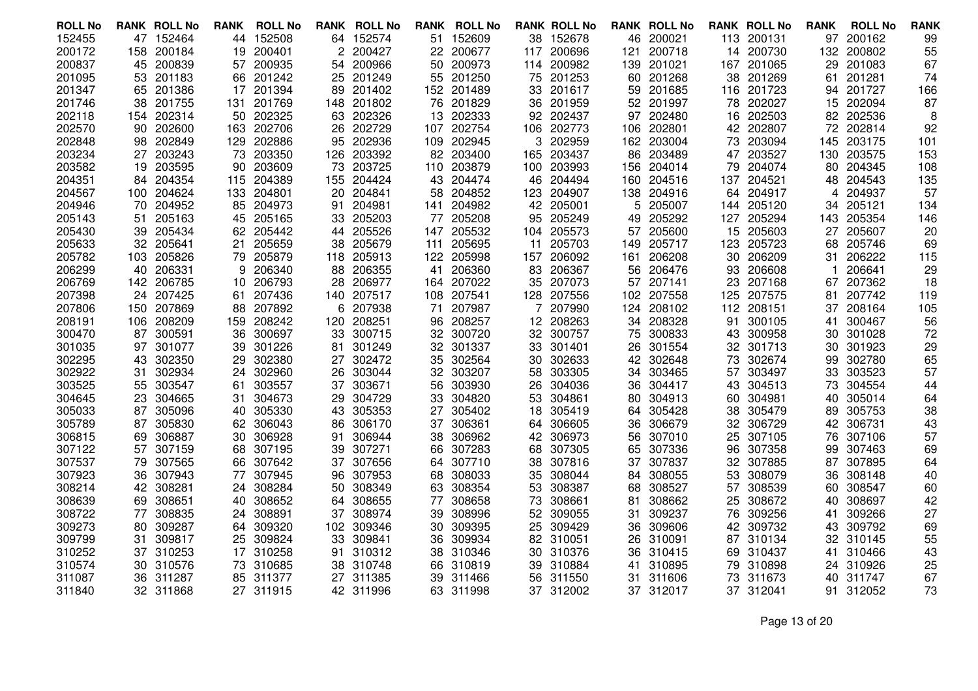| <b>ROLL No</b>   |          | <b>RANK ROLL No</b> | RANK     | <b>ROLL No</b>   | RANK     | <b>ROLL No</b>   |     | <b>RANK ROLL No</b> |          | <b>RANK ROLL No</b> |          | <b>RANK ROLL No</b> |          | <b>RANK ROLL No</b> | <b>RANK</b> | <b>ROLL No</b>   | <b>RANK</b> |
|------------------|----------|---------------------|----------|------------------|----------|------------------|-----|---------------------|----------|---------------------|----------|---------------------|----------|---------------------|-------------|------------------|-------------|
| 152455           |          | 47 152464           | 44       | 152508           |          | 64 152574        |     | 51 152609           |          | 38 152678           | 46       | 200021              |          | 113 200131          | 97          | 200162           | 99          |
| 200172           |          | 158 200184          | 19       | 200401           |          | 200427           |     | 22 200677           | 117      | 200696              | 121      | 200718              | 14       | 200730              | 132         | 200802           | 55          |
| 200837           | 45       | 200839              | 57       | 200935           | 54       | 200966           | 50  | 200973              |          | 114 200982          | 139      | 201021              | 167      | 201065              | 29          | 201083           | 67          |
| 201095           |          | 53 201183           | 66       | 201242           |          | 25 201249        |     | 55 201250           | 75       | 201253              |          | 60 201268           | 38       | 201269              | 61          | 201281           | 74          |
| 201347           | 65       | 201386              | 17       | 201394           | 89       | 201402           |     | 152 201489          | 33       | 201617              | 59       | 201685              | 116      | 201723              | 94          | 201727           | 166         |
| 201746           |          | 38 201755           | 131      | 201769           | 148      | 201802           |     | 76 201829           | 36       | 201959              |          | 52 201997           | 78       | 202027              | 15          | 202094           | 87          |
| 202118           |          | 154 202314          | 50       | 202325           | 63       | 202326           |     | 13 202333           | 92       | 202437              | 97       | 202480              | 16       | 202503              | 82          | 202536           | 8           |
| 202570           | 90       | 202600              | 163      | 202706           | 26       | 202729           | 107 | 202754              | 106      | 202773              | 106      | 202801              | 42       | 202807              | 72          | 202814           | 92          |
| 202848           | 98.      | 202849              | 129      | 202886           | 95       | 202936           |     | 109 202945          | 3        | 202959              |          | 162 203004          | 73       | 203094              | 145         | 203175           | 101         |
| 203234           |          | 27 203243           | 73       | 203350           | 126      | 203392           |     | 82 203400           | 165.     | 203437              | 86       | 203489              | 47       | 203527              |             | 130 203575       | 153         |
| 203582           | 19       | 203595              | 90       | 203609           | 73       | 203725           |     | 110 203879          | 100      | 203993              | 156      | 204014              | 79       | 204074              | 80          | 204345           | 108         |
| 204351           |          | 84 204354           |          | 115 204389       | 155      | 204424           |     | 43 204474           |          | 46 204494           |          | 160 204516          | 137      | 204521              |             | 48 204543        | 135         |
| 204567           |          | 100 204624          | 133      | 204801           | 20       | 204841           | 58  | 204852              | 123      | 204907              | 138      | 204916              | 64       | 204917              | 4           | 204937           | 57          |
| 204946           | 70       | 204952              | 85       | 204973           | 91       | 204981           | 141 | 204982              | 42       | 205001              | 5        | 205007              | 144      | 205120              | 34          | 205121           | 134         |
| 205143           | 51.      | 205163              |          | 45 205165        | 33       | 205203           |     | 77 205208           |          | 95 205249           | 49       | 205292              | 127      | 205294              |             | 143 205354       | 146         |
| 205430           |          | 39 205434           | 62       | 205442           | 44       | 205526           |     | 147 205532          |          | 104 205573          | 57       | 205600              | 15       | 205603              | 27          | 205607           | 20          |
| 205633           |          | 32 205641           | 21       | 205659           | 38       | 205679           | 111 | 205695              | 11       | 205703              | 149      | 205717              | 123      | 205723              | 68          | 205746           | 69          |
| 205782           |          | 103 205826          |          | 79 205879        | 118      | 205913           |     | 122 205998          |          | 157 206092          | 161      | 206208              | 30       | 206209              | 31          | 206222           | 115         |
| 206299           | 40       | 206331              | 9        | 206340           | 88       | 206355           | 41  | 206360              | 83       | 206367              | 56       | 206476              | 93       | 206608              |             | 206641           | 29          |
| 206769           |          | 142 206785          | 10       | 206793           | 28       | 206977           |     | 164 207022          | 35       | 207073              | 57       | 207141              | 23       | 207168              | 67          | 207362           | 18          |
| 207398           |          | 24 207425           | 61       | 207436           |          | 140 207517       |     | 108 207541          |          | 128 207556          |          | 102 207558          |          | 125 207575          | 81          | 207742           | 119         |
| 207806           |          | 150 207869          | 88       | 207892           | 6        | 207938           | 71  | 207987              |          | 207990              | 124      | 208102              | 112      | 208151              | 37          | 208164           | 105         |
| 208191           | 106      | 208209              | 159      | 208242           | 120      | 208251           | 96  | 208257              | 12       | 208263              | 34       | 208328              | 91       | 300105              | 41          | 300467           | 56          |
| 300470           |          | 87 300591           | 36       | 300697           | 33       | 300715           |     | 32 300720           |          | 32 300757           | 75       | 300833              | 43       | 300958              | 30          | 301028           | 72          |
| 301035           | 97       | 301077              | 39       | 301226           | 81       | 301249           | 32  | 301337              | 33       | 301401              | 26       | 301554              | 32       | 301713              | 30          | 301923           | 29          |
| 302295           | 43       | 302350              | 29       | 302380           | 27       | 302472           | 35  | 302564              | 30       | 302633              | 42       | 302648              | 73       | 302674              | 99          | 302780           | 65          |
| 302922           | 31.      | 302934              | 24       | 302960           | 26       | 303044           |     | 32 303207           | 58       | 303305              | 34       | 303465              | 57       | 303497              | 33          | 303523           | 57          |
| 303525<br>304645 | 55<br>23 | 303547<br>304665    | 61<br>31 | 303557<br>304673 | 37<br>29 | 303671<br>304729 | 56  | 303930<br>33 304820 | 26<br>53 | 304036<br>304861    | 36       | 304417<br>304913    | 43       | 304513<br>304981    | 73<br>40    | 304554<br>305014 | 44          |
| 305033           | 87       | 305096              | 40       | 305330           | 43       | 305353           | 27  | 305402              | 18       | 305419              | 80<br>64 | 305428              | 60<br>38 | 305479              | 89          | 305753           | 64<br>38    |
| 305789           | 87       | 305830              | 62       | 306043           | 86       | 306170           | 37  | 306361              | 64       | 306605              | 36       | 306679              | 32       | 306729              | 42          | 306731           | 43          |
| 306815           | 69       | 306887              | 30       | 306928           | 91       | 306944           | 38  | 306962              | 42       | 306973              | 56       | 307010              | 25       | 307105              | 76          | 307106           | 57          |
| 307122           | 57       | 307159              | 68       | 307195           | 39       | 307271           | 66. | 307283              | 68       | 307305              | 65.      | 307336              | 96.      | 307358              | 99          | 307463           | 69          |
| 307537           | 79       | 307565              | 66       | 307642           | 37       | 307656           | 64. | 307710              | 38       | 307816              | 37       | 307837              | 32       | 307885              | 87          | 307895           | 64          |
| 307923           | 36       | 307943              | 77       | 307945           | 96       | 307953           | 68  | 308033              | 35       | 308044              | 84       | 308055              | 53       | 308079              | 36          | 308148           | 40          |
| 308214           |          | 42 308281           | 24       | 308284           | 50       | 308349           |     | 63 308354           | 53       | 308387              | 68       | 308527              | 57       | 308539              | 60          | 308547           | 60          |
| 308639           | 69.      | 308651              | 40       | 308652           | 64       | 308655           | 77  | 308658              | 73       | 308661              | 81       | 308662              | 25       | 308672              | 40          | 308697           | 42          |
| 308722           | 77       | 308835              | 24       | 308891           | 37       | 308974           | 39  | 308996              |          | 52 309055           | 31       | 309237              | 76       | 309256              | 41          | 309266           | 27          |
| 309273           | 80.      | 309287              | 64       | 309320           | 102      | 309346           |     | 30 309395           | 25       | 309429              | 36       | 309606              | 42       | 309732              | 43          | 309792           | 69          |
| 309799           | 31       | 309817              | 25       | 309824           | 33       | 309841           | 36  | 309934              |          | 82 310051           | 26       | 310091              | 87       | 310134              | 32          | 310145           | 55          |
| 310252           |          | 37 310253           | 17       | 310258           | 91       | 310312           |     | 38 310346           |          | 30 310376           | 36       | 310415              | 69       | 310437              | 41          | 310466           | 43          |
| 310574           |          | 30 310576           | 73       | 310685           | 38       | 310748           |     | 66 310819           | 39       | 310884              | 41       | 310895              | 79.      | 310898              | 24          | 310926           | 25          |
| 311087           | 36       | 311287              | 85       | 311377           | 27       | 311385           | 39  | 311466              | 56       | 311550              | 31       | 311606              | 73       | 311673              | 40          | 311747           | 67          |
| 311840           |          | 32 311868           |          | 27 311915        |          | 42 311996        |     | 63 311998           |          | 37 312002           |          | 37 312017           |          | 37 312041           |             | 91 312052        | 73          |
|                  |          |                     |          |                  |          |                  |     |                     |          |                     |          |                     |          |                     |             |                  |             |

Page 13 of 20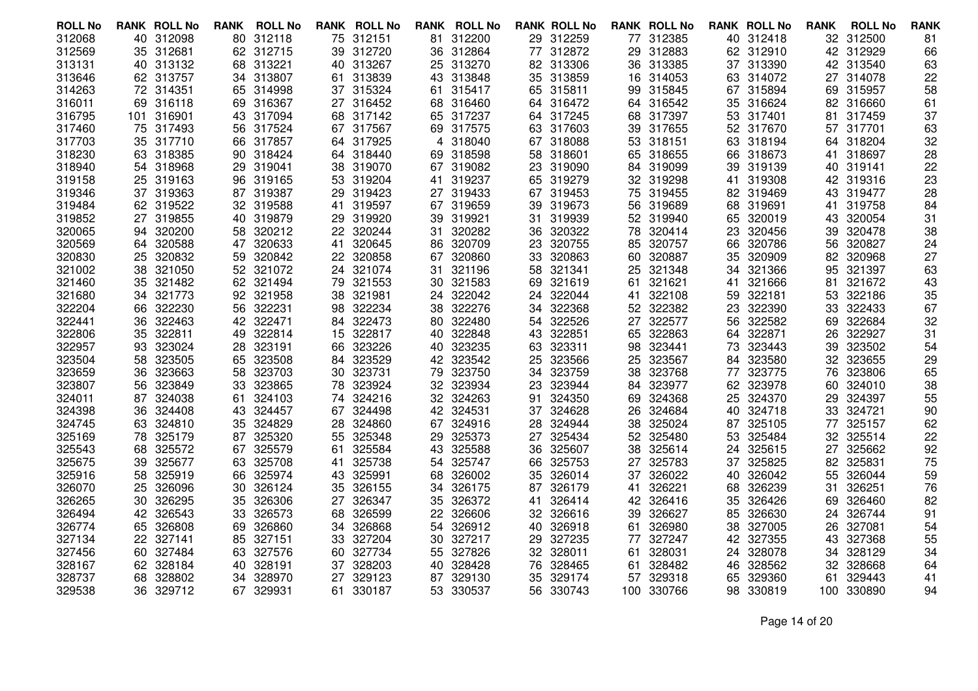| <b>ROLL No</b> | <b>RANK ROLL No</b> | <b>ROLL No</b><br><b>RANK</b> | <b>RANK ROLL No</b> | RANK<br><b>ROLL No</b> | <b>RANK ROLL No</b> | <b>RANK ROLL No</b> | <b>RANK ROLL No</b> | <b>RANK</b><br><b>ROLL No</b> | <b>RANK</b> |
|----------------|---------------------|-------------------------------|---------------------|------------------------|---------------------|---------------------|---------------------|-------------------------------|-------------|
| 312068         | 40 312098           | 80 312118                     | 75 312151           | 81 312200              | 29 312259           | 77 312385           | 40 312418           | 32 312500                     | 81          |
| 312569         | 35 312681           | 312715<br>62                  | 39<br>312720        | 312864<br>36           | 77 312872           | 312883<br>29        | 62 312910           | 312929<br>42                  | 66          |
| 313131         | 40 313132           | 68 313221                     | 40 313267           | 25 313270              | 82 313306           | 36 313385           | 37 313390           | 42 313540                     | 63          |
| 313646         | 62 313757           | 34 313807                     | 61 313839           | 43 313848              | 35 313859           | 16 314053           | 63 314072           | 314078<br>27                  | 22          |
| 314263         | 72 314351           | 314998<br>65                  | 315324<br>37        | 315417<br>61           | 65 315811           | 315845<br>99.       | 315894<br>67        | 315957<br>69                  | 58          |
| 316011         | 69 316118           | 69 316367                     | 27 316452           | 68 316460              | 64 316472           | 64 316542           | 316624<br>35        | 82 316660                     | 61          |
| 316795         | 101 316901          | 43 317094                     | 68 317142           | 65 317237              | 64 317245           | 68 317397           | 53 317401           | 81<br>317459                  | 37          |
| 317460         | 317493<br>75        | 317524<br>56                  | 317567<br>67        | 69 317575              | 317603<br>63        | 317655<br>39        | 317670<br>52        | 317701<br>57                  | 63          |
| 317703         | 35 317710           | 66 317857                     | 64 317925           | 4 318040               | 67 318088           | 318151<br>53        | 318194<br>63        | 64 318204                     | 32          |
| 318230         | 63 318385           | 90 318424                     | 64 318440           | 69 318598              | 58<br>318601        | 65 318655           | 318673<br>66        | 318697<br>41                  | 28          |
| 318940         | 54 318968           | 319041<br>29                  | 319070<br>38        | 67 319082              | 319090<br>23        | 319099<br>84        | 319139<br>39        | 319141<br>40                  | 22          |
| 319158         | 25 319163           | 96 319165                     | 53 319204           | 41 319237              | 65 319279           | 32 319298           | 319308<br>41        | 42 319316                     | 23          |
| 319346         | 37 319363           | 87 319387                     | 29<br>319423        | 27 319433              | 67 319453           | 75 319455           | 82 319469           | 319477<br>43                  | 28          |
| 319484         | 62 319522           | 319588<br>32                  | 319597<br>41        | 319659<br>67           | 319673<br>39        | 319689<br>56        | 68<br>319691        | 319758<br>41                  | 84          |
| 319852         | 27 319855           | 40 319879                     | 319920<br>29        | 39 319921              | 31 319939           | 52 319940           | 65 320019           | 43 320054                     | 31          |
| 320065         | 320200<br>94        | 320212<br>58                  | 320244<br>22.       | 320282<br>31           | 320322<br>36        | 78<br>320414        | 320456<br>23        | 320478<br>39                  | 38          |
| 320569         | 320588<br>64        | 320633<br>47                  | 320645<br>41        | 86<br>320709           | 320755<br>23        | 320757<br>85        | 320786<br>66        | 320827<br>56                  | 24          |
| 320830         | 320832<br>25        | 320842<br>59                  | 320858<br>22.       | 67 320860              | 33 320863           | 60 320887           | 320909<br>35        | 320968<br>82                  | 27          |
| 321002         | 321050<br>38        | 321072<br>52                  | 321074<br>24.       | 321196<br>31           | 321341<br>58        | 321348<br>25        | 321366<br>34        | 321397<br>95                  | 63          |
| 321460         | 35<br>321482        | 321494<br>62                  | 321553<br>79        | 30<br>321583           | 69<br>321619        | 321621<br>61        | 321666<br>41        | 321672<br>81                  | 43          |
| 321680         | 321773<br>34        | 92 321958                     | 321981<br>38        | 322042<br>24           | 322044<br>24        | 322108<br>41        | 322181<br>59.       | 322186<br>53                  | 35          |
| 322204         | 322230<br>66        | 322231<br>56                  | 322234<br>98        | 322276<br>38.          | 322368<br>34        | 52 322382           | 322390<br>23        | 322433<br>33                  | 67          |
| 322441         | 322463<br>36        | 322471<br>42                  | 322473<br>84.       | 80 322480              | 322526<br>54        | 27<br>322577        | 322582<br>56        | 322684<br>69                  | 32          |
| 322806         | 322811<br>35        | 322814<br>49                  | 322817<br>15        | 40 322848              | 43 322851           | 322863<br>65        | 322871<br>64        | 322927<br>26                  | 31          |
| 322957         | 323024<br>93        | 323191<br>28                  | 323226<br>66        | 40 323235              | 323311<br>63        | 323441<br>98        | 323443<br>73        | 323502<br>39                  | 54          |
| 323504         | 58<br>323505        | 323508<br>65                  | 323529<br>84.       | 42 323542              | 323566<br>25        | 323567<br>25        | 323580<br>84        | 323655<br>32                  | 29          |
| 323659         | 323663<br>36        | 323703<br>58.                 | 323731<br>30        | 79 323750              | 323759<br>34        | 323768<br>38        | 323775<br>77        | 323806<br>76                  | 65          |
| 323807         | 323849<br>56        | 323865<br>33                  | 323924<br>78        | 323934<br>32.          | 323944<br>23        | 323977<br>84        | 323978<br>62        | 324010<br>60                  | 38          |
| 324011         | 324038<br>87        | 324103<br>61                  | 324216<br>74        | 32 324263              | 324350<br>91        | 324368<br>69        | 324370<br>25        | 324397<br>29                  | 55          |
| 324398         | 324408<br>36        | 324457<br>43                  | 324498<br>67        | 42 324531              | 37 324628           | 324684<br>26        | 324718<br>40        | 324721<br>33                  | 90          |
| 324745         | 324810<br>63        | 324829<br>35                  | 324860<br>28        | 324916<br>67           | 324944<br>28        | 325024<br>38        | 325105<br>87        | 325157<br>77                  | 62          |
| 325169         | 325179<br>78        | 325320<br>87                  | 325348<br>55        | 325373<br>29           | 325434<br>27        | 325480<br>52        | 53<br>325484        | 325514<br>32                  | 22          |
| 325543         | 325572<br>68        | 325579<br>67                  | 325584<br>61        | 43 325588              | 325607<br>36.       | 38<br>325614        | 325615<br>24        | 325662<br>27                  | 92          |
| 325675         | 325677<br>39        | 63<br>325708                  | 325738<br>41        | 325747<br>54           | 66<br>325753        | 325783<br>27        | 325825<br>37        | 325831<br>82                  | 75          |
| 325916         | 325919<br>58        | 325974<br>66                  | 325991<br>43        | 68<br>326002           | 326014<br>35        | 326022<br>37        | 40<br>326042        | 326044<br>55                  | 59          |
| 326070         | 326096<br>25        | 326124<br>30                  | 35<br>326155        | 34 326175              | 326179<br>87        | 326221<br>41        | 326239<br>68        | 326251<br>31                  | 76          |
| 326265         | 326295<br>30        | 326306<br>35                  | 326347<br>27        | 326372<br>35           | 326414<br>41        | 326416<br>42        | 326426<br>35        | 326460<br>69                  | 82          |
| 326494         | 42 326543           | 326573<br>33                  | 326599<br>68        | 326606<br>22           | 32 326616           | 326627<br>39        | 326630<br>85        | 326744<br>24                  | 91          |
| 326774         | 65 326808           | 326860<br>69                  | 326868<br>34        | 54 326912              | 40<br>326918        | 326980<br>61        | 38<br>327005        | 327081<br>26                  | 54          |
| 327134         | 327141<br>22        | 327151<br>85                  | 327204<br>33        | 327217<br>30           | 327235<br>29        | 327247<br>77        | 327355<br>42        | 327368<br>43                  | 55          |
| 327456         | 327484<br>60        | 327576<br>63                  | 327734<br>60        | 55 327826              | 32 328011           | 328031<br>61        | 328078<br>24        | 328129<br>34                  | 34          |
| 328167         | 62 328184           | 328191<br>40                  | 328203<br>37        | 40<br>328428           | 76<br>328465        | 328482<br>61        | 328562<br>46        | 328668<br>32                  | 64          |
| 328737         | 328802<br>68        | 328970<br>34                  | 329123<br>27        | 329130<br>87           | 329174<br>35        | 329318<br>57        | 329360<br>65        | 329443<br>61                  | 41          |
| 329538         | 36 329712           | 67 329931                     | 330187<br>61        | 53 330537              | 56 330743           | 330766<br>100       | 98<br>330819        | 100 330890                    | 94          |
|                |                     |                               |                     |                        |                     |                     |                     |                               |             |

Page 14 of 20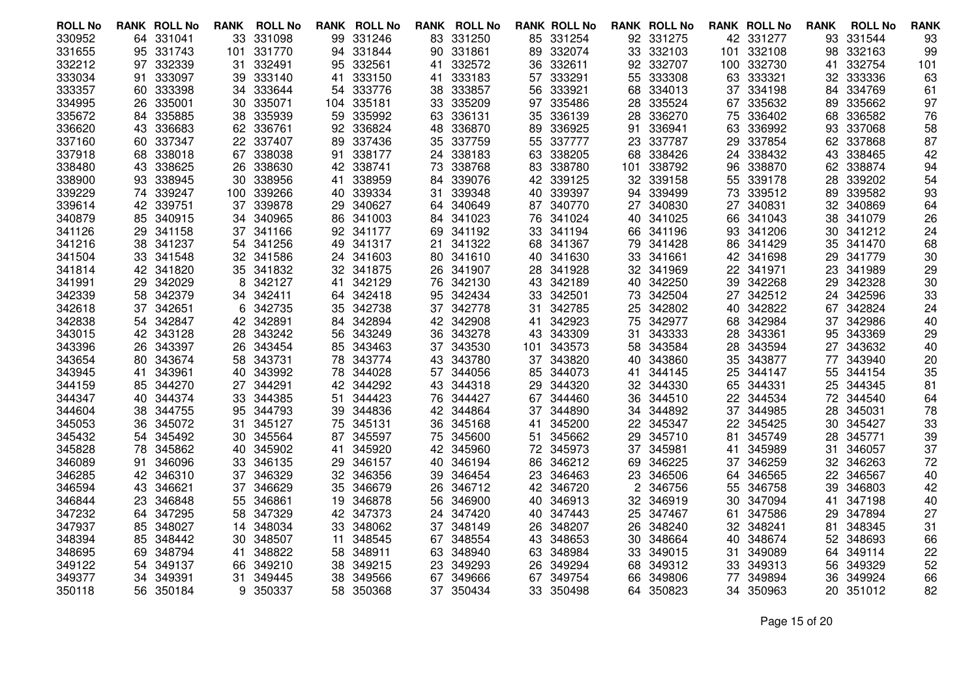| <b>ROLL No</b> | <b>RANK ROLL No</b> |        | <b>RANK</b> | <b>ROLL No</b> | RANK | <b>ROLL No</b> | RANK | <b>ROLL No</b> |     | <b>RANK ROLL No</b> |     | <b>RANK ROLL No</b> |     | <b>RANK ROLL No</b> | <b>RANK</b> | <b>ROLL No</b> | <b>RANK</b> |
|----------------|---------------------|--------|-------------|----------------|------|----------------|------|----------------|-----|---------------------|-----|---------------------|-----|---------------------|-------------|----------------|-------------|
| 330952         | 64 331041           |        |             | 33 331098      | 99   | 331246         |      | 83 331250      |     | 85 331254           |     | 92 331275           |     | 42 331277           | 93          | 331544         | 93          |
| 331655         | 95                  | 331743 | 101         | 331770         | 94   | 331844         | 90   | 331861         | 89  | 332074              | 33  | 332103              | 101 | 332108              | 98          | 332163         | 99          |
| 332212         | 97                  | 332339 | 31.         | 332491         | 95   | 332561         | 41   | 332572         | 36  | 332611              | 92  | 332707              | 100 | 332730              | 41          | 332754         | 101         |
| 333034         | 91.                 | 333097 | 39          | 333140         | 41   | 333150         | 41   | 333183         | 57  | 333291              | 55  | 333308              |     | 63 333321           | 32.         | 333336         | 63          |
| 333357         | 60                  | 333398 | 34          | 333644         | 54   | 333776         | 38.  | 333857         | 56  | 333921              | 68  | 334013              | 37  | 334198              | 84          | 334769         | 61          |
| 334995         | 26                  | 335001 | 30          | 335071         | 104  | 335181         |      | 33 335209      |     | 97 335486           | 28  | 335524              | 67  | 335632              | 89          | 335662         | 97          |
| 335672         | 84.                 | 335885 | 38          | 335939         | 59   | 335992         |      | 63 336131      | 35  | 336139              | 28  | 336270              | 75  | 336402              | 68          | 336582         | 76          |
| 336620         | 43                  | 336683 | 62          | 336761         | 92   | 336824         | 48   | 336870         | 89  | 336925              | 91  | 336941              | 63  | 336992              | 93          | 337068         | 58          |
| 337160         | 60                  | 337347 | 22          | 337407         | 89   | 337436         | 35   | 337759         | 55  | 337777              | 23  | 337787              | 29  | 337854              | 62          | 337868         | 87          |
| 337918         | 68                  | 338018 | 67          | 338038         | 91   | 338177         | 24.  | 338183         | 63  | 338205              | 68  | 338426              | 24  | 338432              | 43          | 338465         | 42          |
| 338480         | 43                  | 338625 | 26          | 338630         | 42   | 338741         | 73   | 338768         | 83  | 338780              | 101 | 338792              | 96  | 338870              | 62          | 338874         | 94          |
| 338900         | 93 338945           |        | 30          | 338956         | 41   | 338959         | 84   | 339076         |     | 42 339125           |     | 32 339158           | 55  | 339178              | 28          | 339202         | 54          |
| 339229         | 74                  | 339247 | 100         | 339266         | 40   | 339334         | 31   | 339348         | 40  | 339397              | 94  | 339499              | 73  | 339512              | 89          | 339582         | 93          |
| 339614         | 42                  | 339751 | 37          | 339878         | 29   | 340627         | 64   | 340649         | 87  | 340770              | 27  | 340830              | 27  | 340831              | 32          | 340869         | 64          |
| 340879         | 85                  | 340915 | 34          | 340965         | 86   | 341003         |      | 84 341023      |     | 76 341024           | 40  | 341025              |     | 66 341043           | 38          | 341079         | 26          |
| 341126         | 29                  | 341158 | 37          | 341166         | 92.  | 341177         | 69   | 341192         | 33  | 341194              | 66. | 341196              | 93  | 341206              | 30          | 341212         | 24          |
| 341216         | 38                  | 341237 | 54          | 341256         | 49   | 341317         | 21   | 341322         | 68  | 341367              | 79  | 341428              | 86  | 341429              | 35          | 341470         | 68          |
| 341504         | 33 341548           |        |             | 32 341586      | 24.  | 341603         |      | 80 341610      |     | 40 341630           | 33  | 341661              |     | 42 341698           | 29          | 341779         | 30          |
| 341814         | 42                  | 341820 | 35          | 341832         | 32   | 341875         | 26   | 341907         | 28  | 341928              | 32  | 341969              | 22  | 341971              | 23          | 341989         | 29          |
| 341991         | 29                  | 342029 | 8           | 342127         | 41   | 342129         | 76   | 342130         | 43  | 342189              | 40  | 342250              | 39  | 342268              | 29          | 342328         | 30          |
| 342339         | 58                  | 342379 | 34          | 342411         | 64.  | 342418         |      | 95 342434      | 33  | 342501              | 73  | 342504              | 27  | 342512              | 24          | 342596         | 33          |
| 342618         | 37                  | 342651 | 6           | 342735         | 35   | 342738         |      | 37 342778      | 31. | 342785              | 25  | 342802              | 40  | 342822              | 67          | 342824         | 24          |
| 342838         | 54                  | 342847 | 42          | 342891         | 84   | 342894         |      | 42 342908      | 41  | 342923              | 75  | 342977              | 68  | 342984              | 37          | 342986         | 40          |
| 343015         | 42 343128           |        | 28.         | 343242         | 56   | 343249         |      | 36 343278      | 43  | 343309              | 31  | 343333              | 28  | 343361              | 95          | 343369         | 29          |
| 343396         | 26                  | 343397 | 26          | 343454         | 85   | 343463         | 37   | 343530         | 101 | 343573              | 58  | 343584              | 28  | 343594              | 27          | 343632         | 40          |
| 343654         | 80                  | 343674 | 58          | 343731         | 78   | 343774         | 43   | 343780         | 37  | 343820              | 40  | 343860              | 35  | 343877              | 77          | 343940         | 20          |
| 343945         | 41                  | 343961 | 40          | 343992         | 78   | 344028         |      | 57 344056      | 85  | 344073              | 41  | 344145              | 25. | 344147              | 55          | 344154         | 35          |
| 344159         | 85                  | 344270 | 27          | 344291         | 42   | 344292         | 43   | 344318         | 29  | 344320              | 32  | 344330              | 65  | 344331              | 25          | 344345         | 81          |
| 344347         | 40                  | 344374 | 33          | 344385         | 51   | 344423         |      | 76 344427      | 67  | 344460              | 36  | 344510              | 22  | 344534              | 72          | 344540         | 64          |
| 344604         | 38.                 | 344755 | 95          | 344793         | 39   | 344836         |      | 42 344864      | 37  | 344890              | 34  | 344892              | 37  | 344985              | 28          | 345031         | 78          |
| 345053         | 36                  | 345072 | 31          | 345127         | 75   | 345131         | 36   | 345168         | 41  | 345200              | 22  | 345347              | 22  | 345425              | 30          | 345427         | 33          |
| 345432         | 54                  | 345492 | 30          | 345564         | 87   | 345597         | 75   | 345600         | 51  | 345662              | 29  | 345710              | 81  | 345749              | 28          | 345771         | 39          |
| 345828         | 78.                 | 345862 | 40          | 345902         | 41   | 345920         |      | 42 345960      |     | 72 345973           | 37  | 345981              | 41  | 345989              | 31          | 346057         | 37          |
| 346089         | 91                  | 346096 | 33          | 346135         | 29   | 346157         | 40   | 346194         | 86  | 346212              | 69  | 346225              | 37  | 346259              | 32          | 346263         | 72          |
| 346285         | 42 346310           |        | 37          | 346329         | 32   | 346356         |      | 39 346454      | 23  | 346463              | 23  | 346506              | 64  | 346565              | 22          | 346567         | 40          |
| 346594         | 43                  | 346621 | 37          | 346629         | 35   | 346679         | 26   | 346712         |     | 42 346720           | 2   | 346756              | 55  | 346758              | 39          | 346803         | 42          |
| 346844         | 23                  | 346848 | 55          | 346861         | 19   | 346878         | 56   | 346900         | 40  | 346913              | 32  | 346919              | 30  | 347094              | 41          | 347198         | 40          |
| 347232         | 64.                 | 347295 | 58          | 347329         | 42   | 347373         | 24   | 347420         | 40  | 347443              | 25  | 347467              | 61  | 347586              | 29          | 347894         | 27          |
| 347937         | 85.                 | 348027 | 14          | 348034         | 33   | 348062         |      | 37 348149      | 26  | 348207              | 26  | 348240              | 32. | 348241              | 81          | 348345         | 31          |
| 348394         | 85                  | 348442 | 30          | 348507         | 11   | 348545         | 67   | 348554         | 43  | 348653              | 30  | 348664              | 40  | 348674              | 52          | 348693         | 66          |
| 348695         | 69                  | 348794 | 41          | 348822         | 58   | 348911         |      | 63 348940      | 63  | 348984              | 33  | 349015              | 31  | 349089              | 64          | 349114         | 22          |
| 349122         | 54                  | 349137 | 66          | 349210         | 38   | 349215         | 23.  | 349293         | 26  | 349294              | 68  | 349312              | 33  | 349313              | 56          | 349329         | 52          |
| 349377         | 34                  | 349391 | 31          | 349445         | 38   | 349566         | 67   | 349666         | 67  | 349754              | 66  | 349806              | 77  | 349894              | 36          | 349924         | 66          |
| 350118         | 56 350184           |        |             | 9 350337       | 58   | 350368         |      | 37 350434      |     | 33 350498           | 64  | 350823              | 34. | 350963              |             | 20 351012      | 82          |
|                |                     |        |             |                |      |                |      |                |     |                     |     |                     |     |                     |             |                |             |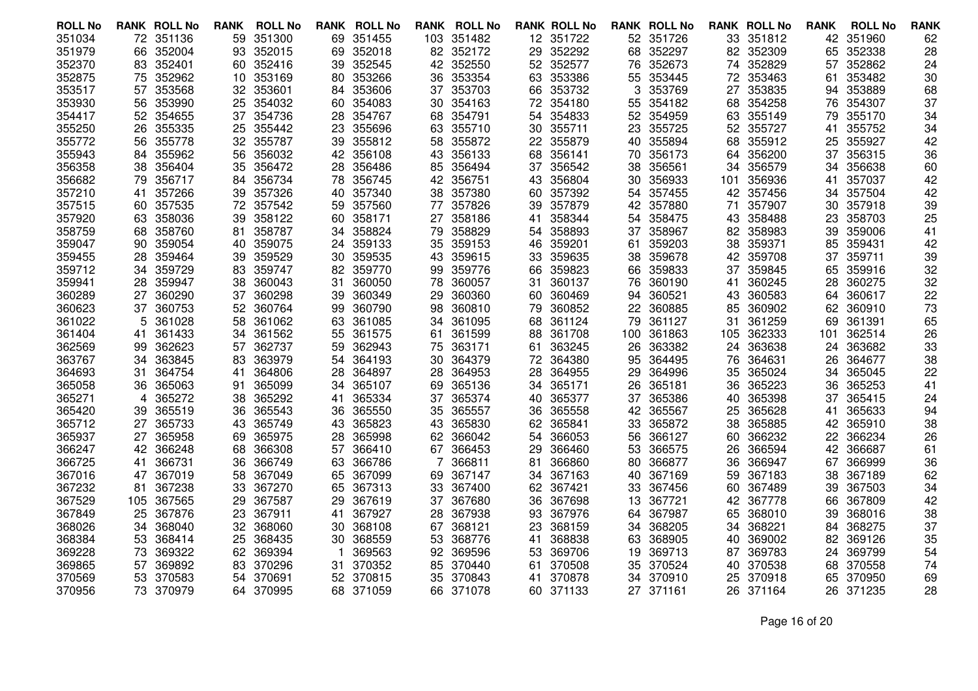| <b>ROLL No</b> |     | <b>RANK ROLL No</b> | <b>RANK</b> | <b>ROLL No</b> |    | <b>RANK ROLL No</b> |     | <b>RANK ROLL No</b> |    | <b>RANK ROLL No</b> |     | <b>RANK ROLL No</b> |     | <b>RANK ROLL No</b> | <b>RANK</b> | <b>ROLL No</b> | <b>RANK</b> |
|----------------|-----|---------------------|-------------|----------------|----|---------------------|-----|---------------------|----|---------------------|-----|---------------------|-----|---------------------|-------------|----------------|-------------|
| 351034         |     | 72 351136           | 59          | 351300         | 69 | 351455              |     | 103 351482          |    | 12 351722           |     | 52 351726           |     | 33 351812           | 42          | 351960         | 62          |
| 351979         | 66  | 352004              | 93          | 352015         | 69 | 352018              |     | 82 352172           | 29 | 352292              | 68  | 352297              | 82  | 352309              | 65          | 352338         | 28          |
| 352370         |     | 83 352401           | 60.         | 352416         | 39 | 352545              |     | 42 352550           |    | 52 352577           | 76  | 352673              |     | 74 352829           | 57          | 352862         | 24          |
| 352875         |     | 75 352962           | 10          | 353169         | 80 | 353266              |     | 36 353354           |    | 63 353386           |     | 55 353445           | 72. | 353463              | 61          | 353482         | 30          |
| 353517         | 57  | 353568              | 32          | 353601         | 84 | 353606              | 37  | 353703              | 66 | 353732              | 3   | 353769              | 27  | 353835              | 94          | 353889         | 68          |
| 353930         | 56  | 353990              | 25          | 354032         | 60 | 354083              |     | 30 354163           |    | 72 354180           | 55  | 354182              | 68  | 354258              | 76          | 354307         | 37          |
| 354417         |     | 52 354655           | 37          | 354736         | 28 | 354767              |     | 68 354791           | 54 | 354833              |     | 52 354959           | 63  | 355149              | 79          | 355170         | 34          |
| 355250         | 26  | 355335              | 25          | 355442         | 23 | 355696              | 63  | 355710              | 30 | 355711              | 23. | 355725              | 52  | 355727              | 41          | 355752         | 34          |
| 355772         |     | 56 355778           |             | 32 355787      | 39 | 355812              |     | 58 355872           |    | 22 355879           | 40  | 355894              | 68  | 355912              | 25          | 355927         | 42          |
| 355943         | 84  | 355962              | 56          | 356032         | 42 | 356108              |     | 43 356133           | 68 | 356141              | 70  | 356173              | 64  | 356200              | 37          | 356315         | 36          |
| 356358         | 38  | 356404              | 35          | 356472         | 28 | 356486              | 85  | 356494              | 37 | 356542              | 38  | 356561              | 34  | 356579              | 34          | 356638         | 60          |
| 356682         |     | 79 356717           | 84          | 356734         | 78 | 356745              |     | 42 356751           |    | 43 356804           | 30  | 356933              | 101 | 356936              | 41          | 357037         | 42          |
| 357210         | 41  | 357266              | 39          | 357326         | 40 | 357340              | 38  | 357380              | 60 | 357392              | 54  | 357455              | 42  | 357456              | 34          | 357504         | 42          |
| 357515         | 60  | 357535              | 72          | 357542         | 59 | 357560              | 77  | 357826              | 39 | 357879              | 42  | 357880              | 71  | 357907              | 30          | 357918         | 39          |
| 357920         |     | 63 358036           |             | 39 358122      | 60 | 358171              |     | 27 358186           |    | 41 358344           | 54  | 358475              |     | 43 358488           |             | 23 358703      | 25          |
| 358759         | 68  | 358760              | 81          | 358787         | 34 | 358824              | 79  | 358829              | 54 | 358893              |     | 37 358967           | 82  | 358983              | 39          | 359006         | 41          |
| 359047         | 90  | 359054              | 40          | 359075         | 24 | 359133              | 35  | 359153              | 46 | 359201              | 61  | 359203              | 38  | 359371              | 85          | 359431         | 42          |
| 359455         | 28. | 359464              | 39          | 359529         | 30 | 359535              |     | 43 359615           | 33 | 359635              | 38. | 359678              | 42  | 359708              | 37          | 359711         | 39          |
| 359712         | 34  | 359729              | 83          | 359747         | 82 | 359770              | 99  | 359776              | 66 | 359823              | 66  | 359833              | 37  | 359845              | 65          | 359916         | 32          |
| 359941         | 28  | 359947              | 38          | 360043         | 31 | 360050              | 78  | 360057              | 31 | 360137              | 76  | 360190              | 41  | 360245              | 28          | 360275         | 32          |
| 360289         | 27  | 360290              | 37          | 360298         | 39 | 360349              | 29. | 360360              |    | 60 360469           | 94  | 360521              | 43  | 360583              | 64          | 360617         | 22          |
| 360623         | 37  | 360753              | 52          | 360764         | 99 | 360790              | 98  | 360810              | 79 | 360852              | 22  | 360885              | 85  | 360902              | 62          | 360910         | 73          |
| 361022         | 5   | 361028              | 58          | 361062         | 63 | 361085              | 34  | 361095              | 68 | 361124              | 79  | 361127              | 31  | 361259              | 69          | 361391         | 65          |
| 361404         | 41  | 361433              | 34          | 361562         | 55 | 361575              | 61. | 361599              | 88 | 361708              | 100 | 361863              | 105 | 362333              | 101         | 362514         | 26          |
| 362569         | 99  | 362623              | 57          | 362737         | 59 | 362943              | 75  | 363171              | 61 | 363245              | 26  | 363382              | 24  | 363638              | 24          | 363682         | 33          |
| 363767         | 34  | 363845              | 83          | 363979         | 54 | 364193              | 30  | 364379              |    | 72 364380           | 95  | 364495              | 76  | 364631              | 26          | 364677         | 38          |
| 364693         | 31. | 364754              | 41          | 364806         | 28 | 364897              |     | 28 364953           | 28 | 364955              | 29  | 364996              | 35  | 365024              | 34          | 365045         | 22          |
| 365058         | 36  | 365063              | 91          | 365099         | 34 | 365107              | 69  | 365136              | 34 | 365171              | 26  | 365181              | 36  | 365223              | 36          | 365253         | 41          |
| 365271         | 4   | 365272              | 38          | 365292         | 41 | 365334              | 37  | 365374              | 40 | 365377              | 37  | 365386              | 40  | 365398              | 37          | 365415         | 24          |
| 365420         | 39  | 365519              | 36          | 365543         | 36 | 365550              | 35  | 365557              | 36 | 365558              | 42  | 365567              | 25  | 365628              | 41          | 365633         | 94          |
| 365712         | 27  | 365733              | 43          | 365749         | 43 | 365823              | 43  | 365830              | 62 | 365841              | 33  | 365872              | 38  | 365885              | 42          | 365910         | 38          |
| 365937         | 27  | 365958              | 69          | 365975         | 28 | 365998              | 62  | 366042              | 54 | 366053              | 56  | 366127              | 60  | 366232              | 22          | 366234         | 26          |
| 366247         |     | 42 366248           | 68          | 366308         | 57 | 366410              | 67  | 366453              | 29 | 366460              | 53  | 366575              | 26  | 366594              | 42          | 366687         | 61          |
| 366725         | 41  | 366731              | 36          | 366749         | 63 | 366786              |     | 366811              | 81 | 366860              | 80  | 366877              | 36  | 366947              | 67          | 366999         | 36          |
| 367016         | 47  | 367019              | 58          | 367049         | 65 | 367099              |     | 69 367147           |    | 34 367163           | 40  | 367169              | 59  | 367183              | 38          | 367189         | 62          |
| 367232         | 81. | 367238              | 33          | 367270         | 65 | 367313              |     | 33 367400           | 62 | 367421              | 33  | 367456              | 60  | 367489              | 39          | 367503         | 34          |
| 367529         | 105 | 367565              | 29          | 367587         | 29 | 367619              | 37  | 367680              | 36 | 367698              | 13  | 367721              | 42  | 367778              | 66          | 367809         | 42          |
| 367849         | 25  | 367876              | 23          | 367911         | 41 | 367927              | 28  | 367938              | 93 | 367976              | 64  | 367987              | 65  | 368010              | 39          | 368016         | 38          |
| 368026         | 34  | 368040              | 32.         | 368060         | 30 | 368108              |     | 67 368121           | 23 | 368159              | 34  | 368205              | 34  | 368221              | 84          | 368275         | 37          |
| 368384         | 53  | 368414              | 25          | 368435         | 30 | 368559              | 53  | 368776              | 41 | 368838              | 63  | 368905              | 40  | 369002              | 82          | 369126         | 35          |
| 369228         | 73  | 369322              | 62          | 369394         |    | 369563              |     | 92 369596           | 53 | 369706              | 19  | 369713              | 87  | 369783              | 24          | 369799         | 54          |
| 369865         | 57  | 369892              | 83          | 370296         | 31 | 370352              |     | 85 370440           | 61 | 370508              | 35  | 370524              | 40  | 370538              | 68          | 370558         | 74          |
| 370569         | 53  | 370583              | 54          | 370691         | 52 | 370815              | 35  | 370843              | 41 | 370878              | 34  | 370910              | 25  | 370918              | 65          | 370950         | 69          |
| 370956         |     | 73 370979           |             | 64 370995      |    | 68 371059           |     | 66 371078           |    | 60 371133           |     | 27 371161           |     | 26 371164           |             | 26 371235      | 28          |
|                |     |                     |             |                |    |                     |     |                     |    |                     |     |                     |     |                     |             |                |             |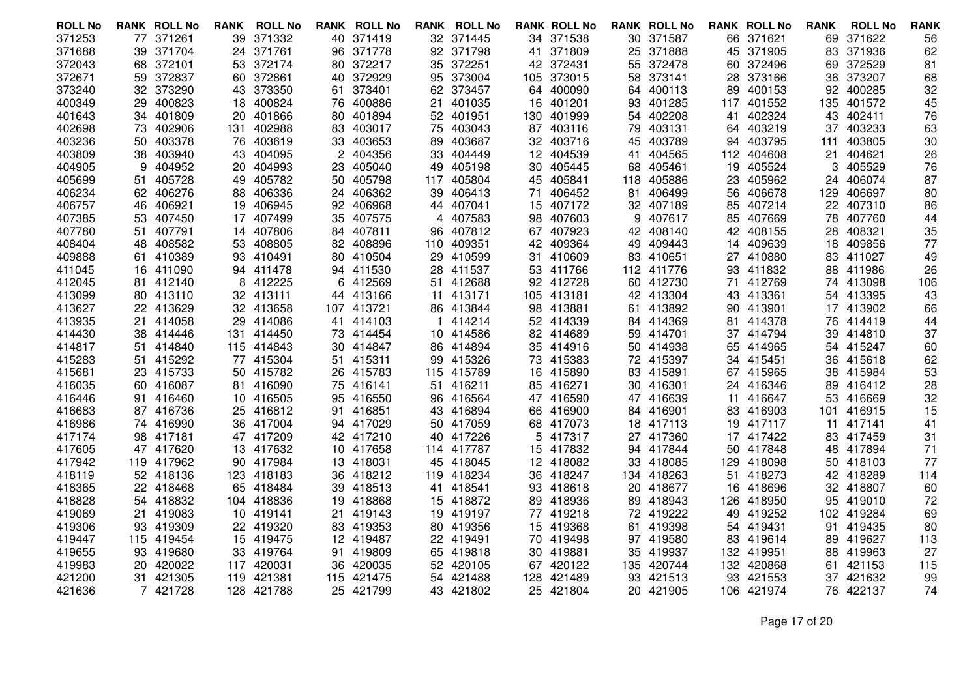| <b>ROLL No</b>   |     | <b>RANK ROLL No</b>    | <b>RANK</b> | <b>ROLL No</b>         |     | <b>RANK ROLL No</b>    |     | <b>RANK ROLL No</b>     |     | <b>RANK ROLL No</b> |     | <b>RANK ROLL No</b> |     | <b>RANK ROLL No</b>    | <b>RANK</b> | <b>ROLL No</b>         | <b>RANK</b> |
|------------------|-----|------------------------|-------------|------------------------|-----|------------------------|-----|-------------------------|-----|---------------------|-----|---------------------|-----|------------------------|-------------|------------------------|-------------|
| 371253           |     | 77 371261              | 39          | 371332                 |     | 40 371419              |     | 32 371445               |     | 34 371538           |     | 30 371587           |     | 66 371621              | 69          | 371622                 | 56          |
| 371688           | 39. | 371704                 | 24          | 371761                 | 96  | 371778                 |     | 92 371798               | 41  | 371809              | 25  | 371888              | 45  | 371905                 | 83          | 371936                 | 62          |
| 372043           |     | 68 372101              | 53          | 372174                 | 80  | 372217                 |     | 35 372251               |     | 42 372431           | 55  | 372478              | 60  | 372496                 | 69          | 372529                 | 81          |
| 372671           |     | 59 372837              | 60.         | 372861                 | 40  | 372929                 |     | 95 373004               |     | 105 373015          |     | 58 373141           | 28. | 373166                 | 36          | 373207                 | 68          |
| 373240           |     | 32 373290              | 43          | 373350                 | 61  | 373401                 |     | 62 373457               | 64  | 400090              |     | 64 400113           | 89  | 400153                 | 92          | 400285                 | 32          |
| 400349           |     | 29 400823              | 18          | 400824                 | 76  | 400886                 | 21  | 401035                  | 16  | 401201              | 93  | 401285              | 117 | 401552                 | 135         | 401572                 | 45          |
| 401643           |     | 34 401809              | 20          | 401866                 |     | 80 401894              |     | 52 401951               | 130 | 401999              |     | 54 402208           | 41  | 402324                 | 43          | 402411                 | 76          |
| 402698           | 73  | 402906                 | 131         | 402988                 | 83  | 403017                 | 75  | 403043                  | 87  | 403116              | 79  | 403131              | 64  | 403219                 | 37          | 403233                 | 63          |
| 403236           | 50  | 403378                 | 76          | 403619                 | 33  | 403653                 | 89. | 403687                  |     | 32 403716           | 45  | 403789              |     | 94 403795              | 111         | 403805                 | 30          |
| 403809           |     | 38 403940              | 43          | 404095                 |     | 2 404356               |     | 33 404449               |     | 12 404539           |     | 41 404565           |     | 112 404608             | 21          | 404621                 | 26          |
| 404905           | 9   | 404952                 | 20          | 404993                 | 23  | 405040                 | 49  | 405198                  | 30  | 405445              | 68  | 405461              | 19  | 405524                 | 3           | 405529                 | 76          |
| 405699           | 51  | 405728                 | 49          | 405782                 | 50  | 405798                 |     | 117 405804              |     | 45 405841           | 118 | 405886              | 23  | 405962                 |             | 24 406074              | 87          |
| 406234           |     | 62 406276              | 88          | 406336                 |     | 24 406362              | 39  | 406413                  | 71  | 406452              | 81  | 406499              | 56  | 406678                 | 129         | 406697                 | 80          |
| 406757           | 46  | 406921                 | 19          | 406945                 | 92  | 406968                 |     | 44 407041               | 15  | 407172              | 32  | 407189              | 85  | 407214                 | 22          | 407310                 | 86          |
| 407385           |     | 53 407450              |             | 17 407499              | 35  | 407575                 |     | 4 407583                |     | 98 407603           | 9   | 407617              | 85  | 407669                 |             | 78 407760              | 44          |
| 407780           | 51. | 407791                 | 14          | 407806                 |     | 84 407811              |     | 96 407812               |     | 67 407923           |     | 42 408140           | 42  | 408155                 | 28          | 408321                 | 35          |
| 408404           | 48  | 408582                 | 53          | 408805                 | 82. | 408896                 | 110 | 409351                  | 42  | 409364              | 49  | 409443              | 14  | 409639                 | 18          | 409856                 | 77          |
| 409888           |     | 61 410389              |             | 93 410491              |     | 80 410504              |     | 29 410599               |     | 31 410609           | 83  | 410651              |     | 27 410880              |             | 83 411027              | 49          |
| 411045           | 16. | 411090                 | 94.         | 411478                 |     | 94 411530              | 28. | 411537                  | 53  | 411766              |     | 112 411776          | 93  | 411832                 | 88          | 411986                 | 26          |
| 412045           | 81  | 412140                 | 8           | 412225                 | 6   | 412569                 | 51  | 412688                  | 92  | 412728              |     | 60 412730           | 71  | 412769                 | 74          | 413098                 | 106         |
| 413099           |     | 80 413110              |             | 32 413111              |     | 44 413166              |     | 11 413171               |     | 105 413181          |     | 42 413304           |     | 43 413361              |             | 54 413395              | 43          |
| 413627           |     | 22 413629              |             | 32 413658              |     | 107 413721             |     | 86 413844               | 98  | 413881              | 61  | 413892              | 90  | 413901                 |             | 17 413902              | 66          |
| 413935           | 21  | 414058                 | 29          | 414086                 | 41  | 414103                 | -1  | 414214                  | 52  | 414339              |     | 84 414369           | 81  | 414378                 | 76          | 414419                 | 44          |
| 414430           |     | 38 414446              | 131.        | 414450                 |     | 73 414454              |     | 10 414586               |     | 82 414689           |     | 59 414701           |     | 37 414794              | 39          | 414810                 | 37          |
| 414817           | 51  | 414840                 | 115         | 414843                 | 30  | 414847                 |     | 86 414894               | 35  | 414916              |     | 50 414938           | 65  | 414965                 |             | 54 415247              | 60          |
| 415283           |     | 51 415292              | 77          | 415304                 | 51  | 415311                 |     | 99 415326               |     | 73 415383           |     | 72 415397           |     | 34 415451              | 36          | 415618                 | 62          |
| 415681           |     | 23 415733              |             | 50 415782              |     | 26 415783              |     | 115 415789              |     | 16 415890           |     | 83 415891           |     | 67 415965              |             | 38 415984              | 53          |
| 416035           |     | 60 416087              | 81          | 416090                 | 75  | 416141                 | 51  | 416211                  | 85  | 416271              |     | 30 416301           |     | 24 416346              | 89          | 416412                 | 28          |
| 416446           | 91. | 416460                 | 10          | 416505                 | 95  | 416550                 |     | 96 416564               |     | 47 416590           |     | 47 416639           | 11  | 416647                 | 53          | 416669                 | 32          |
| 416683           |     | 87 416736              | 25          | 416812                 | 91  | 416851                 |     | 43 416894               | 66  | 416900              |     | 84 416901           |     | 83 416903              | 101         | 416915                 | 15          |
| 416986           |     | 74 416990              | 36          | 417004                 |     | 94 417029              |     | 50 417059               | 68  | 417073              | 18  | 417113              | 19  | 417117                 | 11          | 417141                 | 41          |
| 417174<br>417605 |     | 98 417181<br>47 417620 |             | 47 417209<br>13 417632 |     | 42 417210<br>10 417658 |     | 40 417226               | 5.  | 417317<br>417832    | 27  | 417360<br>94 417844 |     | 17 417422<br>50 417848 |             | 83 417459<br>48 417894 | 31          |
| 417942           |     | 119 417962             | 90.         | 417984                 |     | 13 418031              |     | 114 417787<br>45 418045 | 15  | 12 418082           |     | 33 418085           | 129 | 418098                 |             | 50 418103              | 71<br>77    |
| 418119           |     | 52 418136              | 123         | 418183                 |     | 36 418212              |     | 119 418234              |     | 36 418247           |     | 134 418263          | 51  | 418273                 |             | 42 418289              | 114         |
| 418365           |     | 22 418468              | 65          | 418484                 | 39  | 418513                 |     | 41 418541               |     | 93 418618           |     | 20 418677           |     | 16 418696              |             | 32 418807              | 60          |
| 418828           |     | 54 418832              |             | 104 418836             | 19  | 418868                 |     | 15 418872               | 89  | 418936              | 89  | 418943              | 126 | 418950                 | 95          | 419010                 | 72          |
| 419069           | 21  | 419083                 | 10          | 419141                 | 21  | 419143                 |     | 19 419197               |     | 77 419218           |     | 72 419222           |     | 49 419252              |             | 102 419284             | 69          |
| 419306           |     | 93 419309              |             | 22 419320              |     | 83 419353              |     | 80 419356               |     | 15 419368           |     | 61 419398           |     | 54 419431              |             | 91 419435              | 80          |
| 419447           |     | 115 419454             | 15          | 419475                 |     | 12 419487              |     | 22 419491               |     | 70 419498           |     | 97 419580           |     | 83 419614              | 89          | 419627                 | 113         |
| 419655           |     | 93 419680              | 33          | 419764                 | 91  | 419809                 |     | 65 419818               |     | 30 419881           | 35  | 419937              |     | 132 419951             | 88          | 419963                 | 27          |
| 419983           |     | 20 420022              | 117         | 420031                 | 36  | 420035                 |     | 52 420105               | 67  | 420122              |     | 135 420744          |     | 132 420868             | 61          | 421153                 | 115         |
| 421200           | 31  | 421305                 | 119         | 421381                 | 115 | 421475                 | 54  | 421488                  | 128 | 421489              | 93  | 421513              | 93  | 421553                 | 37          | 421632                 | 99          |
| 421636           |     | 7 421728               |             | 128 421788             | 25  | 421799                 |     | 43 421802               |     | 25 421804           |     | 20 421905           |     | 106 421974             |             | 76 422137              | 74          |
|                  |     |                        |             |                        |     |                        |     |                         |     |                     |     |                     |     |                        |             |                        |             |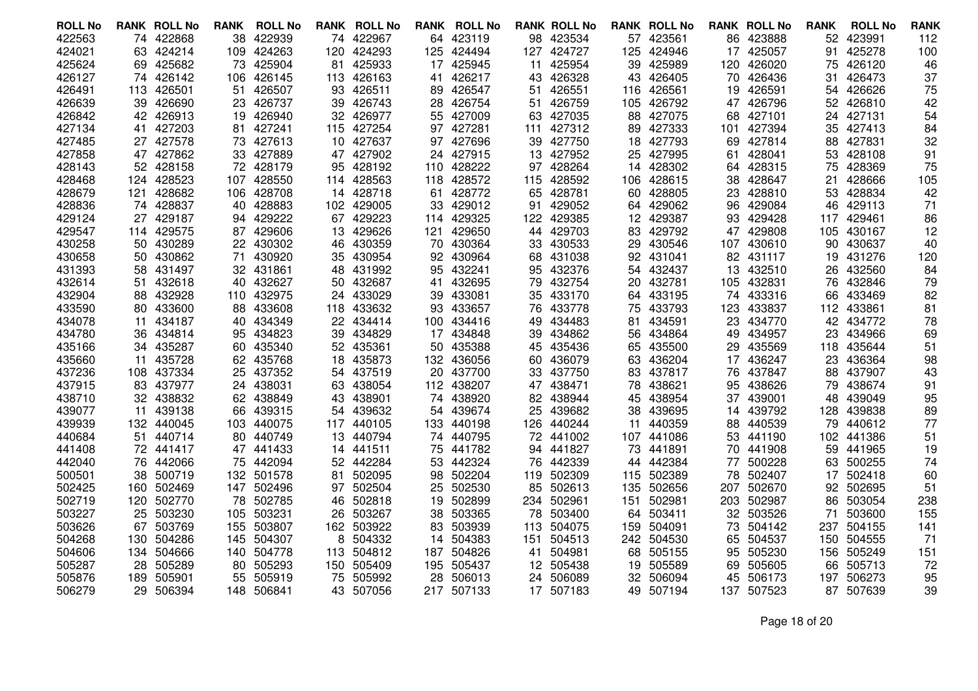| <b>ROLL No</b>   |      | <b>RANK ROLL No</b>  | RANK | <b>ROLL No</b>      | RANK     | <b>ROLL No</b>      |     | <b>RANK ROLL No</b>     |          | <b>RANK ROLL No</b> |          | <b>RANK ROLL No</b> |     | <b>RANK ROLL No</b> | <b>RANK</b> | <b>ROLL No</b>      | <b>RANK</b> |
|------------------|------|----------------------|------|---------------------|----------|---------------------|-----|-------------------------|----------|---------------------|----------|---------------------|-----|---------------------|-------------|---------------------|-------------|
| 422563           |      | 74 422868            | 38   | 422939              | 74       | 422967              |     | 64 423119               |          | 98 423534           |          | 57 423561           |     | 86 423888           |             | 52 423991           | 112         |
| 424021           |      | 63 424214            | 109  | 424263              | 120      | 424293              |     | 125 424494              |          | 127 424727          | 125      | 424946              | 17  | 425057              | 91          | 425278              | 100         |
| 425624           |      | 69 425682            | 73   | 425904              | 81       | 425933              |     | 17 425945               | 11       | 425954              | 39       | 425989              | 120 | 426020              | 75          | 426120              | 46          |
| 426127           |      | 74 426142            | 106  | 426145              |          | 113 426163          | 41  | 426217                  | 43       | 426328              |          | 43 426405           | 70  | 426436              | 31          | 426473              | 37          |
| 426491           |      | 113 426501           | 51   | 426507              | 93       | 426511              | 89. | 426547                  | 51       | 426551              | 116      | 426561              | 19  | 426591              | 54          | 426626              | 75          |
| 426639           |      | 39 426690            | 23   | 426737              | 39       | 426743              |     | 28 426754               |          | 51 426759           | 105      | 426792              |     | 47 426796           | 52          | 426810              | 42          |
| 426842           |      | 42 426913            | 19   | 426940              | 32.      | 426977              |     | 55 427009               | 63       | 427035              | 88       | 427075              | 68  | 427101              | 24          | 427131              | 54          |
| 427134           | 41.  | 427203               | 81   | 427241              | 115      | 427254              | 97  | 427281                  | 111      | 427312              | 89       | 427333              | 101 | 427394              | 35          | 427413              | 84          |
| 427485           |      | 27 427578            |      | 73 427613           | 10       | 427637              |     | 97 427696               | 39       | 427750              | 18       | 427793              | 69  | 427814              | 88          | 427831              | 32          |
| 427858           |      | 47 427862            |      | 33 427889           |          | 47 427902           |     | 24 427915               | 13       | 427952              | 25       | 427995              | 61  | 428041              | 53.         | 428108              | 91          |
| 428143           |      | 52 428158            | 72   | 428179              | 95       | 428192              |     | 110 428222              | 97       | 428264              | 14       | 428302              | 64  | 428315              | 75          | 428369              | 75          |
| 428468           |      | 124 428523           | 107  | 428550              |          | 114 428563          |     | 118 428572              |          | 115 428592          | 106      | 428615              | 38  | 428647              | 21          | 428666              | 105         |
| 428679           | 121  | 428682               | 106  | 428708              | 14       | 428718              |     | 61 428772               | 65       | 428781              | 60       | 428805              | 23  | 428810              | 53          | 428834              | 42          |
| 428836           | 74   | 428837               | 40   | 428883              | 102      | 429005              | 33  | 429012                  | 91       | 429052              | 64       | 429062              | 96  | 429084              | 46          | 429113              | 71          |
| 429124           |      | 27 429187            | 94   | 429222              | 67       | 429223              |     | 114 429325              |          | 122 429385          |          | 12 429387           | 93  | 429428              |             | 117 429461          | 86          |
| 429547           |      | 114 429575           |      | 87 429606           | 13       | 429626              | 121 | 429650                  | 44       | 429703              |          | 83 429792           |     | 47 429808           | 105         | 430167              | 12          |
| 430258           | 50   | 430289               | 22   | 430302              | 46       | 430359              |     | 70 430364               | 33       | 430533              | 29       | 430546              | 107 | 430610              | 90          | 430637              | 40          |
| 430658           |      | 50 430862            | 71   | 430920              | 35       | 430954              |     | 92 430964               |          | 68 431038           |          | 92 431041           |     | 82 431117           |             | 19 431276           | 120         |
| 431393           | 58   | 431497               | 32   | 431861              | 48       | 431992              |     | 95 432241               | 95       | 432376              | 54       | 432437              | 13  | 432510              | 26          | 432560              | 84          |
| 432614           | 51   | 432618               | 40   | 432627              | 50       | 432687              | 41  | 432695                  | 79       | 432754              | 20       | 432781              | 105 | 432831              | 76          | 432846              | 79          |
| 432904           |      | 88 432928            |      | 110 432975          |          | 24 433029           |     | 39 433081               |          | 35 433170           |          | 64 433195           |     | 74 433316           |             | 66 433469           | 82          |
| 433590           | 80.  | 433600               | 88   | 433608              |          | 118 433632          |     | 93 433657               | 76       | 433778              | 75       | 433793              | 123 | 433837              |             | 112 433861          | 81          |
| 434078           | 11   | 434187               | 40   | 434349              | 22       | 434414              |     | 100 434416              | 49       | 434483              | 81       | 434591              | 23  | 434770              |             | 42 434772           | 78          |
| 434780           |      | 36 434814            | 95   | 434823              | 39       | 434829              |     | 17 434848               | 39       | 434862              | 56       | 434864              | 49  | 434957              | 23          | 434966              | 69          |
| 435166           | 34   | 435287               | 60   | 435340              | 52       | 435361              |     | 50 435388               | 45       | 435436              | 65       | 435500              | 29  | 435569<br>436247    | 118         | 435644              | 51          |
| 435660<br>437236 | 11   | 435728<br>108 437334 | 25   | 62 435768<br>437352 | 18       | 435873<br>54 437519 |     | 132 436056<br>20 437700 | 60<br>33 | 436079<br>437750    | 63<br>83 | 436204<br>437817    | 17  | 76 437847           | 23          | 436364<br>88 437907 | 98<br>43    |
| 437915           | 83.  | 437977               | 24   | 438031              |          | 438054              |     | 112 438207              | 47       | 438471              | 78       | 438621              | 95  | 438626              | 79          | 438674              | 91          |
| 438710           |      | 32 438832            | 62   | 438849              | 63<br>43 | 438901              |     | 74 438920               | 82       | 438944              | 45       | 438954              | 37  | 439001              | 48          | 439049              | 95          |
| 439077           |      | 11 439138            | 66   | 439315              | 54       | 439632              |     | 54 439674               | 25       | 439682              | 38       | 439695              |     | 14 439792           | 128         | 439838              | 89          |
| 439939           | 132. | 440045               | 103  | 440075              | 117      | 440105              |     | 133 440198              | 126      | 440244              | 11       | 440359              | 88  | 440539              | 79          | 440612              | 77          |
| 440684           | 51.  | 440714               | 80   | 440749              | 13       | 440794              |     | 74 440795               |          | 72 441002           | 107      | 441086              | 53  | 441190              | 102         | 441386              | 51          |
| 441408           |      | 72 441417            |      | 47 441433           |          | 14 441511           |     | 75 441782               | 94       | 441827              | 73       | 441891              |     | 70 441908           | 59          | 441965              | 19          |
| 442040           | 76   | 442066               | 75   | 442094              |          | 52 442284           |     | 53 442324               | 76       | 442339              | 44       | 442384              | 77  | 500228              | 63.         | 500255              | 74          |
| 500501           |      | 38 500719            |      | 132 501578          | 81       | 502095              |     | 98 502204               | 119      | 502309              | 115      | 502389              | 78  | 502407              | 17          | 502418              | 60          |
| 502425           |      | 160 502469           | 147  | 502496              | 97       | 502504              |     | 25 502530               | 85       | 502613              | 135      | 502656              | 207 | 502670              |             | 92 502695           | 51          |
| 502719           | 120  | 502770               | 78   | 502785              | 46       | 502818              | 19  | 502899                  |          | 234 502961          | 151      | 502981              | 203 | 502987              | 86          | 503054              | 238         |
| 503227           | 25   | 503230               | 105  | 503231              | 26       | 503267              | 38  | 503365                  | 78       | 503400              | 64       | 503411              | 32  | 503526              | 71          | 503600              | 155         |
| 503626           |      | 67 503769            | 155  | 503807              |          | 162 503922          |     | 83 503939               | 113      | 504075              | 159      | 504091              | 73  | 504142              |             | 237 504155          | 141         |
| 504268           | 130  | 504286               | 145  | 504307              | 8        | 504332              | 14  | 504383                  | 151      | 504513              | 242      | 504530              | 65  | 504537              | 150         | 504555              | 71          |
| 504606           |      | 134 504666           | 140  | 504778              | 113      | 504812              |     | 187 504826              | 41       | 504981              | 68       | 505155              | 95  | 505230              | 156         | 505249              | 151         |
| 505287           | 28   | 505289               | 80   | 505293              | 150      | 505409              |     | 195 505437              | 12       | 505438              | 19       | 505589              | 69  | 505605              | 66          | 505713              | 72          |
| 505876           | 189  | 505901               | 55   | 505919              | 75       | 505992              | 28  | 506013                  | 24       | 506089              | 32       | 506094              | 45  | 506173              | 197         | 506273              | 95          |
| 506279           |      | 29 506394            |      | 148 506841          |          | 43 507056           |     | 217 507133              |          | 17 507183           |          | 49 507194           |     | 137 507523          |             | 87 507639           | 39          |
|                  |      |                      |      |                     |          |                     |     |                         |          |                     |          |                     |     |                     |             |                     |             |

Page 18 of 20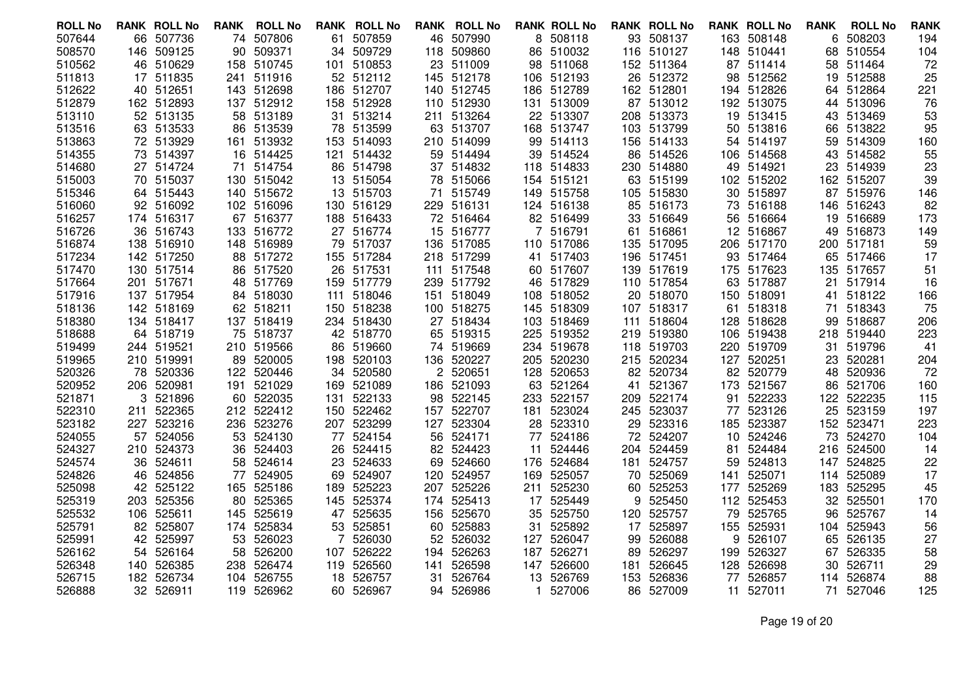| <b>ROLL No</b>   | <b>RANK ROLL No</b>    | RANK | <b>ROLL No</b>      |            | <b>RANK ROLL No</b> |      | <b>RANK ROLL No</b>     |           | <b>RANK ROLL No</b> |     | <b>RANK ROLL No</b> |           | <b>RANK ROLL No</b> | <b>RANK</b> | <b>ROLL No</b>   | <b>RANK</b> |
|------------------|------------------------|------|---------------------|------------|---------------------|------|-------------------------|-----------|---------------------|-----|---------------------|-----------|---------------------|-------------|------------------|-------------|
| 507644           | 66 507736              | 74   | 507806              | 61         | 507859              |      | 46 507990               |           | 8 508118            |     | 93 508137           |           | 163 508148          | 6           | 508203           | 194         |
| 508570           | 146 509125             | 90   | 509371              | 34         | 509729              |      | 118 509860              |           | 86 510032           |     | 116 510127          |           | 148 510441          | 68          | 510554           | 104         |
| 510562           | 46 510629              |      | 158 510745          | 101        | 510853              |      | 23 511009               |           | 98 511068           |     | 152 511364          |           | 87 511414           |             | 58 511464        | 72          |
| 511813           | 17 511835              | 241  | 511916              |            | 52 512112           |      | 145 512178              |           | 106 512193          | 26  | 512372              |           | 98 512562           | 19          | 512588           | 25          |
| 512622           | 40 512651              |      | 143 512698          | 186        | 512707              |      | 140 512745              |           | 186 512789          |     | 162 512801          |           | 194 512826          | 64          | 512864           | 221         |
| 512879           | 162 512893             |      | 137 512912          |            | 158 512928          |      | 110 512930              |           | 131 513009          |     | 87 513012           |           | 192 513075          |             | 44 513096        | 76          |
| 513110           | 52 513135              | 58   | 513189              | 31         | 513214              |      | 211 513264              |           | 22 513307           |     | 208 513373          |           | 19 513415           |             | 43 513469        | 53          |
| 513516           | 63 513533              | 86   | 513539              | 78         | 513599              |      | 63 513707               |           | 168 513747          |     | 103 513799          | 50        | 513816              | 66          | 513822           | 95          |
| 513863           | 72 513929              | 161  | 513932              | 153        | 514093              |      | 210 514099              |           | 99 514113           |     | 156 514133          |           | 54 514197           |             | 59 514309        | 160         |
| 514355           | 73 514397              |      | 16 514425           | 121        | 514432              |      | 59 514494               | 39        | 514524              | 86  | 514526              |           | 106 514568          |             | 43 514582        | 55          |
| 514680           | 27 514724              | 71   | 514754              | 86         | 514798              |      | 37 514832               |           | 118 514833          |     | 230 514880          |           | 49 514921           | 23          | 514939           | 23          |
| 515003           | 70 515037              |      | 130 515042          |            | 13 515054           |      | 78 515066               |           | 154 515121          |     | 63 515199           |           | 102 515202          |             | 162 515207       | 39          |
| 515346           | 64 515443              | 140  | 515672              |            | 13 515703           | 71   | 515749                  |           | 149 515758          |     | 105 515830          | 30        | 515897              |             | 87 515976        | 146         |
| 516060           | 92 516092              |      | 102 516096          | 130        | 516129              |      | 229 516131              |           | 124 516138          | 85  | 516173              | 73        | 516188              | 146         | 516243           | 82          |
| 516257           | 174 516317             |      | 67 516377           |            | 188 516433          |      | 72 516464               |           | 82 516499           |     | 33 516649           |           | 56 516664           |             | 19 516689        | 173         |
| 516726           | 36 516743              |      | 133 516772          | 27         | 516774              |      | 15 516777               |           | 516791              | 61  | 516861              |           | 12 516867           | 49          | 516873           | 149         |
| 516874           | 138 516910             |      | 148 516989          | 79         | 517037              |      | 136 517085              |           | 110 517086          | 135 | 517095              |           | 206 517170          |             | 200 517181       | 59          |
| 517234           | 142 517250             |      | 88 517272           |            | 155 517284          |      | 218 517299              |           | 41 517403           |     | 196 517451          |           | 93 517464           |             | 65 517466        | 17          |
| 517470           | 130 517514             | 86   | 517520              | 26         | 517531              | 111  | 517548                  |           | 60 517607           |     | 139 517619          |           | 175 517623          | 135         | 517657           | 51          |
| 517664           | 201 517671             |      | 48 517769           | 159        | 517779              |      | 239 517792              | 46        | 517829              |     | 110 517854          |           | 63 517887           | 21          | 517914           | 16          |
| 517916           | 137 517954             |      | 84 518030           |            | 111 518046          |      | 151 518049              |           | 108 518052          |     | 20 518070           |           | 150 518091          | 41          | 518122           | 166         |
| 518136           | 142 518169             |      | 62 518211           | 150        | 518238              |      | 100 518275              | 145       | 518309              |     | 107 518317          | 61        | 518318              | 71          | 518343           | 75          |
| 518380           | 134 518417             |      | 137 518419          |            | 234 518430          |      | 27 518434               |           | 103 518469          | 111 | 518604              |           | 128 518628          | 99          | 518687           | 206         |
| 518688           | 64 518719              |      | 75 518737           |            | 42 518770           |      | 65 519315               |           | 225 519352          |     | 219 519380          |           | 106 519438          |             | 218 519440       | 223         |
| 519499           | 244 519521             |      | 210 519566          | 86         | 519660              |      | 74 519669               |           | 234 519678          | 118 | 519703              |           | 220 519709          | 31          | 519796           | 41          |
| 519965           | 210 519991             | 89   | 520005              | 198        | 520103              |      | 136 520227              |           | 205 520230          |     | 215 520234          |           | 127 520251          | 23          | 520281           | 204         |
| 520326           | 78 520336              |      | 122 520446          | 34         | 520580              |      | 2 520651                |           | 128 520653          |     | 82 520734           |           | 82 520779           |             | 48 520936        | 72          |
| 520952<br>521871 | 206 520981<br>3 521896 | 191  | 521029<br>60 522035 | 169        | 521089<br>522133    |      | 186 521093<br>98 522145 | 63<br>233 | 521264<br>522157    | 41  | 521367<br>522174    | 173<br>91 | 521567<br>522233    | 86<br>122   | 521706<br>522235 | 160         |
| 522310           | 211 522365             |      | 212 522412          | 131<br>150 | 522462              | 157  | 522707                  | 181       | 523024              | 209 | 245 523037          | 77        | 523126              | 25          | 523159           | 115<br>197  |
| 523182           | 227 523216             |      | 236 523276          | 207        | 523299              | 127  | 523304                  |           | 28 523310           | 29  | 523316              | 185       | 523387              |             | 152 523471       | 223         |
| 524055           | 57 524056              | 53   | 524130              | 77         | 524154              | 56   | 524171                  |           | 77 524186           | 72  | 524207              | 10        | 524246              | 73          | 524270           | 104         |
| 524327           | 210 524373             | 36   | 524403              |            | 26 524415           |      | 82 524423               | 11        | 524446              |     | 204 524459          | 81        | 524484              |             | 216 524500       | 14          |
| 524574           | 36 524611              | 58   | 524614              | 23         | 524633              |      | 69 524660               |           | 176 524684          |     | 181 524757          | 59.       | 524813              | 147         | 524825           | 22          |
| 524826           | 46 524856              | 77   | 524905              | 69         | 524907              |      | 120 524957              | 169       | 525057              | 70  | 525069              | 141       | 525071              |             | 114 525089       | 17          |
| 525098           | 42 525122              |      | 165 525186          | 189        | 525223              |      | 207 525226              |           | 211 525230          | 60  | 525253              | 177       | 525269              |             | 183 525295       | 45          |
| 525319           | 203 525356             | 80   | 525365              | 145        | 525374              | 174  | 525413                  | 17        | 525449              | 9   | 525450              | 112       | 525453              | 32          | 525501           | 170         |
| 525532           | 106 525611             | 145  | 525619              | 47         | 525635              | 156. | 525670                  |           | 35 525750           | 120 | 525757              | 79        | 525765              | 96          | 525767           | 14          |
| 525791           | 82 525807              | 174  | 525834              | 53         | 525851              |      | 60 525883               |           | 31 525892           |     | 17 525897           |           | 155 525931          |             | 104 525943       | 56          |
| 525991           | 42 525997              | 53   | 526023              |            | 526030              | 52   | 526032                  | 127       | 526047              | 99  | 526088              | 9         | 526107              | 65          | 526135           | 27          |
| 526162           | 54 526164              | 58   | 526200              | 107        | 526222              |      | 194 526263              | 187       | 526271              | 89  | 526297              | 199       | 526327              | 67          | 526335           | 58          |
| 526348           | 140 526385             | 238  | 526474              | 119        | 526560              | 141  | 526598                  |           | 147 526600          | 181 | 526645              | 128       | 526698              | 30          | 526711           | 29          |
| 526715           | 182 526734             | 104  | 526755              | 18         | 526757              | 31   | 526764                  | 13        | 526769              | 153 | 526836              | 77        | 526857              | 114         | 526874           | 88          |
| 526888           | 32 526911              |      | 119 526962          |            | 60 526967           |      | 94 526986               | 1.        | 527006              | 86  | 527009              | 11        | 527011              |             | 71 527046        | 125         |
|                  |                        |      |                     |            |                     |      |                         |           |                     |     |                     |           |                     |             |                  |             |

Page 19 of 20